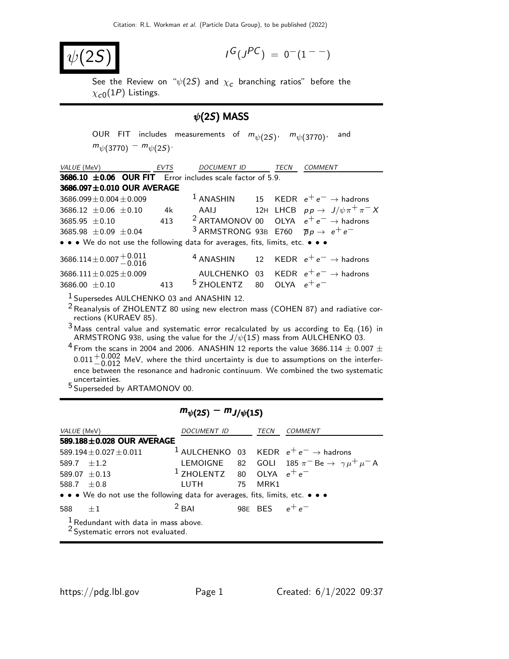$$
|\psi(2\mathcal{S})|
$$

$$
I^G(J^{PC}) = 0^-(1^{--})
$$

See the Review on " $\psi(2\mathcal{S})$  and  $\chi_{\boldsymbol{\mathcal{C}}}$  branching ratios" before the  $\chi_{\rm c0}(1P)$  Listings.

### $\psi$ (2S) MASS

OUR FIT includes measurements of  $m_{\psi(2S)}$ ,  $m_{\psi(3770)}$ , and  $m_{\psi(3770)} - m_{\psi(2S)}$ 

| VALUE (MeV) EVTS                                                                                                      | DOCUMENT ID TECN                                                   |  | <b>COMMENT</b>                                              |
|-----------------------------------------------------------------------------------------------------------------------|--------------------------------------------------------------------|--|-------------------------------------------------------------|
| <b>3686.10 <math>\pm</math>0.06 OUR FIT</b> Error includes scale factor of 5.9.                                       |                                                                    |  |                                                             |
| 3686.097±0.010 OUR AVERAGE                                                                                            |                                                                    |  |                                                             |
| $3686.099 \pm 0.004 \pm 0.009$                                                                                        |                                                                    |  | <sup>1</sup> ANASHIN 15 KEDR $e^+e^- \rightarrow$ hadrons   |
| $3686.12 \pm 0.06 \pm 0.10$ 4k                                                                                        |                                                                    |  | AAIJ $12H$ LHCB $pp \rightarrow J/\psi \pi^+ \pi^- X$       |
| $3685.95 \pm 0.10$ 413                                                                                                |                                                                    |  | <sup>2</sup> ARTAMONOV 00 OLYA $e^+e^- \rightarrow$ hadrons |
| $3685.98 \pm 0.09 \pm 0.04$                                                                                           | <sup>3</sup> ARMSTRONG 93B E760 $\overline{p}p \rightarrow e^+e^-$ |  |                                                             |
| • • • We do not use the following data for averages, fits, limits, etc. • • •                                         |                                                                    |  |                                                             |
| $3686.114 \pm 0.007 \begin{array}{c} +0.011 \\ -0.016 \end{array}$                                                    |                                                                    |  | <sup>4</sup> ANASHIN 12 KEDR $e^+e^- \rightarrow$ hadrons   |
| $3686.111 \pm 0.025 \pm 0.009$                                                                                        |                                                                    |  | AULCHENKO 03 KEDR $e^+e^- \rightarrow$ hadrons              |
| $3686.00 \pm 0.10$ 413                                                                                                | <sup>5</sup> ZHOLENTZ 80 OLYA $e^+e^-$                             |  |                                                             |
| <sup>1</sup> Supersedes AULCHENKO 03 and ANASHIN 12.                                                                  |                                                                    |  |                                                             |
| <sup>2</sup> Reanalysis of ZHOLENTZ 80 using new electron mass (COHEN 87) and radiative cor-<br>rections (KURAEV 85). |                                                                    |  |                                                             |
| $2 \cdot \cdot$                                                                                                       |                                                                    |  |                                                             |

 $3$  Mass central value and systematic error recalculated by us according to Eq. (16) in ARMSTRONG 93B, using the value for the  $J/\psi(1S)$  mass from AULCHENKO 03.

<sup>4</sup> From the scans in 2004 and 2006. ANASHIN 12 reports the value 3686.114  $\pm$  0.007  $\pm$  $0.011^{+0.002}_{-0.012}$  MeV, where the third uncertainty is due to assumptions on the interference between the resonance and hadronic continuum. We combined the two systematic uncertainties.

5 Superseded by ARTAMONOV 00.

### $m_{\psi(2S)} - m_{J/\psi(1S)}$

| <i>VALUE</i> (MeV) |                                                                               | DOCUMENT ID                            | TECN             | COMMENT                                                            |
|--------------------|-------------------------------------------------------------------------------|----------------------------------------|------------------|--------------------------------------------------------------------|
|                    | 589.188±0.028 OUR AVERAGE                                                     |                                        |                  |                                                                    |
|                    | $589.194 \pm 0.027 \pm 0.011$                                                 |                                        |                  | <sup>1</sup> AULCHENKO 03 KEDR $e^+e^- \rightarrow$ hadrons        |
| 589.7 $\pm 1.2$    |                                                                               |                                        |                  | LEMOIGNE 82 GOLI 185 $\pi^-$ Be $\rightarrow \gamma \mu^+ \mu^-$ A |
|                    | 589.07 $\pm$ 0.13                                                             | <sup>1</sup> ZHOLENTZ 80 OLYA $e^+e^-$ |                  |                                                                    |
| 588.7 $\pm$ 0.8    |                                                                               | LUTH 75 MRK1                           |                  |                                                                    |
|                    | • • • We do not use the following data for averages, fits, limits, etc. • • • |                                        |                  |                                                                    |
| 588 $\pm 1$        |                                                                               | $2$ BAI                                | 98E BES $e^+e^-$ |                                                                    |
|                    | $\frac{1}{2}$ Redundant with data in mass above.                              |                                        |                  |                                                                    |

2 Systematic errors not evaluated.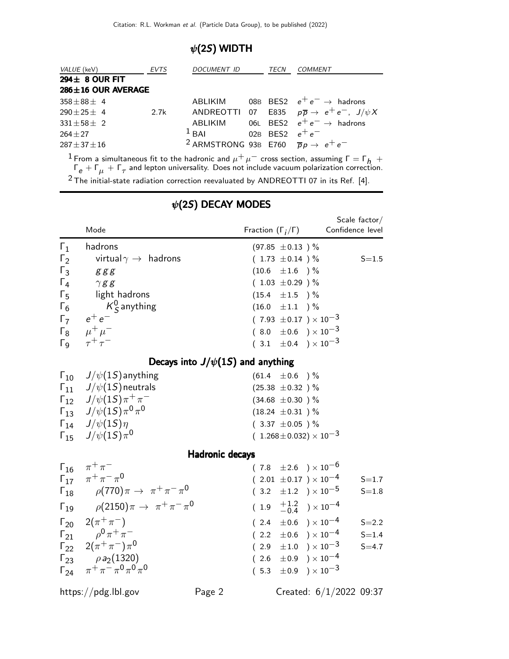## $\psi$ (2S) WIDTH

| VALUE (keV) EVTS                                                                                                |      | DOCUMENT ID                                                        | TECN | <i>COMMENT</i>                                                    |
|-----------------------------------------------------------------------------------------------------------------|------|--------------------------------------------------------------------|------|-------------------------------------------------------------------|
| $294 \pm 8$ OUR FIT                                                                                             |      |                                                                    |      |                                                                   |
| $286 \pm 16$ OUR AVERAGE                                                                                        |      |                                                                    |      |                                                                   |
| $358 \pm 88 \pm 4$                                                                                              |      | ABLIKIM                                                            |      | 08B BES2 $e^+e^- \rightarrow$ hadrons                             |
| $290 \pm 25 \pm 4$                                                                                              | 2.7k |                                                                    |      | ANDREOTTI 07 E835 $p\overline{p} \rightarrow e^+e^-$ , $J/\psi X$ |
| $331 \pm 58 \pm 2$                                                                                              |      |                                                                    |      | ABLIKIM 06L BES2 $e^+e^- \rightarrow$ hadrons                     |
| $264 + 27$                                                                                                      |      | <sup>1</sup> BAI 02B BES2 $e^+e^-$                                 |      |                                                                   |
| $287 \pm 37 \pm 16$                                                                                             |      | <sup>2</sup> ARMSTRONG 93B E760 $\overline{p}p \rightarrow e^+e^-$ |      |                                                                   |
| - 이 미스 - The Contract Active Active Active Active Active Active Active Active Active Active Active Active Activ |      |                                                                    |      |                                                                   |

<sup>1</sup> From a simultaneous fit to the hadronic and  $\mu^+ \mu^-$  cross section, assuming  $\Gamma = \Gamma_h$  +  $\Gamma_{\sf e}+\Gamma_{\mu}+\Gamma_{\tau}$  and lepton universality. Does not include vacuum polarization correction. 2 The initial-state radiation correction reevaluated by ANDREOTTI 07 in its Ref. [4].

|                                                                                  | Mode                                                                                                                                                                                                                                                                                                                                                                                       | Fraction $(\Gamma_i/\Gamma)$                                                                                                                                                                                                                                                                                                                                | Scale factor/<br>Confidence level                             |
|----------------------------------------------------------------------------------|--------------------------------------------------------------------------------------------------------------------------------------------------------------------------------------------------------------------------------------------------------------------------------------------------------------------------------------------------------------------------------------------|-------------------------------------------------------------------------------------------------------------------------------------------------------------------------------------------------------------------------------------------------------------------------------------------------------------------------------------------------------------|---------------------------------------------------------------|
| $\Gamma_1$<br>$\Gamma_2$<br>$\Gamma_3$<br>$\Gamma_4$<br>$\Gamma_5$<br>$\Gamma_6$ | hadrons<br>virtual $\gamma \rightarrow \;$ hadrons<br>$g\,g\,g$<br>$\gamma$ g g<br>light hadrons<br>$K^0_S$ anything<br>$\Gamma_7$ $e^+e^-$<br>$\Gamma_8$ $\mu^+ \mu^-$<br>$\Gamma_9$ $\tau^+\tau^-$                                                                                                                                                                                       | $(97.85 \pm 0.13)$ %<br>$(1.73 \pm 0.14)$ %<br>$(10.6 \pm 1.6)$ %<br>$(1.03 \pm 0.29)$ %<br>$(15.4 \pm 1.5)$ %<br>$(16.0 \pm 1.1)$ %<br>$(7.93 \pm 0.17) \times 10^{-3}$<br>$(8.0 \pm 0.6) \times 10^{-3}$<br>$(3.1 \pm 0.4) \times 10^{-3}$                                                                                                                | $S = 1.5$                                                     |
|                                                                                  | Decays into $J/\psi(1S)$ and anything                                                                                                                                                                                                                                                                                                                                                      |                                                                                                                                                                                                                                                                                                                                                             |                                                               |
|                                                                                  | $\Gamma_{10}$ $J/\psi(15)$ anything<br>$\Gamma_{11}$ J/ $\psi(1S)$ neutrals<br>$\Gamma_{12}$ $J/\psi(15)\pi^{+}\pi^{-}$<br>$\Gamma_{13}$ $J/\psi(15)\pi^0\pi^0$<br>$\Gamma_{14}$ $J/\psi(15)\eta$<br>$\Gamma_{15}$ $J/\psi(15)\pi^0$                                                                                                                                                       | $(61.4 \pm 0.6)$ %<br>$(25.38 \pm 0.32)$ %<br>$(34.68 \pm 0.30)$ %<br>$(18.24 \pm 0.31)$ %<br>$(3.37 \pm 0.05)$ %<br>$(1.268 \pm 0.032) \times 10^{-3}$                                                                                                                                                                                                     |                                                               |
|                                                                                  | Hadronic decays                                                                                                                                                                                                                                                                                                                                                                            |                                                                                                                                                                                                                                                                                                                                                             |                                                               |
|                                                                                  | $\Gamma_{16}$ $\pi^{+}\pi^{-}$<br>$\Gamma_{17}$ $\pi^+ \pi^- \pi^0$<br>$\Gamma_{18}$ $\rho(770)\pi \to \pi^+\pi^-\pi^0$<br>$\Gamma_{19}$ $\rho(2150)\pi \to \pi^{+}\pi^{-}\pi^{0}$<br>$\Gamma_{20}$ 2( $\pi^{+}\pi^{-}$ )<br>$\Gamma_{21}$ $\rho^0 \pi^+ \pi^-$<br>$\Gamma_{22}$ $2(\pi^{+}\pi^{-})\pi^{0}$<br>$\Gamma_{23}$ $\rho a_2(1320)$<br>$\Gamma_{24}$ $\pi^+\pi^-\pi^0\pi^0\pi^0$ | $(7.8 \pm 2.6) \times 10^{-6}$<br>$(2.01 \pm 0.17) \times 10^{-4}$<br>$(3.2 \pm 1.2) \times 10^{-5}$<br>$(1.9 \tfrac{+1.2}{-0.4}) \times 10^{-4}$<br>$(2.4 \pm 0.6) \times 10^{-4}$<br>$(2.2 \pm 0.6) \times 10^{-4}$<br>$(\begin{array}{cc} 2.9 & \pm 1.0 \end{array}) \times 10^{-3}$<br>$(2.6 \pm 0.9) \times 10^{-4}$<br>$(5.3 \pm 0.9) \times 10^{-3}$ | $S = 1.7$<br>$S = 1.8$<br>$S = 2.2$<br>$S = 1.4$<br>$S = 4.7$ |
|                                                                                  | https://pdg.lbl.gov<br>Page 2                                                                                                                                                                                                                                                                                                                                                              |                                                                                                                                                                                                                                                                                                                                                             | Created: 6/1/2022 09:37                                       |

# $\psi$ (2S) DECAY MODES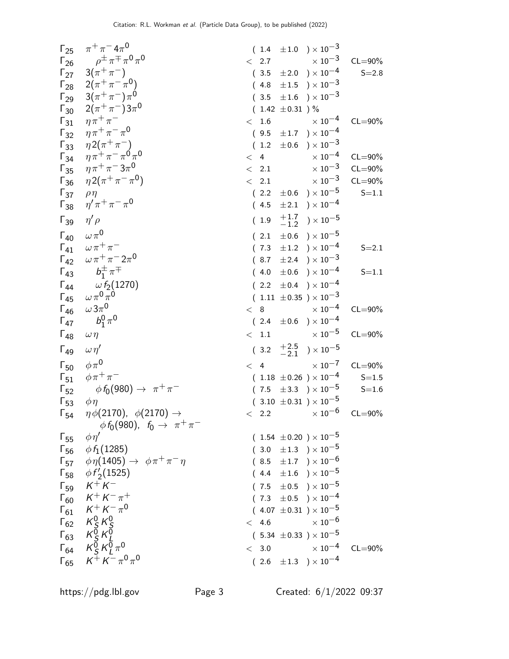| $\Gamma_{26}$                | $\Gamma_{25}$ $\pi^{+}\pi^{-}4\pi^{0}$<br>$\rho^{\pm} \pi^{\mp} \pi^0 \pi^0$                                                       | $\langle$ 2.7   | $(1.4 \pm 1.0) \times 10^{-3}$<br>$\times$ $10^{-3}$ | $CL = 90\%$ |
|------------------------------|------------------------------------------------------------------------------------------------------------------------------------|-----------------|------------------------------------------------------|-------------|
|                              | $\Gamma_{27}$ 3( $\pi^{+}\pi^{-}$ )                                                                                                |                 | $(3.5 \pm 2.0) \times 10^{-4}$                       | $S = 2.8$   |
|                              | $\Gamma_{28}$ 2( $\pi^{+}\pi^{-}\pi^{0}$ )                                                                                         |                 | $(4.8 \pm 1.5) \times 10^{-3}$                       |             |
|                              | $\Gamma_{29}$ 3( $\pi^{+}\pi^{-}$ ) $\pi^{0}$                                                                                      |                 | $(3.5 \pm 1.6) \times 10^{-3}$                       |             |
|                              | $2(\pi^{+}\pi^{-})3\pi^{0}$                                                                                                        |                 | $(1.42 \pm 0.31) \%$                                 |             |
| $\Gamma_{30}$                | $\eta \pi^+ \pi^-$                                                                                                                 |                 | $\times$ 10 <sup>-4</sup>                            | $CL = 90\%$ |
| $\Gamma_{31}$                | $\eta \pi^+ \pi^- \pi^0$                                                                                                           |                 | < 1.6                                                |             |
| $\Gamma_{32}$                |                                                                                                                                    |                 | $(9.5 \pm 1.7) \times 10^{-4}$                       |             |
|                              | $\begin{matrix} \Gamma_{33} & \eta 2(\pi^+\pi^-) \\ \Gamma_{34} & \eta \pi^+\pi^-\pi^0\pi^0 \end{matrix}$                          | $(1.2 \pm 0.6)$ | $)\times10^{-3}$                                     |             |
|                              | $\eta \pi^+ \pi^- 3 \pi^0$                                                                                                         | < 4             | $\times$ 10 $^{-4}$                                  | $CL = 90\%$ |
| $\Gamma_{35}$                |                                                                                                                                    | < 2.1           | $\times$ 10 $^{-3}$                                  | $CL = 90\%$ |
| $\Gamma_{36}$                | $\eta 2(\pi^+\pi^-\pi^0)$                                                                                                          | $\langle$ 2.1   | $\times$ 10 $^{-3}$                                  | $CL = 90\%$ |
| $\Gamma_{37}$                | $\rho\eta$                                                                                                                         |                 | $(2.2 \pm 0.6) \times 10^{-5}$                       | $S = 1.1$   |
| $\Gamma_{38}$                | $\eta^\prime \pi^+ \pi^- \pi^0$                                                                                                    |                 | $(4.5 \pm 2.1) \times 10^{-4}$                       |             |
| $\Gamma_{39}$                | $\eta' \rho$                                                                                                                       |                 | $(1.9 \tfrac{+1.7}{-1.2}) \times 10^{-5}$            |             |
| $\Gamma_{40}$ $\omega \pi^0$ |                                                                                                                                    |                 | $(2.1 \pm 0.6) \times 10^{-5}$                       |             |
|                              | $\Gamma_{41}$ $\omega \pi^+ \pi^-$                                                                                                 |                 | $(7.3 \pm 1.2) \times 10^{-4}$                       | $S = 2.1$   |
|                              | $\Gamma_{42}$ $\omega \pi^+ \pi^- 2 \pi^0$                                                                                         |                 | $(8.7 \pm 2.4) \times 10^{-3}$                       |             |
| $\Gamma_{43}$                | $b_1^{\pm} \pi^{\mp}$                                                                                                              |                 | $(4.0 \pm 0.6) \times 10^{-4}$                       | $S = 1.1$   |
| $\Gamma_{44}$                | $\omega f_2(1270)$                                                                                                                 |                 | $(2.2 \pm 0.4) \times 10^{-4}$                       |             |
|                              | $\Gamma_{45}$ $\omega \pi^0 \pi^0$                                                                                                 |                 | $(1.11 \pm 0.35) \times 10^{-3}$                     |             |
| $\Gamma_{46}$                | $\omega 3\pi^0$                                                                                                                    | < 8             | $\times$ 10 <sup>-4</sup>                            | $CL = 90\%$ |
| $\Gamma_{47}$                | $b_1^0 \pi^0$                                                                                                                      |                 | $(2.4 \pm 0.6) \times 10^{-4}$                       |             |
| $\Gamma_{48}$                | $\omega \eta$                                                                                                                      | < 1.1           | $\times$ 10 $^{-5}$                                  | $CL = 90\%$ |
| $\Gamma_{49}$                | $\omega \eta'$                                                                                                                     |                 | $(3.2 \tfrac{+2.5}{-2.1}) \times 10^{-5}$            |             |
| $\Gamma_{50}$ $\phi \pi^0$   |                                                                                                                                    | < 4             | $\times$ 10 $^{-7}$                                  | $CL = 90\%$ |
|                              | $\Gamma_{51}$ $\phi \pi^+ \pi^-$                                                                                                   |                 | $(1.18 \pm 0.26) \times 10^{-4}$                     | $S = 1.5$   |
| $\Gamma_{52}$                | $\phi f_0(980) \to \pi^+ \pi^-$                                                                                                    |                 | $(7.5 \pm 3.3) \times 10^{-5}$                       | $S = 1.6$   |
| $\Gamma_{53}$                | $\phi\eta$                                                                                                                         |                 | $(3.10 \pm 0.31) \times 10^{-5}$                     |             |
|                              | $\Gamma_{54}$ $\eta \phi(2170)$ , $\phi(2170) \rightarrow$<br>$\phi f_0(980)$ , $f_0 \to \pi^+ \pi^-$                              |                 | $< 2.2$ $\times 10^{-6}$ CL=90%                      |             |
| $\Gamma_{55}$                | $\phi\eta'$                                                                                                                        |                 | $(1.54 \pm 0.20) \times 10^{-5}$                     |             |
|                              | $\Gamma_{56}$ $\phi f_1(1285)$                                                                                                     |                 | $(3.0 \pm 1.3) \times 10^{-5}$                       |             |
|                              | $\Gamma_{57}$ $\phi \eta(1405) \rightarrow \phi \pi^+ \pi^- \eta$                                                                  |                 | $(8.5 \pm 1.7) \times 10^{-6}$                       |             |
|                              | $\Gamma_{58}$ $\phi f'_2(1525)$                                                                                                    |                 | $(4.4 \pm 1.6) \times 10^{-5}$                       |             |
|                              | $\Gamma_{59}$ $K^{+}K^{-}$                                                                                                         |                 | $(7.5 \pm 0.5) \times 10^{-5}$                       |             |
|                              | $\Gamma_{60}$ $K^+ K^- \pi^+$                                                                                                      |                 | $(7.3 \pm 0.5) \times 10^{-4}$                       |             |
|                              | $\Gamma_{61}$ $K^+ K^- \pi^0$                                                                                                      |                 | $(4.07 \pm 0.31) \times 10^{-5}$                     |             |
|                              |                                                                                                                                    |                 | $< 4.6 \times 10^{-6}$                               |             |
|                              | $\begin{array}{ccc} \n\Gamma_{62} & K_S^0 & K_S^0\\ \n\Gamma_{63} & K_S^0 & K_L^0\\ \n\Gamma_{64} & K_S^0 & K_L^0 & \n\end{array}$ |                 | $(5.34 \pm 0.33) \times 10^{-5}$                     |             |
|                              |                                                                                                                                    |                 |                                                      |             |
|                              |                                                                                                                                    |                 | $< 3.0$ $\times 10^{-4}$ CL=90%                      |             |
|                              | $\Gamma_{65}$ $K^+ K^- \pi^0 \pi^0$                                                                                                |                 | $(2.6 \pm 1.3) \times 10^{-4}$                       |             |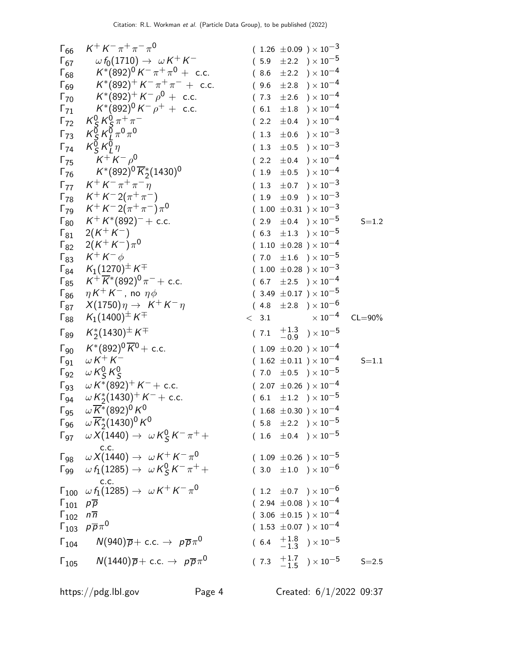$$
\Gamma_{66} \begin{array}{rcl}\n\text{F}_{67} & \omega f_6(\text{710}) \rightarrow \omega K^+ K^- & (1.25 \pm 0.09) \times 10^{-3} \\
\text{F}_{68} & K^*(892)^+ K^- \pi^+ \pi^- + \text{c.c.} & (8.6 \pm 2.2) \times 10^{-4} \\
\text{F}_{69} & K^*(892)^+ K^- \pi^+ \pi^- + \text{c.c.} & (8.6 \pm 2.8) \times 10^{-4} \\
\text{F}_{70} & K^*(892)^+ K^- \rho^0 + \text{c.c.} & (7.3 \pm 2.6) \times 10^{-4} \\
\text{F}_{71} & K^*(892)^+ K^- \rho^0 + \text{c.c.} & (7.3 \pm 2.6) \times 10^{-4} \\
\text{F}_{72} & K^2_K \sqrt{r} \pi^0 \pi^0 & (2.2 \pm 0.4) \times 10^{-4} \\
\text{F}_{73} & K^2_K \sqrt{r} \pi^0 \pi^0 & (1.3 \pm 0.5) \times 10^{-3} \\
\text{F}_{74} & K^*(892)^0 \overline{K}_2^*(1430)^0 & (1.9 \pm 0.9) \times 10^{-3} \\
\text{F}_{75} & K^+ K^- \rho^0 & (1.3 \pm 0.7) \times 10^{-3} \\
\text{F}_{76} & K^+ K^- \pi^+ \pi^- \pi^0 & (1.9 \pm 0.9) \times 10^{-3} \\
\text{F}_{78} & K^+ K^- (892)^- + \text{c.c.} & (2.2 \pm 0.4) \times 10^{-4} \\
\text{F}_{78} & K^+ K^* (892)^- + \text{c.c.} & (2.2 \pm 0.4) \times 10^{-5} \\
\text{F}_{82} & 2(K^+ K^-) \pi^0 & (1.00 \pm 0.31) \times 10^{-3} \\
\text{F}_{83} & K^+(K^*(992)^- + \text{c.c.} & (2.9 \pm 0.4) \times 10
$$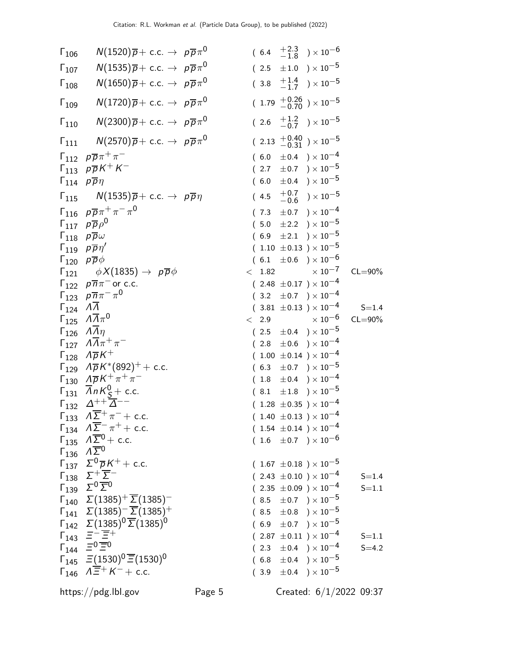| $\Gamma_{106}$                             | $N(1520)\overline{p} + \text{c.c.} \rightarrow p\overline{p}\pi^0$                  |        | $(6.4 \tfrac{+2.3}{-1.8}) \times 10^{-6}$    |             |
|--------------------------------------------|-------------------------------------------------------------------------------------|--------|----------------------------------------------|-------------|
| $\Gamma_{107}$                             | $N(1535)\overline{p} + \text{c.c.} \rightarrow p\overline{p}\pi^0$                  |        | $(2.5 \pm 1.0) \times 10^{-5}$               |             |
| $\Gamma_{108}$                             | $N(1650)\overline{p} + \text{c.c.} \rightarrow p\overline{p}\pi^0$                  |        | $(3.8 \tfrac{+1.4}{-1.7}) \times 10^{-5}$    |             |
| $\Gamma_{109}$                             | $N(1720)\overline{p} + \text{c.c.} \rightarrow p\overline{p}\pi^0$                  |        | $(1.79 \tfrac{+0.26}{-0.70}) \times 10^{-5}$ |             |
| $\Gamma_{110}$                             | $N(2300)\overline{p} + \text{c.c.} \rightarrow p\overline{p}\pi^0$                  |        | $(2.6 \tfrac{+1.2}{-0.7}) \times 10^{-5}$    |             |
| $\mathsf{\Gamma}_{111}$                    | $N(2570)\overline{p} + \text{c.c.} \rightarrow p\overline{p}\pi^0$                  |        | $(2.13 \frac{+0.40}{-0.31}) \times 10^{-5}$  |             |
|                                            | $\Gamma_{112}$ $p\overline{p}\pi^{+}\pi^{-}$                                        |        | $(6.0 \pm 0.4) \times 10^{-4}$               |             |
|                                            | $\Gamma_{113}$ $p\overline{p}K^+K^-$                                                |        | $(2.7 \pm 0.7) \times 10^{-5}$               |             |
| $\Gamma_{114}$ $p\overline{p}\eta$         |                                                                                     |        | $(6.0 \pm 0.4) \times 10^{-5}$               |             |
| $\Gamma_{115}$                             | $N(1535)\overline{p} + \text{c.c.} \rightarrow p\overline{p}\eta$                   | (4.5)  | $^{+0.7}_{-0.6}$ ) $\times$ 10 $^{-5}$       |             |
|                                            | $\Gamma_{116}$ $\rho \overline{\rho} \pi^+ \pi^- \pi^0$                             |        | $(7.3 \pm 0.7) \times 10^{-4}$               |             |
|                                            | $\Gamma_{117}$ $\rho \overline{p} \rho^0$                                           |        | $(5.0 \pm 2.2) \times 10^{-5}$               |             |
|                                            | $\Gamma_{118}$ $p\overline{p}\omega$                                                |        | $(6.9 \pm 2.1) \times 10^{-5}$               |             |
|                                            |                                                                                     |        | $(1.10 \pm 0.13) \times 10^{-5}$             |             |
|                                            | $\Gamma_{119}$ $p\overline{p}\eta'$                                                 |        |                                              |             |
| $\Gamma_{120}$ $\rho \overline{\rho} \phi$ |                                                                                     |        | $(6.1 \pm 0.6) \times 10^{-6}$               |             |
|                                            | $\Gamma_{121}$ $\phi X(1835) \rightarrow p\overline{p}\phi$                         | < 1.82 | $\times$ 10 <sup>-7</sup>                    | $CL = 90\%$ |
|                                            | $\Gamma_{122}$ $p\overline{n}\pi$ <sup>-</sup> or c.c.                              |        | $(2.48 \pm 0.17) \times 10^{-4}$             |             |
|                                            | $\Gamma_{123}$ $\rho \overline{n} \pi^- \pi^0$                                      |        | $(3.2 \pm 0.7) \times 10^{-4}$               |             |
| $\Gamma_{124}$                             | $\overline{\Lambda}$                                                                |        | $(3.81 \pm 0.13) \times 10^{-4}$             | $S = 1.4$   |
| $\Gamma_{125}$                             | $\Lambda \overline{\Lambda} \pi^0$                                                  | < 2.9  | $\times$ $10^{-6}$                           | $CL = 90\%$ |
|                                            | $\Gamma_{126}$ $\Lambda \overline{\Lambda} \eta$                                    |        | $(2.5 \pm 0.4) \times 10^{-5}$               |             |
|                                            | $\Gamma_{127}$ $\ \varLambda \overline{\varLambda}\pi^{+}\pi^{-}$                   |        | $(2.8 \pm 0.6) \times 10^{-4}$               |             |
|                                            | $\Gamma_{128}$ $\Lambda \overline{\rho} K^+$                                        |        | $(1.00 \pm 0.14) \times 10^{-4}$             |             |
|                                            | $\Gamma_{129}$ $\Lambda \overline{p} K^{*}(892)^{+}$ + c.c.                         | (6.3)  | $\pm 0.7$ ) $\times$ $10^{-5}$               |             |
|                                            | $\Gamma_{130} \ \Lambda \overline{\rho} K^+ \pi^+ \pi^-$                            | (1.8)  | $\pm 0.4$ ) $\times$ $10^{-4}$               |             |
|                                            | $\Gamma_{131}$ $\overline{A}$ nK <sup>0</sup> <sub>S</sub> + c.c.                   |        | $(8.1 \pm 1.8) \times 10^{-5}$               |             |
|                                            | $\Gamma_{132}$ $\Delta^{++} \overline{\Delta}^{--}$                                 |        | $(1.28 \pm 0.35) \times 10^{-4}$             |             |
|                                            | $\Gamma_{133}$ $\Lambda \overline{\Sigma}^{+} \pi^{-}$ + c.c.                       |        | $(1.40 \pm 0.13) \times 10^{-4}$             |             |
|                                            | $\Gamma_{134}$ $\Lambda \overline{\Sigma}^- \pi^+ +$ c.c.                           |        | $(1.54 \pm 0.14) \times 10^{-4}$             |             |
|                                            | $\Gamma_{135}$ $\Lambda \overline{\Sigma}^0$ + c.c.                                 |        | $(1.6 \pm 0.7) \times 10^{-6}$               |             |
|                                            | $\Gamma_{136}$ $\Lambda \overline{\Sigma}^0$                                        |        |                                              |             |
|                                            | $\Gamma_{137}$ $\Sigma^0 \overline{p} K^+$ + c.c.                                   |        | $(1.67 \pm 0.18) \times 10^{-5}$             |             |
|                                            | $\Gamma_{138}$ $\Sigma^+\overline{\Sigma}^-$                                        |        | $(2.43 \pm 0.10) \times 10^{-4}$             | $S = 1.4$   |
|                                            | $\Gamma_{139}$ $\Sigma^{0}$ $\overline{\Sigma}^{0}$                                 |        | $(2.35 \pm 0.09) \times 10^{-4}$             | $S = 1.1$   |
|                                            | $\Gamma_{140} \quad \Sigma (1385)^+ \overline{\Sigma} (1385)^-$                     |        | $(8.5 \pm 0.7) \times 10^{-5}$               |             |
|                                            | $\Gamma_{141} \quad \Sigma (1385)^{-} \overline{\Sigma} (1385)^{+}$                 |        |                                              |             |
|                                            |                                                                                     |        | $(8.5 \pm 0.8) \times 10^{-5}$               |             |
|                                            | $\Gamma_{142} \quad \Sigma (1385)^{0} \overline{\Sigma} (1385)^{0}$                 |        | $(6.9 \pm 0.7) \times 10^{-5}$               |             |
|                                            | $\Gamma_{143}$ $\equiv -\equiv +$                                                   |        | $(2.87 \pm 0.11) \times 10^{-4}$             | $S = 1.1$   |
|                                            | $\Gamma_{144}$ $\equiv 0 \equiv 0$                                                  |        | $(2.3 \pm 0.4) \times 10^{-4}$               | $S = 4.2$   |
|                                            | $\Gamma_{145}$ $\equiv$ (1530) <sup>0</sup> $\overline{\equiv}$ (1530) <sup>0</sup> |        | $(6.8 \pm 0.4) \times 10^{-5}$               |             |
|                                            | $\Gamma_{146}$ $A\overline{\Xi}^{+} K^{-} +$ c.c.                                   |        | $(3.9 \pm 0.4) \times 10^{-5}$               |             |
|                                            |                                                                                     |        |                                              |             |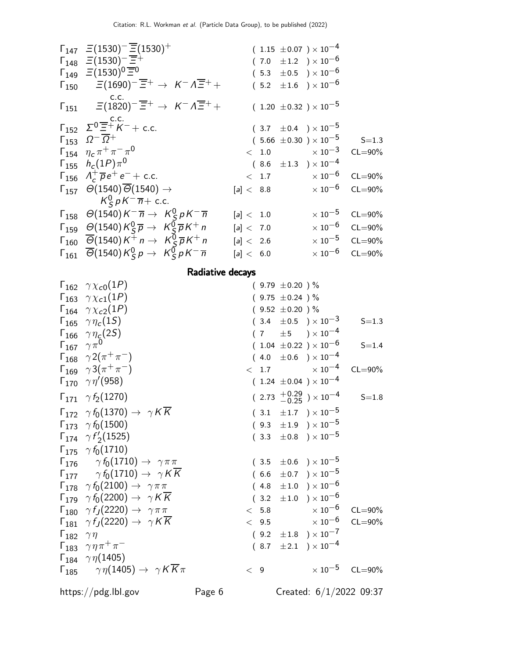| $\Gamma_{147}$ $\equiv$ (1530) <sup>-</sup> $\overline{\equiv}$ (1530) <sup>+</sup>                                                  | $(1.15 \pm 0.07) \times 10^{-4}$         |                         |
|--------------------------------------------------------------------------------------------------------------------------------------|------------------------------------------|-------------------------|
| $\Gamma_{148}$ $\Xi(1530)^{-}$ $\overline{\Xi}^{+}$                                                                                  | $(7.0 \pm 1.2) \times 10^{-6}$           |                         |
| $\Gamma_{149}$ $\equiv$ (1530) <sup>0</sup> $\equiv$ <sup>0</sup>                                                                    | $(5.3 \pm 0.5) \times 10^{-6}$           |                         |
| $\Gamma_{150}$ $\Xi(1690)^{-} \overline{\Xi}^{+} \rightarrow K^{-} \Lambda \overline{\Xi}^{+} +$                                     | $(5.2 \pm 1.6) \times 10^{-6}$           |                         |
| C.C.<br>$\Gamma_{151}$ $\Xi(1820)^{-} \overline{\Xi}^{+}$ $\rightarrow$ $K^{-} \Lambda \overline{\Xi}^{+}$ +                         | $(1.20 \pm 0.32) \times 10^{-5}$         |                         |
| $\Gamma_{152}$ $\Sigma^0 \overline{\Xi}^+ K^-$ + c.c.                                                                                | $(3.7 \pm 0.4) \times 10^{-5}$           |                         |
| $\Gamma_{153}$ $\Omega^{-} \overline{\Omega}{}^{+}$                                                                                  | $(5.66 \pm 0.30) \times 10^{-5}$ S=1.3   |                         |
| $\Gamma_{154}$ $\eta_c \pi^+ \pi^- \pi^0$                                                                                            | $< 1.0$ $\times 10^{-3}$ CL=90%          |                         |
| $\Gamma_{155}$ $h_c(1P)\pi^0$                                                                                                        | $(8.6 \pm 1.3) \times 10^{-4}$           |                         |
| $\Gamma_{156}$ $\Lambda_c^+ \overline{\rho} e^+ e^- +$ c.c.                                                                          | $<$ 1.7 $\times$ 10 <sup>-6</sup> CL=90% |                         |
| $\Gamma_{157}$ $\Theta(1540)\overline{\Theta}(1540)$ $\rightarrow$                                                                   | $[a] < 8.8$ $\times 10^{-6}$ CL=90%      |                         |
| $K^0_{\ S} \rho K^- \overline{n} +$ c.c.                                                                                             |                                          |                         |
| $\Gamma_{158}$ $\Theta(1540)K^{-} \overline{n} \rightarrow K_{S}^{0} pK^{-} \overline{n}$                                            | [a] < 1.0                                | $\times 10^{-5}$ CL=90% |
| $\Gamma_{159}$ $\Theta(1540)K_S^0\overline{p} \rightarrow K_S^0\overline{p}K^+n$                                                     | [a] < 7.0                                | $\times 10^{-6}$ CL=90% |
| $\Gamma_{160}$ $\overline{\Theta}$ (1540) K <sup>+</sup> n $\rightarrow$ K <sup>0</sup> <sub>S</sub> $\overline{p}$ K <sup>+</sup> n | $[a]< 2.6$                               | $\times 10^{-5}$ CL=90% |
| $\Gamma_{161}$ $\overline{\Theta}$ (1540) $K_S^0 p \rightarrow K_S^0 p K^- \overline{n}$                                             | [a] < 6.0                                | $\times 10^{-6}$ CL=90% |
|                                                                                                                                      |                                          |                         |

## Radiative decays

|                             | $\Gamma_{162}$ $\gamma \chi_{c0}(1P)$                                    |        |     | $(9.79 \pm 0.20)$ %  |                                             |                         |
|-----------------------------|--------------------------------------------------------------------------|--------|-----|----------------------|---------------------------------------------|-------------------------|
|                             | $\Gamma_{163}$ $\gamma \chi_{c1}(1P)$                                    |        |     | $(9.75 \pm 0.24) \%$ |                                             |                         |
|                             | $\Gamma_{164}$ $\gamma \chi_{c2}(1P)$                                    |        |     | $(9.52 \pm 0.20)$ %  |                                             |                         |
|                             | $\Gamma_{165}$ $\gamma \eta_c(15)$                                       |        |     |                      | $(3.4 \pm 0.5) \times 10^{-3}$              | $S = 1.3$               |
|                             | $\Gamma_{166}$ $\gamma\eta_c(2S)$                                        |        |     |                      | $(7 \t\pm 5) \times 10^{-4}$                |                         |
|                             | $\Gamma_{167}$ $\gamma \pi^0$                                            |        |     |                      | $(1.04 \pm 0.22) \times 10^{-6}$            | $S = 1.4$               |
|                             | $\Gamma_{168}$ $\gamma 2(\pi^+\pi^-)$                                    |        |     |                      | $(4.0 \pm 0.6) \times 10^{-4}$              |                         |
|                             | $\Gamma_{169}$ $\gamma 3(\pi^{+}\pi^{-})$                                |        |     |                      | $< 1.7 \times 10^{-4}$                      | $CL = 90\%$             |
|                             | $\Gamma_{170}$ $\gamma\eta'(958)$                                        |        |     |                      | $(1.24 \pm 0.04) \times 10^{-4}$            |                         |
|                             | $\Gamma_{171}$ $\gamma f_2(1270)$                                        |        |     |                      | $(2.73 \frac{+0.29}{-0.25}) \times 10^{-4}$ | $S = 1.8$               |
|                             | $\Gamma_{172}$ $\gamma f_0(1370) \rightarrow \gamma K \overline{K}$      |        |     |                      | $(3.1 \pm 1.7) \times 10^{-5}$              |                         |
|                             | $\Gamma_{173}$ $\gamma f_0(1500)$                                        |        |     |                      | $(9.3 \pm 1.9) \times 10^{-5}$              |                         |
|                             | $\Gamma_{174}$ $\gamma f_2'(1525)$                                       |        |     |                      | $(3.3 \pm 0.8) \times 10^{-5}$              |                         |
|                             | $\Gamma_{175}$ $\gamma f_0(1710)$                                        |        |     |                      |                                             |                         |
|                             | $\Gamma_{176}$ $\gamma f_0(1710) \rightarrow \gamma \pi \pi$             |        |     |                      | $(3.5 \pm 0.6) \times 10^{-5}$              |                         |
|                             | $\Gamma_{177}$ $\gamma f_0(1710) \rightarrow \gamma K \overline{K}$      |        |     |                      | $(6.6 \pm 0.7) \times 10^{-5}$              |                         |
|                             | $\Gamma_{178}$ $\gamma f_0(2100) \rightarrow \gamma \pi \pi$             |        |     |                      | $(4.8 \pm 1.0) \times 10^{-6}$              |                         |
|                             | $\Gamma_{179}$ $\gamma f_0(2200) \rightarrow \gamma K \overline{K}$      |        |     |                      | $(3.2 \pm 1.0) \times 10^{-6}$              |                         |
|                             | $\Gamma_{180}$ $\gamma f_J(2220) \rightarrow \gamma \pi \pi$             |        |     |                      | $<$ 5.8 $\times 10^{-6}$                    | $CL = 90\%$             |
|                             | $\Gamma_{181}$ $\gamma f_J(2220) \rightarrow \gamma K \overline{K}$      |        |     |                      | $< 9.5 \times 10^{-6}$                      | $CL = 90\%$             |
| $\Gamma_{182}$ $\gamma\eta$ |                                                                          |        |     |                      | $(9.2 \pm 1.8) \times 10^{-7}$              |                         |
|                             | $\Gamma_{183}$ $\gamma \eta \pi^+ \pi^-$                                 |        |     |                      | $(8.7 \pm 2.1) \times 10^{-4}$              |                         |
|                             | $\Gamma_{184}$ $\gamma \eta (1405)$                                      |        |     |                      |                                             |                         |
|                             | $\Gamma_{185}$ $\gamma \eta(1405) \rightarrow \gamma K \overline{K} \pi$ |        | < 9 |                      |                                             | $\times 10^{-5}$ CL=90% |
|                             | https://pdg.lbl.gov                                                      | Page 6 |     |                      | Created: $6/1/2022$ 09:37                   |                         |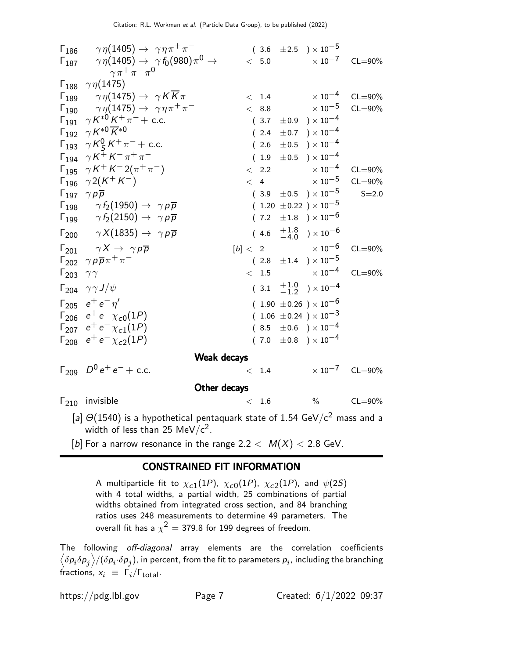|                               | $\Gamma_{186}$ $\gamma \eta(1405) \rightarrow \gamma \eta \pi^+ \pi^-$<br>$\Gamma_{187}$ $\gamma \eta(1405) \rightarrow \gamma f_0(980) \pi^0 \rightarrow$<br>$\gamma \pi^+ \pi^- \pi^0$                                                                                                                                                                                                                                                                                                                                                                   | $(\begin{array}{cc} 3.6 & \pm 2.5 \end{array}) \times 10^{-5}$<br>$< 5.0$ $\times 10^{-7}$ CL=90%                                                                                                                           |                                                                                          |                                                                       |
|-------------------------------|------------------------------------------------------------------------------------------------------------------------------------------------------------------------------------------------------------------------------------------------------------------------------------------------------------------------------------------------------------------------------------------------------------------------------------------------------------------------------------------------------------------------------------------------------------|-----------------------------------------------------------------------------------------------------------------------------------------------------------------------------------------------------------------------------|------------------------------------------------------------------------------------------|-----------------------------------------------------------------------|
|                               | $\Gamma_{188}$ $\gamma \eta(1475)$<br>$\Gamma_{189}$ $\gamma \eta(1475) \rightarrow \gamma K \overline{K} \pi$<br>$\Gamma_{190}$ $\gamma \eta(1475) \rightarrow \gamma \eta \pi^{+} \pi^{-}$<br>$\Gamma_{191}$ $\gamma K^{*0} K^{+} \pi^{-} +$ c.c.<br>$\Gamma_{192}$ $\gamma K^{*0} \overline{K}^{*0}$<br>$\Gamma_{193}$ $\gamma K_S^0 K^+ \pi^-$ + c.c.<br>$\Gamma_{194}$ $\gamma K^{+} K^{-} \pi^{+} \pi^{-}$<br>$\Gamma_{195}$ $\gamma K^{+} K^{-} 2(\pi^{+} \pi^{-})$<br>$\Gamma_{196}$ $\gamma 2(K^+ K^-)$<br>$\Gamma_{197}$ $\gamma p \overline{p}$ | $< 1.4 \times 10^{-4}$<br>$< 8.8$ $\times 10^{-5}$<br>$(3.7 \pm 0.9) \times 10^{-4}$<br>$(2.4 \pm 0.7) \times 10^{-4}$<br>(2.6)<br>$(1.9 \pm 0.5) \times 10^{-4}$<br>$\langle$ 2.2<br>< 4<br>$(3.9 \pm 0.5) \times 10^{-5}$ | $\pm 0.5$ ) $\times$ $10^{-4}$<br>$\times$ 10 <sup>-4</sup><br>$\times$ 10 <sup>-5</sup> | $CL = 90\%$<br>$CL = 90\%$<br>$CL = 90\%$<br>$CL = 90\%$<br>$S = 2.0$ |
|                               | $\Gamma_{198}$ $\gamma f_2(1950) \rightarrow \gamma \rho \overline{\rho}$<br>$\Gamma_{199}$ $\gamma f_2(2150) \rightarrow \gamma p \overline{p}$<br>$\Gamma_{200}$ $\gamma X(1835) \rightarrow \gamma p \overline{p}$                                                                                                                                                                                                                                                                                                                                      | $(1.20 \pm 0.22) \times 10^{-5}$<br>$(7.2 \pm 1.8) \times 10^{-6}$<br>$(4.6 \tfrac{+1.8}{-4.0}) \times 10^{-6}$                                                                                                             |                                                                                          |                                                                       |
| $\Gamma_{203}$ $\gamma\gamma$ | $\Gamma_{201}$ $\gamma X \rightarrow \gamma p \overline{p}$<br>$\Gamma_{202}$ $\gamma p \overline{p} \pi^+ \pi^-$                                                                                                                                                                                                                                                                                                                                                                                                                                          | $[b] < 2 \times 10^{-6}$<br>$(2.8 \pm 1.4) \times 10^{-5}$<br>$< 1.5 \times 10^{-4}$                                                                                                                                        |                                                                                          | $CL = 90\%$<br>$CL = 90\%$                                            |
|                               | $\Gamma_{204}$ $\gamma \gamma J/\psi$<br>$\Gamma_{205}$ $e^+e^-\eta'$<br>$\Gamma_{206}$ $e^+e^- \chi_{c0}(1P)$<br>$\Gamma_{207}$ $e^+e^- \chi_{c1}(1P)$<br>$\Gamma_{208}$ $e^+e^- \chi_{c2}(1P)$                                                                                                                                                                                                                                                                                                                                                           | $(3.1 \t +1.0 \t -1.2) \times 10^{-4}$<br>$(1.90 \pm 0.26) \times 10^{-6}$<br>$(1.06 \pm 0.24) \times 10^{-3}$<br>$(8.5 \pm 0.6) \times 10^{-4}$<br>$(7.0 \pm 0.8) \times 10^{-4}$                                          |                                                                                          |                                                                       |
|                               | Weak decays                                                                                                                                                                                                                                                                                                                                                                                                                                                                                                                                                |                                                                                                                                                                                                                             |                                                                                          |                                                                       |
|                               | $\Gamma_{209}$ $D^0 e^+ e^- +$ c.c.                                                                                                                                                                                                                                                                                                                                                                                                                                                                                                                        | < 1.4                                                                                                                                                                                                                       |                                                                                          | $\times 10^{-7}$ CL=90%                                               |
|                               | Other decays                                                                                                                                                                                                                                                                                                                                                                                                                                                                                                                                               |                                                                                                                                                                                                                             |                                                                                          |                                                                       |
|                               | $\Gamma_{210}$ invisible                                                                                                                                                                                                                                                                                                                                                                                                                                                                                                                                   | < 1.6                                                                                                                                                                                                                       | $\%$                                                                                     | $CL = 90\%$                                                           |
|                               | [a] $O(1540)$ is a bunatle stice contaminate state of 1.54 $O_2$ // $\frac{2}{3}$ mass and a                                                                                                                                                                                                                                                                                                                                                                                                                                                               |                                                                                                                                                                                                                             |                                                                                          |                                                                       |

- [a]  $\Theta(1540)$  is a hypothetical pentaquark state of 1.54 GeV/c<sup>2</sup> mass and a width of less than 25 MeV/c $^2$ .
- [b] For a narrow resonance in the range  $2.2 < M(X) < 2.8$  GeV.

### CONSTRAINED FIT INFORMATION

A multiparticle fit to  $\chi_{c1}(1P)$ ,  $\chi_{c0}(1P)$ ,  $\chi_{c2}(1P)$ , and  $\psi(2S)$ with 4 total widths, a partial width, 25 combinations of partial widths obtained from integrated cross section, and 84 branching ratios uses 248 measurements to determine 49 parameters. The overall fit has a  $\chi^2 =$  379.8 for 199 degrees of freedom.

The following off-diagonal array elements are the correlation coefficients  $\left<\delta p_i\delta p_j\right>$ /( $\delta p_i\!\cdot\!\delta p_j$ ), in percent, from the fit to parameters  $p_i$ , including the branching fractions,  $x_i \equiv \Gamma_i / \Gamma_{\text{total}}$ .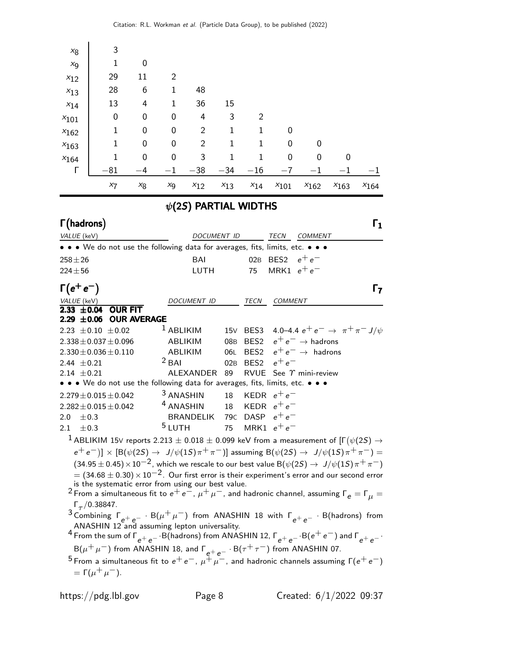| $x_8$<br>$x_{9}$<br>$x_{12}$<br>$x_{13}$<br>$x_{14}$<br>$x_{101}$<br>$x_{162}$<br>$x_{163}$<br>$x_{164}$<br>Г | 3<br>1<br>29<br>28<br>13<br>0<br>$\mathbf{1}$<br>$\mathbf{1}$<br>$\mathbf{1}$<br>$-81$                                                                                                                                                                                                                                                                                                                                                                                                                                                                                                                                                                                                                                                                                                                                                                                                                                                                                                                                                                                                                                                                                                                                                                | 0<br>11<br>6<br>4<br>$\mathbf{0}$<br>0<br>0<br>$\mathbf{0}$<br>$-4$ | 2<br>1<br>1<br>0<br>0<br>0<br>0<br>$-1$ | 48<br>36<br>4<br>2<br>$\overline{2}$<br>3<br>$-38$ $-34$ $-16$ | 15<br>3<br>$\mathbf{1}$<br>$\mathbf{1}$<br>$\mathbf{1}$ | 2<br>$\mathbf{1}$<br>1<br>$\mathbf{1}$ | 0<br>0<br>0<br>$-7$ | 0<br>$\Omega$<br>$^{-1}$                            | 0<br>$^{-1}$ |                |
|---------------------------------------------------------------------------------------------------------------|-------------------------------------------------------------------------------------------------------------------------------------------------------------------------------------------------------------------------------------------------------------------------------------------------------------------------------------------------------------------------------------------------------------------------------------------------------------------------------------------------------------------------------------------------------------------------------------------------------------------------------------------------------------------------------------------------------------------------------------------------------------------------------------------------------------------------------------------------------------------------------------------------------------------------------------------------------------------------------------------------------------------------------------------------------------------------------------------------------------------------------------------------------------------------------------------------------------------------------------------------------|---------------------------------------------------------------------|-----------------------------------------|----------------------------------------------------------------|---------------------------------------------------------|----------------------------------------|---------------------|-----------------------------------------------------|--------------|----------------|
|                                                                                                               | $x_7$                                                                                                                                                                                                                                                                                                                                                                                                                                                                                                                                                                                                                                                                                                                                                                                                                                                                                                                                                                                                                                                                                                                                                                                                                                                 | $x_8$                                                               | $x_9$                                   | $x_{12}$                                                       | $x_{13}$                                                | $x_{14}$                               | $x_{101}$           | $x_{162}$                                           | $x_{163}$    | $x_{164}$      |
|                                                                                                               |                                                                                                                                                                                                                                                                                                                                                                                                                                                                                                                                                                                                                                                                                                                                                                                                                                                                                                                                                                                                                                                                                                                                                                                                                                                       |                                                                     |                                         | $\psi$ (2S) PARTIAL WIDTHS                                     |                                                         |                                        |                     |                                                     |              |                |
| $\Gamma$ (hadrons)                                                                                            |                                                                                                                                                                                                                                                                                                                                                                                                                                                                                                                                                                                                                                                                                                                                                                                                                                                                                                                                                                                                                                                                                                                                                                                                                                                       |                                                                     |                                         |                                                                |                                                         |                                        |                     |                                                     |              | $\mathsf{r}_1$ |
| VALUE (keV)                                                                                                   | • • • We do not use the following data for averages, fits, limits, etc. • • •                                                                                                                                                                                                                                                                                                                                                                                                                                                                                                                                                                                                                                                                                                                                                                                                                                                                                                                                                                                                                                                                                                                                                                         |                                                                     |                                         | DOCUMENT ID                                                    |                                                         |                                        | TECN                | COMMENT                                             |              |                |
| $258 + 26$                                                                                                    |                                                                                                                                                                                                                                                                                                                                                                                                                                                                                                                                                                                                                                                                                                                                                                                                                                                                                                                                                                                                                                                                                                                                                                                                                                                       |                                                                     |                                         | <b>BAI</b>                                                     |                                                         | 02B                                    | BES <sub>2</sub>    | $e^+e^-$                                            |              |                |
| $224 \pm 56$                                                                                                  |                                                                                                                                                                                                                                                                                                                                                                                                                                                                                                                                                                                                                                                                                                                                                                                                                                                                                                                                                                                                                                                                                                                                                                                                                                                       |                                                                     |                                         | LUTH                                                           |                                                         | 75                                     | MRK1 $e^+e^-$       |                                                     |              |                |
| $\Gamma(e^+e^-)$                                                                                              |                                                                                                                                                                                                                                                                                                                                                                                                                                                                                                                                                                                                                                                                                                                                                                                                                                                                                                                                                                                                                                                                                                                                                                                                                                                       |                                                                     |                                         |                                                                |                                                         |                                        |                     |                                                     |              | Г7             |
|                                                                                                               |                                                                                                                                                                                                                                                                                                                                                                                                                                                                                                                                                                                                                                                                                                                                                                                                                                                                                                                                                                                                                                                                                                                                                                                                                                                       |                                                                     |                                         | <i>DOCUMENT ID</i>                                             |                                                         | TECN                                   | <b>COMMENT</b>      |                                                     |              |                |
| $\frac{VALUE (keV)}{2.33 \pm 0.04}$<br>$2.29 \pm 0.06$                                                        | <b>OUR FIT</b>                                                                                                                                                                                                                                                                                                                                                                                                                                                                                                                                                                                                                                                                                                                                                                                                                                                                                                                                                                                                                                                                                                                                                                                                                                        | <b>OUR AVERAGE</b>                                                  |                                         |                                                                |                                                         |                                        |                     |                                                     |              |                |
|                                                                                                               | 2.23 $\pm$ 0.10 $\pm$ 0.02                                                                                                                                                                                                                                                                                                                                                                                                                                                                                                                                                                                                                                                                                                                                                                                                                                                                                                                                                                                                                                                                                                                                                                                                                            |                                                                     | <sup>1</sup> ABLIKIM                    |                                                                | 15V                                                     |                                        |                     | BES3 4.0–4.4 $e^+e^- \rightarrow \pi^+\pi^- J/\psi$ |              |                |
|                                                                                                               | $2.338 \pm 0.037 \pm 0.096$                                                                                                                                                                                                                                                                                                                                                                                                                                                                                                                                                                                                                                                                                                                                                                                                                                                                                                                                                                                                                                                                                                                                                                                                                           |                                                                     | ABLIKIM                                 |                                                                | 08 <sub>B</sub>                                         | BES <sub>2</sub>                       |                     | $e^+e^- \rightarrow$ hadrons                        |              |                |
|                                                                                                               | $2.330 \pm 0.036 \pm 0.110$                                                                                                                                                                                                                                                                                                                                                                                                                                                                                                                                                                                                                                                                                                                                                                                                                                                                                                                                                                                                                                                                                                                                                                                                                           |                                                                     | <b>ABLIKIM</b>                          |                                                                | 06L                                                     | BES <sub>2</sub>                       |                     | $e^+e^- \rightarrow$ hadrons                        |              |                |
| 2.44 $\pm$ 0.21                                                                                               |                                                                                                                                                                                                                                                                                                                                                                                                                                                                                                                                                                                                                                                                                                                                                                                                                                                                                                                                                                                                                                                                                                                                                                                                                                                       |                                                                     | $2$ BAI                                 |                                                                | 02B                                                     | BES <sub>2</sub>                       | $e^+e^-$            |                                                     |              |                |
| 2.14 $\pm$ 0.21                                                                                               |                                                                                                                                                                                                                                                                                                                                                                                                                                                                                                                                                                                                                                                                                                                                                                                                                                                                                                                                                                                                                                                                                                                                                                                                                                                       |                                                                     |                                         | ALEXANDER                                                      | 89                                                      | <b>RVUE</b>                            |                     | See $\gamma$ mini-review                            |              |                |
|                                                                                                               | • • We do not use the following data for averages, fits, limits, etc. • • •                                                                                                                                                                                                                                                                                                                                                                                                                                                                                                                                                                                                                                                                                                                                                                                                                                                                                                                                                                                                                                                                                                                                                                           |                                                                     |                                         |                                                                |                                                         |                                        |                     |                                                     |              |                |
|                                                                                                               | $2.279 \pm 0.015 \pm 0.042$                                                                                                                                                                                                                                                                                                                                                                                                                                                                                                                                                                                                                                                                                                                                                                                                                                                                                                                                                                                                                                                                                                                                                                                                                           |                                                                     | <sup>3</sup> ANASHIN                    |                                                                | 18                                                      |                                        | KEDR $e^+e^-$       |                                                     |              |                |
|                                                                                                               | $2.282 \pm 0.015 \pm 0.042$                                                                                                                                                                                                                                                                                                                                                                                                                                                                                                                                                                                                                                                                                                                                                                                                                                                                                                                                                                                                                                                                                                                                                                                                                           |                                                                     | <sup>4</sup> ANASHIN                    | BRANDELIK 79 $c$ DASP $e^+e^-$                                 | 18                                                      |                                        | KEDR $e^+e^-$       |                                                     |              |                |
| 2.0<br>$\pm 0.3$<br>$\pm 0.3$<br>2.1                                                                          |                                                                                                                                                                                                                                                                                                                                                                                                                                                                                                                                                                                                                                                                                                                                                                                                                                                                                                                                                                                                                                                                                                                                                                                                                                                       |                                                                     | <sup>5</sup> LUTH                       |                                                                |                                                         |                                        | 75 MRK1 $e^+e^-$    |                                                     |              |                |
|                                                                                                               | $^1$ ABLIKIM 15V reports 2.213 $\pm$ 0.018 $\pm$ 0.099 keV from a measurement of [F $(\psi(2S) \rightarrow$<br>$(e^+e^-)] \times [B(\psi(2S) \to J/\psi(1S)\pi^+\pi^-)]$ assuming $B(\psi(2S) \to J/\psi(1S)\pi^+\pi^-)$ =<br>$(34.95\pm0.45)\times10^{-2}$ , which we rescale to our best value B $(\psi(2S)\rightarrow J/\psi(1S)\pi^{+}\pi^{-})$<br>$=$ (34.68 $\pm$ 0.30) $\times$ 10 <sup>-2</sup> . Our first error is their experiment's error and our second error<br>is the systematic error from using our best value.<br><sup>2</sup> From a simultaneous fit to $e^+e^-, \mu^+\mu^-$ , and hadronic channel, assuming $\Gamma_e = \Gamma_\mu =$<br>$\Gamma_{\tau}/0.38847$ .<br><sup>3</sup> Combining $\Gamma_{e^+e^-}$ · B( $\mu^+\mu^-$ ) from ANASHIN 18 with $\Gamma_{e^+e^-}$ · B(hadrons) from ANASHIN 12 and assuming lepton universality.<br>$^4$ From the sum of $\Gamma_{e^+e^-}$ $\cdot$ B(hadrons) from ANASHIN 12, $\Gamma_{e^+e^-}$ $\cdot$ B( $e^+e^-$ ) and $\Gamma_{e^+e^-}$ $\cdot$<br>$B(\mu^+\mu^-)$ from ANASHIN 18, and $\Gamma_{e^+e^-}$ · $B(\tau^+\tau^-)$ from ANASHIN 07.<br>5 From a simultaneous fit to $e^+e^-$ , $\mu^+\mu^-$ , and hadronic channels assuming $\Gamma(e^+e^-)$<br>$=\Gamma(\mu^+\mu^-).$ |                                                                     |                                         |                                                                |                                                         |                                        |                     |                                                     |              |                |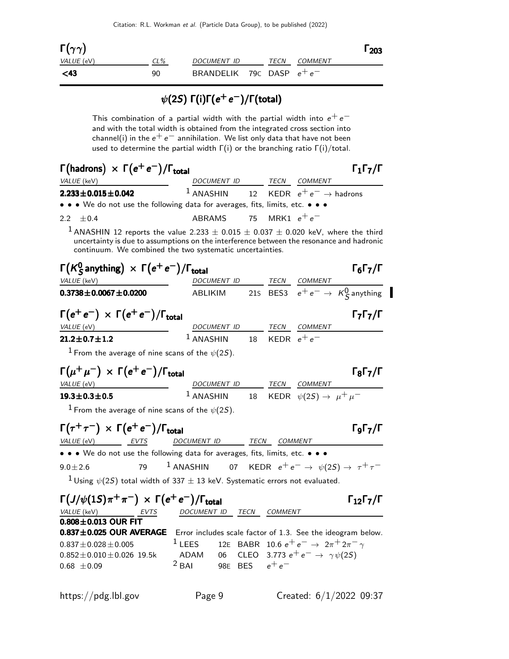| $\Gamma(\gamma\gamma)$ |        |                             |      |                | 1203 |
|------------------------|--------|-----------------------------|------|----------------|------|
| VALUE (eV)             | $CL\%$ | DOCUMENT ID                 | TECN | <i>COMMENT</i> |      |
| $<$ 43                 | 90     | BRANDELIK 790 DASP $e^+e^-$ |      |                |      |

# $\psi(2S)$  Γ(i)Γ( $e^+e^-)$ /Γ(total)

This combination of a partial width with the partial width into  $e^+e^$ and with the total width is obtained from the integrated cross section into channel(i) in the  $e^+e^-$  annihilation. We list only data that have not been used to determine the partial width  $\Gamma(i)$  or the branching ratio  $\Gamma(i)/\text{total}$ .

| $\Gamma(\text{hadrons}) \times \Gamma(e^+e^-)/\Gamma_{\text{total}}$                                            |                                                                                                                                                                                                                                                          |      |                                     |                                                        | $\Gamma_1\Gamma_7/\Gamma$                                                               |
|-----------------------------------------------------------------------------------------------------------------|----------------------------------------------------------------------------------------------------------------------------------------------------------------------------------------------------------------------------------------------------------|------|-------------------------------------|--------------------------------------------------------|-----------------------------------------------------------------------------------------|
| VALUE (keV)                                                                                                     | DOCUMENT ID TECN COMMENT                                                                                                                                                                                                                                 |      |                                     |                                                        |                                                                                         |
| $2.233 \pm 0.015 \pm 0.042$                                                                                     | $1$ ANASHIN                                                                                                                                                                                                                                              | 12   |                                     | KEDR $e^+e^- \rightarrow$ hadrons                      |                                                                                         |
| • • • We do not use the following data for averages, fits, limits, etc. • • •                                   |                                                                                                                                                                                                                                                          |      |                                     |                                                        |                                                                                         |
| ±0.4<br>2.2                                                                                                     | <b>ABRAMS</b>                                                                                                                                                                                                                                            | 75   |                                     | MRK1 $e^+e^-$                                          |                                                                                         |
|                                                                                                                 | $^1$ ANASHIN 12 reports the value 2.233 $\pm$ 0.015 $\pm$ 0.037 $\pm$ 0.020 keV, where the third<br>uncertainty is due to assumptions on the interference between the resonance and hadronic<br>continuum. We combined the two systematic uncertainties. |      |                                     |                                                        |                                                                                         |
| $\Gamma(K_S^0$ anything) $\times \Gamma(e^+e^-)/\Gamma_{\text{total}}$                                          |                                                                                                                                                                                                                                                          |      |                                     |                                                        | $\Gamma_6\Gamma_7/\Gamma$                                                               |
| VALUE (keV)                                                                                                     |                                                                                                                                                                                                                                                          |      |                                     |                                                        | <u>DOCUMENT ID</u> TECN COMMENT<br>ABLIKIM 215 BES3 $e^+e^- \rightarrow K^0_S$ anything |
| $0.3738 \pm 0.0067 \pm 0.0200$                                                                                  |                                                                                                                                                                                                                                                          |      |                                     |                                                        |                                                                                         |
| $\Gamma(e^+e^-) \times \Gamma(e^+e^-)/\Gamma_{\text{total}}$                                                    |                                                                                                                                                                                                                                                          |      |                                     |                                                        | $\Gamma_7\Gamma_7/\Gamma$                                                               |
| VALUE (eV)                                                                                                      | DOCUMENT ID TECN COMMENT                                                                                                                                                                                                                                 |      |                                     |                                                        |                                                                                         |
| $21.2 \pm 0.7 \pm 1.2$                                                                                          | $1$ ANASHIN                                                                                                                                                                                                                                              |      | 18 $\,$ KEDR $\,$ e $^{+}$ e $^{-}$ |                                                        |                                                                                         |
| $^1$ From the average of nine scans of the $\psi(2S)$ .                                                         |                                                                                                                                                                                                                                                          |      |                                     |                                                        |                                                                                         |
| $\Gamma(\mu^+\mu^-)\,\times\,\Gamma(e^+e^-)/\Gamma_{\rm total}$                                                 |                                                                                                                                                                                                                                                          |      |                                     |                                                        | $\Gamma_8 \Gamma_7 / \Gamma$                                                            |
| VALUE (eV)                                                                                                      | DOCUMENT ID TECN COMMENT<br><sup>1</sup> ANASHIN 18 KEDR $\psi(2S) \rightarrow \mu^+ \mu^-$                                                                                                                                                              |      |                                     |                                                        |                                                                                         |
| $19.3 \pm 0.3 \pm 0.5$                                                                                          |                                                                                                                                                                                                                                                          |      |                                     |                                                        |                                                                                         |
| <sup>1</sup> From the average of nine scans of the $\psi(2S)$ .                                                 |                                                                                                                                                                                                                                                          |      |                                     |                                                        |                                                                                         |
| $\Gamma(\tau^+\tau^-) \times \Gamma(e^+e^-)/\Gamma_{\text{total}}$<br>VALUE (eV)<br>EVTS                        | DOCUMENT ID TECN COMMENT                                                                                                                                                                                                                                 |      |                                     |                                                        | ГоГ7/Г                                                                                  |
| • • • We do not use the following data for averages, fits, limits, etc. • • •                                   |                                                                                                                                                                                                                                                          |      |                                     |                                                        |                                                                                         |
| 79<br>$9.0 \pm 2.6$                                                                                             | <sup>1</sup> ANASHIN 07 KEDR $e^+e^- \rightarrow \psi(2S) \rightarrow \tau^+\tau^-$                                                                                                                                                                      |      |                                     |                                                        |                                                                                         |
|                                                                                                                 | $^1$ Using $\psi(2S)$ total width of 337 $\pm$ 13 keV. Systematic errors not evaluated.                                                                                                                                                                  |      |                                     |                                                        |                                                                                         |
| $\Gamma\left(\frac{J}{\psi(1S)}\pi^{+}\pi^{-}\right)\times \Gamma\left(e^{+}e^{-}\right)/\Gamma_{\text{total}}$ |                                                                                                                                                                                                                                                          |      |                                     |                                                        | $\Gamma_{12}\Gamma_{7}/\Gamma$                                                          |
| VALUE (keV)<br>EVTS                                                                                             | DOCUMENT ID                                                                                                                                                                                                                                              | TECN | <i>COMMENT</i>                      |                                                        |                                                                                         |
| $0.808 \pm 0.013$ OUR FIT<br>$0.837 \pm 0.025$ OUR AVERAGE                                                      | Error includes scale factor of 1.3. See the ideogram below.                                                                                                                                                                                              |      |                                     |                                                        |                                                                                         |
| $0.837 \pm 0.028 \pm 0.005$                                                                                     | $1$ LEES                                                                                                                                                                                                                                                 |      |                                     | 12E BABR 10.6 $e^+e^- \rightarrow 2\pi^+2\pi^- \gamma$ |                                                                                         |
| $0.852 \pm 0.010 \pm 0.026$ 19.5k                                                                               | 06<br><b>ADAM</b>                                                                                                                                                                                                                                        |      |                                     | CLEO 3.773 $e^+e^- \rightarrow \gamma \psi(2S)$        |                                                                                         |
| $0.68 \pm 0.09$                                                                                                 | $2$ BAI                                                                                                                                                                                                                                                  |      | 98E BES $e^+e^-$                    |                                                        |                                                                                         |
|                                                                                                                 |                                                                                                                                                                                                                                                          |      |                                     |                                                        |                                                                                         |
| https://pdg.lbl.gov                                                                                             | Page 9                                                                                                                                                                                                                                                   |      |                                     |                                                        | Created: $6/1/2022$ 09:37                                                               |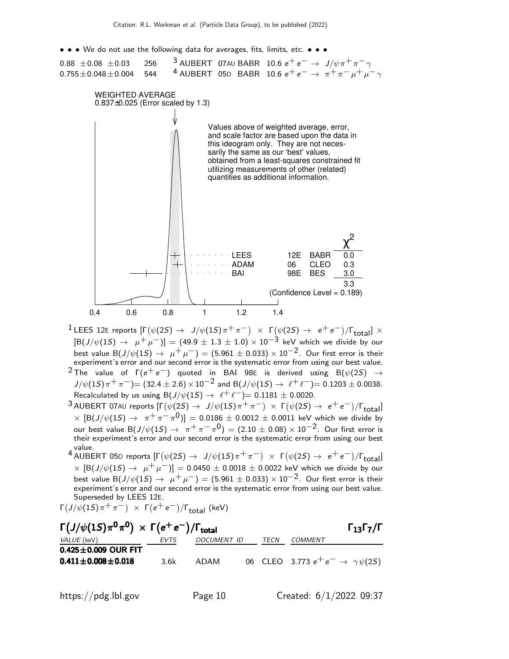• • • We do not use the following data for averages, fits, limits, etc. • • •



- $1$  LEES 12E reports  $[Γ(ψ(2S) → J/ψ(1S)π+π-) × Γ(ψ(2S) → e+e-)/Γ_{total}] ×$  $[\text{B}(J/\psi(1S) \rightarrow \mu^+ \mu^-)] = (49.9 \pm 1.3 \pm 1.0) \times 10^{-3}$  keV which we divide by our best value B(J/ $\psi$ (1S)  $\rightarrow \mu^+ \mu^-$ ) = (5.961  $\pm$  0.033) × 10<sup>-2</sup>. Our first error is their experiment's error and our second error is the systematic error from using our best value.
- <sup>2</sup> The value of  $\Gamma(e^+e^-)$  quoted in BAI 98E is derived using B $(\psi(2S)$  →  $J/\psi(1S)\pi^+\pi^-)$  = (32.4 ± 2.6) × 10<sup>-2</sup> and B( $J/\psi(1S) \to \ell^+\ell^-)$  = 0.1203 ± 0.0038. Recalculated by us using B( $J/\psi(1S) \rightarrow \ell^+ \ell^- = 0.1181 \pm 0.0020$ .
- $^3$  AUBERT 07AU reports  $[\Gamma(\psi(2S) \to \ J/\psi(1S) \pi^+ \pi^-) \ \times \ \Gamma(\psi(2S) \to \ e^+ \, e^-)/\Gamma_{\rm total}]$  $\times$   $[ B(J/\psi(15) \rightarrow \pi^{+}\pi^{-}\pi^{0})] = 0.0186 \pm 0.0012 \pm 0.0011$  keV which we divide by our best value B $(J/\psi(1S) \to -\pi^+ \pi^- \pi^0) = (2.10 \pm 0.08) \times 10^{-2}$ . Our first error is their experiment's error and our second error is the systematic error from using our best value.
- <sup>4</sup> AUBERT 05D reports [Γ $(\psi(2S) \rightarrow J/\psi(1S) \pi^+ \pi^-)$  × Γ $(\psi(2S) \rightarrow e^+ e^-)/\Gamma_{\text{total}}$ ]  $\times$  [B(J/ $\psi$ (1S)  $\rightarrow$   $\mu^+ \mu^-$ ]] = 0.0450  $\pm$  0.0018  $\pm$  0.0022 keV which we divide by our best value B(J/ $\psi$ (1S)  $\rightarrow \mu^+ \mu^-$ ) = (5.961 ± 0.033) × 10<sup>-2</sup>. Our first error is their experiment's error and our second error is the systematic error from using our best value. Superseded by LEES 12E.

 $\Gamma\left(J/\psi(1S)\pi^+\pi^-\right) \times \Gamma\left(e^+e^-\right)/\Gamma_{\text{total}}$  (keV)

| $\Gamma\left(J/\psi(1S)\pi^0\pi^0\right)\times \Gamma(e^+e^-)/\Gamma_{\text{total}}$ |      |             |      |                                            | $\Gamma_{13}\Gamma_{7}/\Gamma$ |
|--------------------------------------------------------------------------------------|------|-------------|------|--------------------------------------------|--------------------------------|
| <i>VALUE</i> (keV)                                                                   | EVTS | DOCUMENT ID | TECN | COMMENT                                    |                                |
| $0.425 \pm 0.009$ OUR FIT                                                            |      |             |      |                                            |                                |
| $0.411 \pm 0.008 \pm 0.018$                                                          | 3.6k | ADAM        |      | 06 CLEO 3.773 $e^+e^- \to \gamma \psi(25)$ |                                |
|                                                                                      |      |             |      |                                            |                                |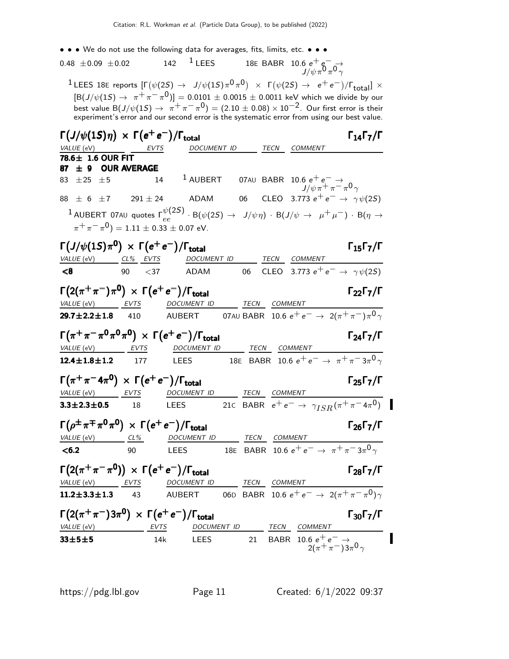| • • We do not use the following data for averages, fits, limits, etc. • • •                                                                                         |              |                                                                                                               |             |              |                                                                                                                                                         |                                                      |
|---------------------------------------------------------------------------------------------------------------------------------------------------------------------|--------------|---------------------------------------------------------------------------------------------------------------|-------------|--------------|---------------------------------------------------------------------------------------------------------------------------------------------------------|------------------------------------------------------|
| $0.48 \pm 0.09 \pm 0.02$                                                                                                                                            |              | 142 $\frac{1}{2}$ LEES                                                                                        |             |              | 18E BABR 10.6 $e^+e^- \rightarrow$<br>$J/\psi \pi^0 \pi^0 \gamma$                                                                                       |                                                      |
| <sup>1</sup> LEES 18E reports $[\Gamma(\psi(2S) \to J/\psi(1S)\pi^0\pi^0) \times \Gamma(\psi(2S) \to e^+e^-)/\Gamma_{\text{total}}] \times$                         |              |                                                                                                               |             |              |                                                                                                                                                         |                                                      |
|                                                                                                                                                                     |              | $[{\rm B}(J/\psi(1S) \to \pi^+\pi^-\pi^0)] = 0.0101 \pm 0.0015 \pm 0.0011$ keV which we divide by our         |             |              |                                                                                                                                                         |                                                      |
|                                                                                                                                                                     |              | best value B $(J/\psi(1S) \to \pi^+ \pi^- \pi^0) = (2.10 \pm 0.08) \times 10^{-2}$ . Our first error is their |             |              |                                                                                                                                                         |                                                      |
|                                                                                                                                                                     |              | experiment's error and our second error is the systematic error from using our best value.                    |             |              |                                                                                                                                                         |                                                      |
| $\Gamma(J/\psi(1S)\eta) \times \Gamma(e^+e^-)/\Gamma_{\rm total}$                                                                                                   |              |                                                                                                               |             | TECN         |                                                                                                                                                         | $\Gamma_{14}\Gamma_{7}/\Gamma$                       |
| VALUE (eV)<br>78.6± 1.6 OUR FIT                                                                                                                                     | EVIS         |                                                                                                               | DOCUMENT ID |              | COMMENT                                                                                                                                                 |                                                      |
| ± 9 OUR AVERAGE<br>87                                                                                                                                               |              |                                                                                                               |             |              |                                                                                                                                                         |                                                      |
| $±25$ $±5$<br>83 -                                                                                                                                                  | 14           | $1$ AUBERT                                                                                                    |             |              | 07AU BABR 10.6 $e^+e^- \rightarrow$<br>$J/\psi \pi^+ \pi^- \pi^0 \gamma$                                                                                |                                                      |
| $88 \pm 6 \pm 7$                                                                                                                                                    | 29 $1\pm 24$ | <b>ADAM</b>                                                                                                   |             |              | 06 CLEO 3.773 $e^+e^- \to \gamma \psi(25)$                                                                                                              |                                                      |
| $1$ AUBERT 07AU quotes $\Gamma^{\psi(2S)}_{ee} \cdot$ B $(\psi(2S) \rightarrow J/\psi \eta) \cdot$ B $(J/\psi \rightarrow \mu^+ \mu^-) \cdot$ B $(\eta \rightarrow$ |              |                                                                                                               |             |              |                                                                                                                                                         |                                                      |
| $\pi^+ \pi^- \pi^0$ ) = 1.11 $\pm$ 0.33 $\pm$ 0.07 eV.                                                                                                              |              |                                                                                                               |             |              |                                                                                                                                                         |                                                      |
|                                                                                                                                                                     |              |                                                                                                               |             |              |                                                                                                                                                         |                                                      |
| $\Gamma\left(J/\psi(1S)\pi^0\right) \times \Gamma\left(e^+e^-\right)/\Gamma_{\rm total}$                                                                            |              |                                                                                                               |             |              |                                                                                                                                                         | $\Gamma_{15}\Gamma_{7}/\Gamma$                       |
| VALUE (eV) CL% EVTS                                                                                                                                                 |              | DOCUMENT ID                                                                                                   |             |              | TECN COMMENT                                                                                                                                            |                                                      |
| $\leq 8$                                                                                                                                                            | 90 $<$ 37    | ADAM                                                                                                          | 06          |              | CLEO 3.773 $e^+e^- \rightarrow \gamma \psi(2S)$                                                                                                         |                                                      |
| $\Gamma(2(\pi^+\pi^-)\pi^0) \, \times \, \Gamma(e^+e^-)/\Gamma_{\rm total}$                                                                                         |              |                                                                                                               |             |              |                                                                                                                                                         | $\Gamma_{22}\Gamma_{7}/\Gamma$                       |
| VALUE (eV) EVTS                                                                                                                                                     |              | DOCUMENT ID                                                                                                   | <b>TECN</b> | COMMENT      |                                                                                                                                                         |                                                      |
| $29.7 \pm 2.2 \pm 1.8$                                                                                                                                              | 410          | AUBERT                                                                                                        |             |              | 07AU BABR $\,$ 10.6 $\mathrm{e^+e^-} \rightarrow \,$ 2( $\pi^+\pi^-$ ) $\pi^0\gamma$                                                                    |                                                      |
|                                                                                                                                                                     |              |                                                                                                               |             |              |                                                                                                                                                         |                                                      |
| $\Gamma(\pi^+\pi^-\pi^0\pi^0\pi^0) \times \Gamma(e^+e^-)/\Gamma_{\text{total}}$                                                                                     |              |                                                                                                               |             |              |                                                                                                                                                         | $\Gamma_{24}\Gamma_{7}/\Gamma$                       |
| $VALUE$ (eV) EVTS                                                                                                                                                   |              | <b>DOCUMENT ID</b>                                                                                            |             | TECN COMMENT |                                                                                                                                                         |                                                      |
| $12.4 \pm 1.8 \pm 1.2$ 177                                                                                                                                          |              | <b>LEES</b>                                                                                                   |             |              | 18E BABR 10.6 $e^+e^- \rightarrow \pi^+\pi^-\overline{3\pi^0\gamma}$                                                                                    |                                                      |
| $\Gamma(\pi^+\pi^-4\pi^0) \times \Gamma(e^+e^-)/\Gamma_{\text{total}}$                                                                                              |              |                                                                                                               |             |              |                                                                                                                                                         | $\Gamma_{25}\Gamma_{7}/\Gamma$                       |
| VALUE (eV)<br>EVTS                                                                                                                                                  |              | DOCUMENT ID                                                                                                   |             | TECN COMMENT |                                                                                                                                                         |                                                      |
| $3.3 \pm 2.3 \pm 0.5$                                                                                                                                               | 18           | LEES                                                                                                          |             |              |                                                                                                                                                         | 21C BABR $e^+e^- \to \gamma_{ISR}(\pi^+\pi^-4\pi^0)$ |
|                                                                                                                                                                     |              |                                                                                                               |             |              |                                                                                                                                                         |                                                      |
| $\Gamma(\rho^{\pm}\pi^{\mp}\pi^{0}\pi^{0}) \times \Gamma(e^{+}e^{-})/\Gamma_{\text{total}}$                                                                         |              |                                                                                                               |             |              |                                                                                                                                                         | $\Gamma_{26}\Gamma_{7}/\Gamma$                       |
| $VALUE$ (eV) $CL\%$                                                                                                                                                 |              | DOCUMENT ID TECN COMMENT                                                                                      |             |              |                                                                                                                                                         |                                                      |
| < 6.2                                                                                                                                                               | 90           | <b>LEES</b>                                                                                                   |             |              | $\frac{12 \text{ EUV}}{18}$ $\frac{12 \text{ EUV}}{188}$ $\frac{12 \text{ EUV}}{10.6 \text{ e}^+ \text{ e}^-}$ $\rightarrow \pi^+ \pi^- 3 \pi^0 \gamma$ |                                                      |
|                                                                                                                                                                     |              |                                                                                                               |             |              |                                                                                                                                                         |                                                      |
| $\Gamma(2(\pi^+\pi^-\pi^0)) \times \Gamma(e^+e^-)/\Gamma_{\text{total}}$                                                                                            |              |                                                                                                               |             |              |                                                                                                                                                         | $\Gamma_{28}\Gamma_{7}/\Gamma$                       |
| VALUE (eV) EVTS                                                                                                                                                     |              | DOCUMENT ID                                                                                                   |             | TECN COMMENT |                                                                                                                                                         |                                                      |
| $11.2 \pm 3.3 \pm 1.3$ 43                                                                                                                                           |              | AUBERT 06D BABR 10.6 $e^+e^- \rightarrow 2(\pi^+\pi^-\pi^0)\gamma$                                            |             |              |                                                                                                                                                         |                                                      |
| $\Gamma(2(\pi^+\pi^-)3\pi^0) \times \Gamma(e^+e^-)/\Gamma_{\text{total}}$                                                                                           |              |                                                                                                               |             |              |                                                                                                                                                         | $\Gamma_{30}\Gamma_{7}/\Gamma$                       |
| VALUE (eV) EVTS                                                                                                                                                     |              |                                                                                                               |             |              | DOCUMENT ID TECN COMMENT                                                                                                                                |                                                      |
| $33 + 5 + 5$                                                                                                                                                        | 14k          | <b>LEES</b>                                                                                                   | 21          |              | BABR 10.6 $e^+e^- \rightarrow$                                                                                                                          |                                                      |
|                                                                                                                                                                     |              |                                                                                                               |             |              | $2(\pi^+\pi^-)3\pi^0\gamma$                                                                                                                             |                                                      |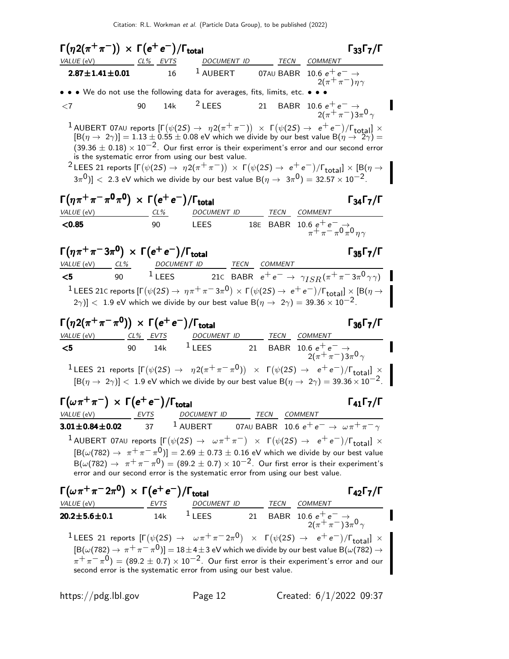$\Gamma(\eta 2(\pi^+\pi^-)) \times \Gamma(e^+e^-)/\Gamma_{\text{total}}$  Γ<sub>33</sub>Γ<sub>7</sub>/Γ  $\Gamma_{33}\Gamma_{7}/\Gamma$ VALUE (eV) CL% EVTS DOCUMENT ID TECN COMMENT **2.87±1.41±0.01** 16 <sup>1</sup> AUBERT 07AU BABR 10.6  $e^+e^- \rightarrow$  $2(\pi^+\pi^-)\eta\gamma$ • • • We do not use the following data for averages, fits, limits, etc. • •  $<$ 7 90 14k  $^2$  LEES 21 BABR 10.6 e<sup>+</sup> e<sup>−</sup> → I  $2(\pi^{+}\pi^{-})3\pi^{0}\gamma$ **1** AUBERT 07AU reports  $[\Gamma(\psi(2S) \rightarrow \eta 2(\pi^+\pi^-)) \times \Gamma(\psi(2S) \rightarrow e^+e^-)/\Gamma_{\text{total}}] \times [\mathsf{B}(\eta \rightarrow 2\gamma)] = 1.13 \pm 0.55 \pm 0.08$  eV which we divide by our best value  $\mathsf{B}(\eta \rightarrow 2\gamma) =$  $(39.36 \pm 0.18) \times 10^{-2}$ . Our first error is their experiment's error and our second error is the systematic error from using our best value. <sup>2</sup> LEES 21 reports [Γ( $ψ$ (2*S*) →  $η$ 2( $π$ <sup>+</sup>  $π$ <sup>-</sup>)) × Γ( $ψ$ (2*S*) →  $e^+e^-$ )/Γ<sub>total</sub>] × [Β( $η$  →  $(3\pi^0)] <~2.3$  eV which we divide by our best value B $(\eta\to~3\pi^0)=32.57\times 10^{-2}.$ Γ $(\eta \pi^+ \pi^- \pi^0 \pi^0) \times \Gamma(e^+ e^-)/\Gamma_{\text{total}}$  Γ $_{34}$ Γ $_{7}/\Gamma$ VALUE (eV) CL% DOCUMENT ID TECN COMMENT **<0.85** 90 LEES 18E BABR 10.6  $e^+ e^-$  →  $\frac{1}{\pi} + \frac{1}{\pi} - \frac{1}{\pi}0 + \frac{1}{\pi}$ 0  $_{\eta\gamma}$ Γ $(\eta \pi^+ \pi^- 3 \pi^0) \times \Gamma(e^+ e^-)/\Gamma_{\text{total}}$  Γ $_{35}$ Γ $_{7}$ /Γ Γ<sub>35</sub>Γ<sub>7</sub>/Γ VALUE (eV) CL% DOCUMENT ID TECN COMMENT  $5$  90 <sup>1</sup> LEES 21c BABR  $e^+e^-$  →  $\gamma_{ISR}(\pi^+\pi^-3\pi^0\gamma\gamma)$  $^{1}$  LEES 21C reports [Γ $(\psi(2S) \rightarrow \eta \pi^+ \pi^- 3 \pi^0) \times$  Γ $(\psi(2S) \rightarrow e^+ e^-)/$ Γ $_{\rm total}$ ]  $\times$  [Β $(\eta \rightarrow$  $|2\gamma\rangle$ ] < 1.9 eV which we divide by our best value B( $\eta \to 2\gamma$ ) = 39.36 × 10<sup>-2</sup>.  $\Gamma(\eta 2(\pi^+\pi^-\pi^0)) \times \Gamma(e^+e^-)/\Gamma_{\rm total}$  Γ<sub>36</sub>Γ<sub>7</sub>/Γ  $\Gamma_{36}\Gamma_{7}/\Gamma$ VALUE (eV) CL% EVTS DOCUMENT ID TECN COMMENT  $\textsf{\textbf{<5}}$  90 14k  $^1$  LEES 21 BABR 10.6  $e^+$  e<sup>−</sup> →  $2(\pi^{+}\pi^{-})3\pi^{0}\gamma$ <sup>1</sup>LEES 21 reports  $[\Gamma(\psi(2S) \rightarrow \eta 2(\pi^+\pi^-\pi^0)) \times \Gamma(\psi(2S) \rightarrow e^+e^-)/\Gamma_{\text{total}}] \times$  $[B(\eta \to 2\gamma)] < 1.9$  eV which we divide by our best value  $B(\eta \to 2\gamma) = 39.36 \times 10^{-2}$ .  $\Gamma(\omega \pi^+ \pi^-) \times \Gamma(e^+ e^-) / \Gamma_{\text{total}}$  Γ<sub>41</sub>Γ<sub>7</sub>/Γ VALUE (eV) EVTS DOCUMENT ID TECN COMMENT **3.01±0.84±0.02** 37 <sup>1</sup> AUBERT 07AU BABR 10.6  $e^+e^- \rightarrow \omega \pi^+ \pi^- \gamma$  $^1$  AUBERT 07A∪ reports  $[Γ(ψ(2S) → ωπ+π-) × Γ(ψ(2S) → e+e-)/Γ_{total}] ×$  $[{\rm B}(\omega(782) \rightarrow \pi^+\pi^-\pi^0)] = 2.69 \pm 0.73 \pm 0.16$  eV which we divide by our best value  ${\cal B}(\omega(782)\to~\pi^+\pi^-\pi^0)=(89.2\pm 0.7)\times 10^{-2}.$  Our first error is their experiment's error and our second error is the systematic error from using our best value.  $\Gamma(\omega \pi^+ \pi^- 2\pi^0) \times \Gamma(e^+ e^-)/\Gamma_{\rm total}$  Γ<sub>42</sub>Γ<sub>7</sub>/Γ VALUE (eV) EVTS DOCUMENT ID TECN COMMENT 20.2 $\pm$ 5.6 $\pm$ 0.1 14k  $^1$  LEES 21 BABR 10.6  $e^+$   $e^ \rightarrow$  $2(\pi^{+}\pi^{-})3\pi^{0}\gamma$  $1$  LEES 21 reports  $[Γ(ψ(2S) → ωπ+π−2π<sup>0</sup>) × Γ(ψ(2S) → e+e−)/Γ$ <sub>total</sub>] ×  $[\hbox{B}(\omega(782)\to\pi^+\pi^-\pi^0)]=$   $18\pm4\pm3$  eV which we divide by our best value  $\hbox{B}(\omega(782)\to$  $(\pi^+\pi^-\pi^0)=(89.2\pm 0.7)\times 10^{-2}.$  Our first error is their experiment's error and our second error is the systematic error from using our best value.

https://pdg.lbl.gov Page 12 Created: 6/1/2022 09:37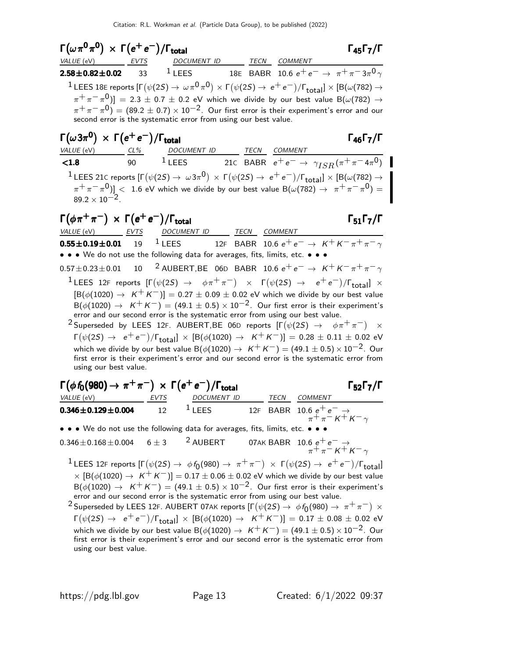Γ $(\omega \pi^0 \pi^0) \times \Gamma(e^+ e^-)/\Gamma_{\text{total}}$  Γ<sub>45</sub>Γ<sub>7</sub>/Γ VALUE (eV) **EVTS** DOCUMENT ID TECN COMMENT  $\textbf{2.58} \pm \textbf{0.82} \pm \textbf{0.02}$  33  $^1$  LEES 18E BABR 10.6  $e^+ \, e^- \rightarrow \, \pi^+ \pi^- \, 3 \pi^0 \, \gamma$  $^1$  LEES 18E reports  $[\Gamma(\psi(2S) \to \omega \pi^0 \pi^0) \times \Gamma(\psi(2S) \to e^+e^-)/\Gamma_{\rm total}] \times [B(\omega(782) \to e^+e^-)]$  $(\pi^+\pi^-\pi^0)]=2.3\pm0.7\pm0.2$  eV which we divide by our best value B( $\omega(782)\rightarrow0$  $(\pi^+\pi^-\pi^0)=(89.2\pm 0.7)\times 10^{-2}.$  Our first error is their experiment's error and our second error is the systematic error from using our best value.  $\Gamma(\omega 3\pi^{\mathbf{0}}) \; \times \; \Gamma(e^+e^-)/\Gamma_{\text{total}}$  Γ<sub>46</sub>Γ<sub>7</sub>/Γ VALUE (eV) CL% DOCUMENT ID TECN COMMENT **<1.8** 90 <sup>1</sup> LEES 21C BABR  $e^+e^- \to \gamma_{ISR}(\pi^+\pi^-4\pi^0)$  $^1$  LEES 21C reports  $[Γ(ψ(2S) → ω3π<sup>0</sup>) × Γ(ψ(2S) → e<sup>+</sup>e<sup>-</sup>)/Γ<sub>total</sub>] × [B(ω(782) →$  $(\pi^+\pi^-\pi^0)] <~1.6$  eV which we divide by our best value B $(\omega(782) \rightarrow~\pi^+\pi^-\pi^0) = 0$  $89.2 \times 10^{-2}$ .  $\Gamma(\phi \pi^+ \pi^-) \times \Gamma(e^+ e^-) / \Gamma_{\text{total}}$  Γ<sub>51</sub>Γ<sub>7</sub>/Γ VALUE (eV) EVTS DOCUMENT ID TECN COMMENT **0.55±0.19±0.01** 19 <sup>1</sup> LEES 12F BABR 10.6  $e^+e^- \to K^+K^-\pi^+\pi^-\gamma$ • • • We do not use the following data for averages, fits, limits, etc. • • •  $0.57\pm0.23\pm0.01$  10 <sup>2</sup> AUBERT, BE 06D BABR 10.6  $e^+e^- \rightarrow K^+K^-\pi^+\pi^-\gamma$  $1$  LEES 12F reports  $[Γ(ψ(2S) → φπ+π-) × Γ(ψ(2S) → e+e-)/Γ_{total}] ×$  $[B(\phi(1020) \to K^+ K^-)] = 0.27 \pm 0.09 \pm 0.02$  eV which we divide by our best value  ${\sf B}(\phi(1020)\to~$  K $^+$  K $^-)$   $=$   $(49.1\pm0.5)\times10^{-2}.$  Our first error is their experiment's error and our second error is the systematic error from using our best value. <sup>2</sup> Superseded by LEES 12F. AUBERT, BE 06D reports  $[\Gamma(\psi(2S) \rightarrow \phi \pi^+ \pi^-) \times$  $\Gamma(\psi(2S) \to e^+e^-)/\Gamma_{\text{total}}] \times [B(\phi(1020) \to K^+K^-)] = 0.28 \pm 0.11 \pm 0.02$  eV which we divide by our best value B( $\phi$ (1020)  $\rightarrow$  K<sup>+</sup>K<sup>-</sup>) = (49.1 ± 0.5) × 10<sup>-2</sup>. Our first error is their experiment's error and our second error is the systematic error from using our best value.  $\Gamma(\phi f_0(980) \rightarrow \pi^+ \pi^-) \times \Gamma(e^+ e^-)/\Gamma_{\text{total}}$  Γ<sub>52</sub>Γ<sub>7</sub>/Γ  $\Gamma_{52}\Gamma_{7}/\Gamma$ 

| <i>VALUE</i> (eV)                                                             | EVTS | DOCUMENT ID        | <b>TFCN</b> | <i>COMMENT</i>                                                |
|-------------------------------------------------------------------------------|------|--------------------|-------------|---------------------------------------------------------------|
| $0.346 \pm 0.129 \pm 0.004$                                                   | 12   | $\frac{1}{2}$ LEES |             | 12F BABR 10.6 $e^+e^- \rightarrow \pi^+ \pi^- K^+ K^- \gamma$ |
| • • • We do not use the following data for averages, fits, limits, etc. • • • |      |                    |             |                                                               |

 $0.346 \pm 0.168 \pm 0.004$  6  $\pm$  3  $^2$  AUBERT 07AK BABR  $10.6$   $e^+$   $e^ \rightarrow$  $\tilde{\pi} + \pi - \kappa + \kappa - \gamma$ 

 $^1$ LEES 12F reports [Γ $(\psi(2S) \rightarrow \phi f_0(980) \rightarrow \pi^+ \pi^-)$  × Γ $(\psi(2S) \rightarrow e^+ e^-)/$ Γ<sub>total</sub>]  $\times$  [B( $\phi(1020)\rightarrow$  K $^+$  K $^-)$ ] = 0.17  $\pm$  0.06  $\pm$  0.02 eV which we divide by our best value  $B(\phi(1020) \rightarrow K^+K^-) = (49.1 \pm 0.5) \times 10^{-2}$ . Our first error is their experiment's error and our second error is the systematic error from using our best value.

 $^2$ Superseded by LEES 12F. AUBERT 07AK reports  $[\Gamma(\psi(2S) \to \; \phi\, f_0(980) \to \; \pi^+ \, \pi^-) \; \times]$  $\Gamma(\psi(2S) \to e^+e^-)/\Gamma_{\rm total} \times [\rm B(\phi(1020) \to K^+K^-)] = 0.17 \pm 0.08 \pm 0.02$  eV which we divide by our best value B( $\phi$ (1020)  $\rightarrow$  K<sup>+</sup>K<sup>-</sup>) = (49.1 ± 0.5) × 10<sup>-2</sup>. Our first error is their experiment's error and our second error is the systematic error from using our best value.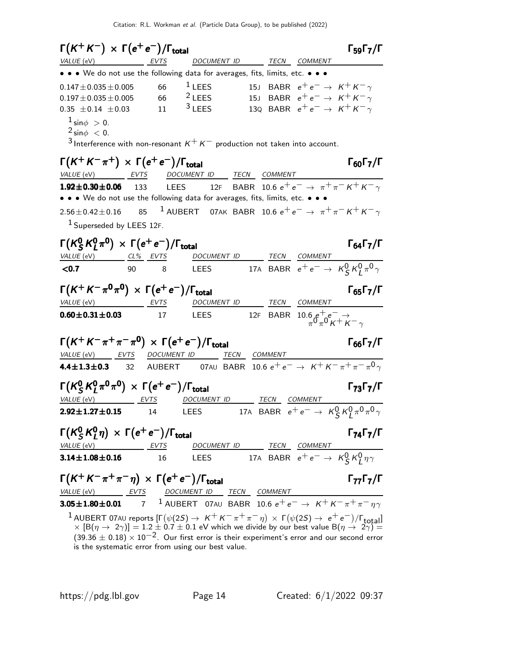| $\Gamma(K^+K^-) \times \Gamma(e^+e^-)/\Gamma_{\rm total}$                                                                                                                                                                                                                                                                                                                                                                                                                                                                      | $\Gamma_{59}\Gamma_{7}/\Gamma$    |
|--------------------------------------------------------------------------------------------------------------------------------------------------------------------------------------------------------------------------------------------------------------------------------------------------------------------------------------------------------------------------------------------------------------------------------------------------------------------------------------------------------------------------------|-----------------------------------|
| VALUE (eV) EVTS DOCUMENT ID TECN COMMENT                                                                                                                                                                                                                                                                                                                                                                                                                                                                                       |                                   |
| • • • We do not use the following data for averages, fits, limits, etc. • • •                                                                                                                                                                                                                                                                                                                                                                                                                                                  |                                   |
| $1$ LEES<br>15J BABR $e^+e^- \rightarrow K^+K^-\gamma$<br>66<br>$0.147 \pm 0.035 \pm 0.005$                                                                                                                                                                                                                                                                                                                                                                                                                                    |                                   |
| $2$ LEES<br>15J BABR $e^+e^- \rightarrow K^+K^- \gamma$<br>66<br>$0.197 \pm 0.035 \pm 0.005$                                                                                                                                                                                                                                                                                                                                                                                                                                   |                                   |
| $3$ LEES<br>130 BABR $e^+e^- \rightarrow K^+K^-\gamma$<br>$0.35 \pm 0.14 \pm 0.03$ 11                                                                                                                                                                                                                                                                                                                                                                                                                                          |                                   |
| $1 \sin \phi > 0$ .<br>$2 \sin \phi < 0$ .<br><sup>3</sup> Interference with non-resonant $K^+K^-$ production not taken into account.                                                                                                                                                                                                                                                                                                                                                                                          |                                   |
| $\Gamma(K^+K^-\pi^+) \times \Gamma(e^+e^-)/\Gamma_{\rm total}$                                                                                                                                                                                                                                                                                                                                                                                                                                                                 | $\Gamma_{60}\Gamma_{7}/\Gamma$    |
| VALUE (eV) EVTS DOCUMENT ID TECN COMMENT                                                                                                                                                                                                                                                                                                                                                                                                                                                                                       |                                   |
| <b>1.92±0.30±0.06</b> 133 LEES 12F BABR 10.6 $e^+e^- \rightarrow \pi^+\pi^-K^+K^-\gamma$                                                                                                                                                                                                                                                                                                                                                                                                                                       |                                   |
| • • • We do not use the following data for averages, fits, limits, etc. • • •                                                                                                                                                                                                                                                                                                                                                                                                                                                  |                                   |
| <sup>1</sup> AUBERT 07AK BABR 10.6 $e^+e^- \rightarrow \pi^+\pi^-K^+K^-\gamma$<br>85<br>$2.56 \pm 0.42 \pm 0.16$                                                                                                                                                                                                                                                                                                                                                                                                               |                                   |
| <sup>1</sup> Superseded by LEES 12F.                                                                                                                                                                                                                                                                                                                                                                                                                                                                                           |                                   |
| $\Gamma(K_S^0 K_I^0 \pi^0) \times \Gamma(e^+ e^-)/\Gamma_{\rm total}$                                                                                                                                                                                                                                                                                                                                                                                                                                                          | $\Gamma_{64}\Gamma_{7}/\Gamma$    |
| <u>DOCUMENT ID TECN</u> COMMENT<br>LEES 17A BABR $e^+e^- \rightarrow K^0_S K^0_I \pi^0 \gamma$<br>$VALUE (eV)$ $CL\%$ $EVTS$                                                                                                                                                                                                                                                                                                                                                                                                   |                                   |
| < 0.7<br>90 — 10<br>8                                                                                                                                                                                                                                                                                                                                                                                                                                                                                                          |                                   |
| $\Gamma(K^+K^-\pi^0\pi^0) \times \Gamma(e^+e^-)/\Gamma_{\rm total}$                                                                                                                                                                                                                                                                                                                                                                                                                                                            | $\Gamma_{65}$ $\Gamma_{7}/\Gamma$ |
| VALUE (eV) EVTS<br>DOCUMENT ID TECN COMMENT                                                                                                                                                                                                                                                                                                                                                                                                                                                                                    |                                   |
| LEES 12F BABR $10.6 e^+ e^- \rightarrow$<br>$\pi^0 \pi^0 K^+ K^- \gamma$<br>$0.60 \pm 0.31 \pm 0.03$ 17                                                                                                                                                                                                                                                                                                                                                                                                                        |                                   |
| $\Gamma(K^+K^-\pi^+\pi^-\pi^0) \times \Gamma(e^+e^-)/\Gamma_{\text{total}}$                                                                                                                                                                                                                                                                                                                                                                                                                                                    | $\Gamma_{66}\Gamma_{7}/\Gamma$    |
| VALUE (eV) EVTS DOCUMENT ID TECN COMMENT                                                                                                                                                                                                                                                                                                                                                                                                                                                                                       |                                   |
| <b>4.4±1.3±0.3</b> 32 AUBERT 07AU BABR 10.6 $e^+e^- \to K^+K^-\pi^+\pi^-\pi^0\gamma$                                                                                                                                                                                                                                                                                                                                                                                                                                           |                                   |
| $\Gamma(K^0_S K^0_I \pi^0 \pi^0) \times \Gamma(e^+ e^-)/\Gamma_{\text{total}}$                                                                                                                                                                                                                                                                                                                                                                                                                                                 | $\Gamma_{73}\Gamma_{7}/\Gamma$    |
| VALUE (eV) EVTS DOCUMENT ID TECN COMMENT                                                                                                                                                                                                                                                                                                                                                                                                                                                                                       |                                   |
| <b>2.92±1.27±0.15</b> 14 LEES 17A BABR $e^+e^- \to K^0_S K^0_I \pi^0 \pi^0 \gamma$                                                                                                                                                                                                                                                                                                                                                                                                                                             |                                   |
| $\Gamma(K_S^0 K_I^0 \eta) \times \Gamma(e^+ e^-)/\Gamma_{\text{total}}$                                                                                                                                                                                                                                                                                                                                                                                                                                                        | $\Gamma_{74}\Gamma_{7}/\Gamma$    |
| DOCUMENT ID<br>VALUE (eV)<br>TECN COMMENT<br>EVTS                                                                                                                                                                                                                                                                                                                                                                                                                                                                              |                                   |
| 17A BABR $\frac{12 \text{C} \cdot \text{C} \cdot \text{C} \cdot \text{C} \cdot \text{C} \cdot \text{C} \cdot \text{C} \cdot \text{C} \cdot \text{C} \cdot \text{C} \cdot \text{C} \cdot \text{C} \cdot \text{C} \cdot \text{C} \cdot \text{C} \cdot \text{C} \cdot \text{C} \cdot \text{C} \cdot \text{C} \cdot \text{C} \cdot \text{C} \cdot \text{C} \cdot \text{C} \cdot \text{C} \cdot \text{C} \cdot \text{C} \cdot \text{C} \cdot \text{C} \cdot \text{C} \cdot \text{$<br>$3.14 \pm 1.08 \pm 0.16$<br>16<br><b>LEES</b> |                                   |
| $\Gamma(K^+K^-\pi^+\pi^-\eta) \times \Gamma(e^+e^-)/\Gamma_{\text{total}}$                                                                                                                                                                                                                                                                                                                                                                                                                                                     | $\Gamma_{77}\Gamma_{7}/\Gamma$    |
| $\frac{\textit{VALUE (eV)}}{3.05 \pm 1.80 \pm 0.01} \frac{\textit{EVTS}}{7} \frac{\textit{DOCUMENT ID}}{1 \text{ AUBERT O7AU BABR 10.6 e}^+ e^-} \times \frac{\textit{COMMENT}}{10.6 \pm 1.80 \pm 0.01}$                                                                                                                                                                                                                                                                                                                       |                                   |
|                                                                                                                                                                                                                                                                                                                                                                                                                                                                                                                                |                                   |
| 1 AUBERT 07AU reports $[\Gamma(\psi(2S) \to K^+ K^- \pi^+ \pi^- \eta) \times \Gamma(\psi(2S) \to e^+ e^-)/\Gamma_{\text{total}}] \times [B(\eta \to 2\gamma)] = 1.2 \pm 0.7 \pm 0.1$ eV which we divide by our best value $B(\eta \to 2\gamma) =$<br>$(39.36 \pm 0.18) \times 10^{-2}$ . Our first error is their experiment's error and our second error<br>is the systematic error from using our best value.                                                                                                                |                                   |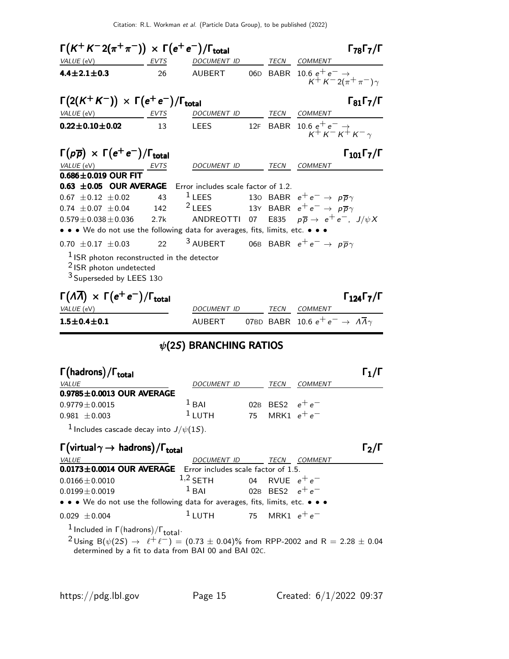Citation: R.L. Workman et al. (Particle Data Group), to be published (2022)

| $\Gamma(K^+K^-2(\pi^+\pi^-)) \times \Gamma(e^+e^-)/\Gamma_{\text{total}}$                                                 |      |                                                               |  | $\Gamma_{78}\Gamma_{7}/\Gamma$                                                |
|---------------------------------------------------------------------------------------------------------------------------|------|---------------------------------------------------------------|--|-------------------------------------------------------------------------------|
| VALUE (eV)                                                                                                                | EVTS | DOCUMENT ID                                                   |  | TECN COMMENT                                                                  |
| $4.4 \pm 2.1 \pm 0.3$                                                                                                     | 26   | AUBERT                                                        |  | 06D BABR 10.6 $e^+e^- \rightarrow$<br>$K^{+} K^{-} 2(\pi^{+} \pi^{-}) \gamma$ |
| $\Gamma(2(K^+K^-)) \times \Gamma(e^+e^-)/\Gamma_{\text{total}}$                                                           |      |                                                               |  | $\Gamma_{81}\Gamma_{7}/\Gamma$                                                |
| $VALUE$ (eV) EVTS                                                                                                         |      | DOCUMENT ID TECN COMMENT                                      |  |                                                                               |
| $0.22 \pm 0.10 \pm 0.02$                                                                                                  | 13   | <b>LEES</b>                                                   |  | 12F BABR 10.6 $e^+e^- \rightarrow$<br>$K^{+}K^{-}K^{+}K^{-}$                  |
| $\Gamma(p\overline{p}) \times \Gamma(e^+e^-)/\Gamma_{\text{total}}$                                                       |      |                                                               |  | $\Gamma_{101}\Gamma_{7}/\Gamma$                                               |
| VALUE (eV) ____________________ EVTS                                                                                      |      | DOCUMENT ID                                                   |  | TECN COMMENT                                                                  |
| $0.686 \pm 0.019$ OUR FIT                                                                                                 |      |                                                               |  |                                                                               |
| 0.63 $\pm$ 0.05 OUR AVERAGE Error includes scale factor of 1.2.                                                           |      |                                                               |  |                                                                               |
| $0.67 \pm 0.12 \pm 0.02$                                                                                                  | 43   | $1$ LEES                                                      |  | 130 BABR $e^+e^- \rightarrow p\overline{p}\gamma$                             |
| $0.74 \pm 0.07 \pm 0.04$ 142                                                                                              |      | $^2$ LEES 13Y BABR $e^+e^- \rightarrow p \overline{p} \gamma$ |  |                                                                               |
| $0.579 \pm 0.038 \pm 0.036$                                                                                               | 2.7k |                                                               |  | ANDREOTTI 07 E835 $p\overline{p}\rightarrow\ e^+e^-$ , J/ $\psi X$            |
| • • • We do not use the following data for averages, fits, limits, etc. • • •                                             |      |                                                               |  |                                                                               |
| $0.70 \pm 0.17 \pm 0.03$ 22                                                                                               |      |                                                               |  | <sup>3</sup> AUBERT 06B BABR $e^+e^- \rightarrow p\overline{p}\gamma$         |
| $1$ ISR photon reconstructed in the detector<br><sup>2</sup> ISR photon undetected<br><sup>3</sup> Superseded by LEES 130 |      |                                                               |  |                                                                               |
| $\Gamma(\Lambda \overline{\Lambda}) \times \Gamma(e^+e^-)/\Gamma_{\text{total}}$                                          |      |                                                               |  | $\Gamma_{124}\Gamma_{7}/\Gamma$                                               |
| VALUE (eV)                                                                                                                |      | DOCUMENT ID                                                   |  | TECN COMMENT                                                                  |
| $1.5 \pm 0.4 \pm 0.1$                                                                                                     |      |                                                               |  | AUBERT 07BD BABR 10.6 $e^+e^- \rightarrow A\overline{A}\gamma$                |
|                                                                                                                           |      | 16(25) RRANCHING RATIOS                                       |  |                                                                               |

### $\psi$ (2S) BRANCHING RATIOS

| $\Gamma\text{(hadrons)} / \Gamma_\text{total}$          |             |    |                   |         | $\Gamma_1/\Gamma$ |
|---------------------------------------------------------|-------------|----|-------------------|---------|-------------------|
| <i>VALUE</i>                                            | DOCUMENT ID |    | TECN              | COMMENT |                   |
| $0.9785 \pm 0.0013$ OUR AVERAGE                         |             |    |                   |         |                   |
| $0.9779 \!\pm\! 0.0015$                                 | $1$ BAI     |    | 02B BFS2 $e^+e^-$ |         |                   |
| $0.981 \pm 0.003$                                       | $1_{LUTH}$  | 75 | MRK1 $e^+e^-$     |         |                   |
| <sup>1</sup> Includes cascade decay into $J/\psi(1S)$ . |             |    |                   |         |                   |

 $\Gamma(\text{virtual } \gamma \rightarrow \text{ hadrons}) / \Gamma_{\text{total}}$  (virtual  $\gamma$  → hadrons)  $\Gamma$ <sub>total</sub> total and the contract of the contract of  $\mathsf{Z}/\mathsf{I}$ VALUE DOCUMENT ID TECN COMMENT  $0.0173 \pm 0.0014$  OUR AVERAGE Error includes scale factor of 1.5.  $1,2$  SETH  $1,2$  SETH  $0.0166 \pm 0.0010$   $1,2$  SETH  $0.04$  RVUE  $e^+e^-$ <br> $0.0199 \pm 0.0019$   $1$  BAI  $0.02$ B BES2  $e^+e^ 0.0199 \pm 0.0019$   $1 \text{ BAI}$  02B BES2  $e^+ e^-$ • • • We do not use the following data for averages, fits, limits, etc. • • •  $0.029 \pm 0.004$  1 LUTH 75 MRK1  $e^+e^-$ 

 $\frac{1}{\sqrt{1}}$  Included in  $\Gamma(\text{hadrons})/\Gamma_{\text{total}}$ .

<sup>2</sup>Using B( $\psi(2S)$  →  $\ell^+ \ell^-)$  = (0.73  $\pm$  0.04)% from RPP-2002 and R = 2.28  $\pm$  0.04 determined by a fit to data from BAI 00 and BAI 02C.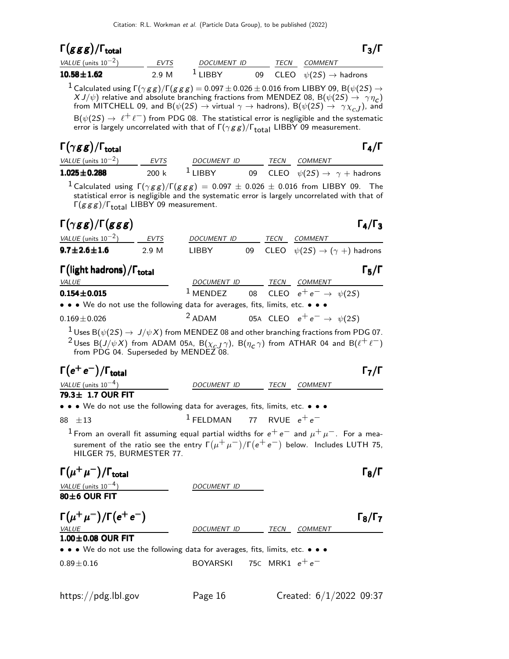# Γ $(ggg)/\Gamma_{\text{total}}$  Γ3/Γ

| VALUE (units $10^{-2}$ ) | EVTS  | <i>DOCUMENT ID</i>   | <b>TFCN</b> | COMMENT                                |
|--------------------------|-------|----------------------|-------------|----------------------------------------|
| $10.58 \pm 1.62$         | 2.9 M | $\overline{1}$ LIBBY |             | 09 CLEO $\psi(2S) \rightarrow$ hadrons |

 $1$  Calculated using  $\Gamma(\gamma g g)/\Gamma(g g g) = 0.097 \pm 0.026 \pm 0.016$  from LIBBY 09, B( $\psi(2S) \rightarrow$  $X J/\psi$ ) relative and absolute branching fractions from MENDEZ 08, B( $\psi(2S) \rightarrow \gamma \eta_c$ ) from MITCHELL 09, and B $(\psi(2S) \to \psi$ irtual  $\gamma \to$  hadrons), B $(\psi(2S) \to \gamma \chi_{cJ})$ , and  $B(\psi(2S) \to \ell^+ \ell^-)$  from PDG 08. The statistical error is negligible and the systematic error is largely uncorrelated with that of  $\Gamma(\gamma gg)/\Gamma_{total}$  LIBBY 09 measurement.

### Γ $(\gamma gg)/\Gamma_{\rm total}$  Γ $_4/\Gamma$ /Γ<sub>total</sub> Γ<sub>4</sub>/Γ

|--|

| VALUE (units $10^{-2}$ ) | <b>EVTS</b> | <i>DOCUMENT ID</i>   | TFCN | <i>COMMENT</i>                                  |
|--------------------------|-------------|----------------------|------|-------------------------------------------------|
| $1.025 \pm 0.288$        | 200 k       | $\frac{1}{2}$ I IBBY |      | 09 CLEO $\psi(2S) \rightarrow \gamma +$ hadrons |

<sup>1</sup> Calculated using  $\Gamma(\gamma g g)/\Gamma(g g g) = 0.097 \pm 0.026 \pm 0.016$  from LIBBY 09. The statistical error is negligible and the systematic error is largely uncorrelated with that of Γ $(ggg)/\Gamma_{\text{total}}$  LIBBY 09 measurement.

### $\Gamma(\gamma gg)/\Gamma(ggg)$   $\Gamma_4/\Gamma_3$  $ggg$ ) Γ<sub>4</sub>/Γ

| .<br>VALUE (units $10^{-2}$ ) | EVTS  | <i>DOCUMENT ID</i> | TECN. | <i>COMMENT</i>                                    |
|-------------------------------|-------|--------------------|-------|---------------------------------------------------|
| $9.7\!\pm\!2.6\!\pm\!1.6$     | 2.9 M | LIBBY              |       | 09 CLEO $\psi(2S) \rightarrow (\gamma +)$ hadrons |

### Γ (light hadrons) / Γ<sub>total</sub> Γ του Σεντριανό του Γενικό Γ<sub>5</sub>/Γ total and  $\overline{5}/1$

| <i>VALUE</i>                                                                  | <i>DOCUMENT ID</i> |  | TECN | <i>COMMENT</i>                                            |  |
|-------------------------------------------------------------------------------|--------------------|--|------|-----------------------------------------------------------|--|
| $0.154 \pm 0.015$                                                             |                    |  |      | <sup>1</sup> MENDEZ 08 CLEO $e^+e^- \rightarrow \psi(2S)$ |  |
| • • • We do not use the following data for averages, fits, limits, etc. • • • |                    |  |      |                                                           |  |
| $0.160 + 0.026$                                                               |                    |  |      | $2ADAM$ OFA CLEO $a^+e^ ab(25)$                           |  |

 $0.169 \pm 0.026$  2 ADAM 05A CLEO e<sup>+</sup> e<sup>-</sup>  $\rightarrow \psi(25)$  $1$  Uses B $(\psi(2S) \rightarrow J/\psi X)$  from MENDEZ 08 and other branching fractions from PDG 07.

<sup>2</sup> Uses B(J/ $\psi$ X) from ADAM 05A, B( $\chi_{c,J}$  $\gamma$ ), B( $\eta_c$  $\gamma$ ) from ATHAR 04 and B( $\ell^+ \ell^-$ ) from PDG 04. Superseded by MENDEZ 08.

| $\Gamma(e^+e^-)/\Gamma_{\rm total}$                                                                                                                                                                                                       |                                       |      |                |                     |
|-------------------------------------------------------------------------------------------------------------------------------------------------------------------------------------------------------------------------------------------|---------------------------------------|------|----------------|---------------------|
| VALUE (units $10^{-4}$ )                                                                                                                                                                                                                  | <i>DOCUMENT ID</i>                    | TECN | <b>COMMENT</b> |                     |
| 79.3± 1.7 OUR FIT                                                                                                                                                                                                                         |                                       |      |                |                     |
| • • • We do not use the following data for averages, fits, limits, etc. • • •                                                                                                                                                             |                                       |      |                |                     |
| $88 + 13$                                                                                                                                                                                                                                 | <sup>1</sup> FELDMAN 77 RVUE $e^+e^-$ |      |                |                     |
| <sup>1</sup> From an overall fit assuming equal partial widths for $e^+e^-$ and $\mu^+\mu^-$ . For a mea-<br>surement of the ratio see the entry $\Gamma(\mu^+\mu^-)/\Gamma(e^+e^-)$ below. Includes LUTH 75,<br>HILGER 75, BURMESTER 77. |                                       |      |                |                     |
| $\Gamma(\mu^+\mu^-)/\Gamma_{\rm total}$<br>VALUE (units $10^{-4}$ )<br>$80\pm 6$ OUR FIT                                                                                                                                                  | DOCUMENT ID                           |      |                | $\Gamma_8$ /I       |
| $\Gamma(\mu^+\mu^-)/\Gamma(e^+e^-)$<br><b>VALUE</b><br>$1.00\pm0.08$ OUR FIT                                                                                                                                                              | DOCUMENT ID                           | TECN | <b>COMMENT</b> | $\Gamma_8/\Gamma_7$ |
| $\bullet \bullet \bullet$ We do not use the following data for averages, fits, limits, etc. $\bullet \bullet \bullet$                                                                                                                     |                                       |      |                |                     |
| $0.89 \pm 0.16$                                                                                                                                                                                                                           | BOYARSKI 75C MRK1 $e^+e^-$            |      |                |                     |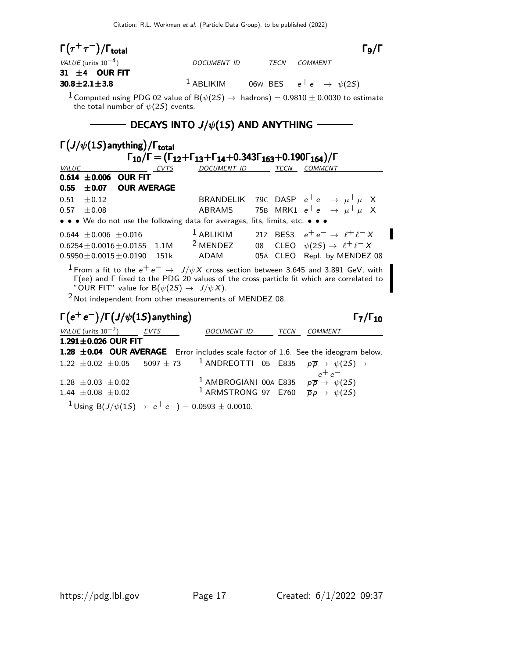Citation: R.L. Workman et al. (Particle Data Group), to be published (2022)

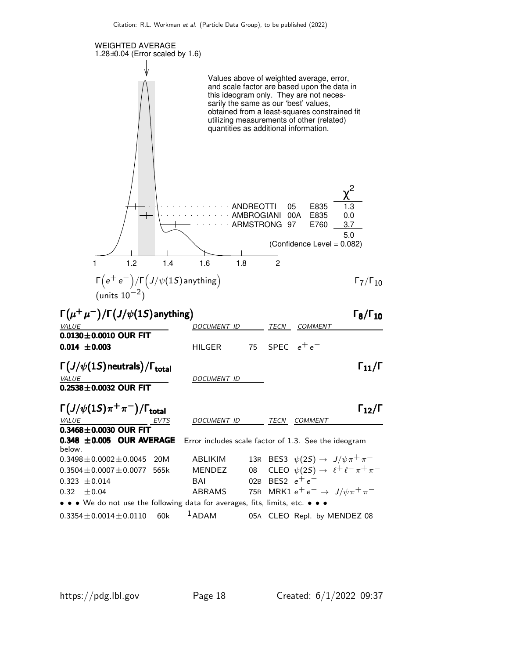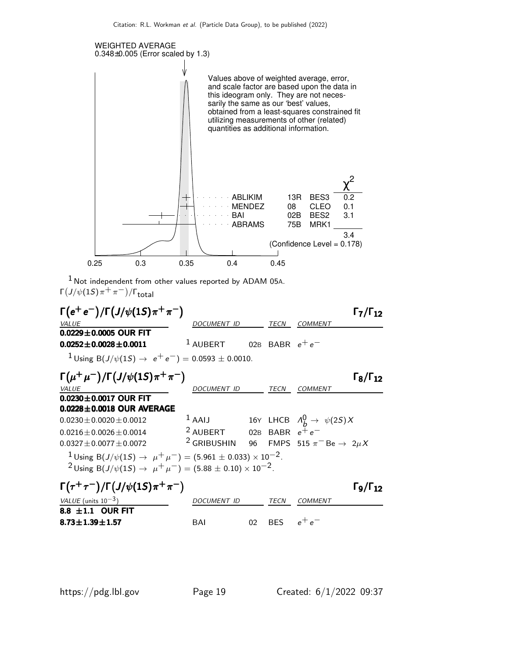

 $1$  Not independent from other values reported by ADAM 05A. Γ $(J/\psi(1S)\,\pi^+\,\pi^-)/\Gamma_{\text{total}}$ 

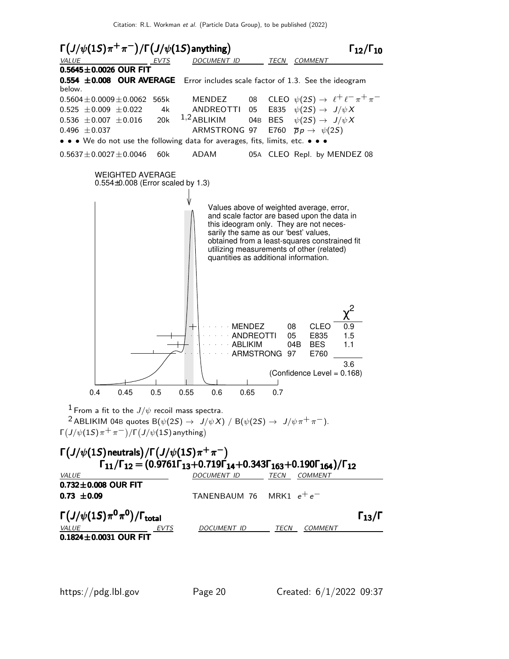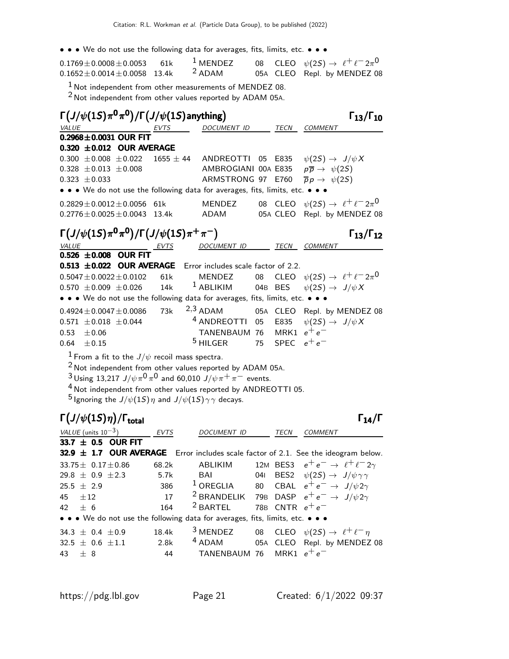• • • We do not use the following data for averages, fits, limits, etc. • • •

| $0.1769 \pm 0.0008 \pm 0.0053$ 61k   | $1$ MENDEZ        |  | 08 CLEO $\psi(2S) \rightarrow \ell^+ \ell^- 2\pi^0$ |
|--------------------------------------|-------------------|--|-----------------------------------------------------|
| $0.1652 \pm 0.0014 \pm 0.0058$ 13.4k | <sup>2</sup> ADAM |  | 05A CLEO Repl. by MENDEZ 08                         |

 $1$  Not independent from other measurements of MENDEZ 08.

 $2$  Not independent from other values reported by ADAM 05A.

|       |                                             | $\Gamma\left(J/\psi(1S)\pi^0\pi^0\right)/\Gamma\left(J/\psi(1S)\text{anything}\right)$ |               |                                                                                        |         |                   |                                                | $\Gamma_{13}/\Gamma_{10}$ |
|-------|---------------------------------------------|----------------------------------------------------------------------------------------|---------------|----------------------------------------------------------------------------------------|---------|-------------------|------------------------------------------------|---------------------------|
| VALUE |                                             |                                                                                        | EVTS          | DOCUMENT ID                                                                            |         | TECN              | <b>COMMENT</b>                                 |                           |
|       |                                             | $0.2968 \pm 0.0031$ OUR FIT                                                            |               |                                                                                        |         |                   |                                                |                           |
|       |                                             | $0.320 \pm 0.012$ OUR AVERAGE                                                          |               |                                                                                        |         |                   |                                                |                           |
|       | $0.300 \pm 0.008 \pm 0.022$                 |                                                                                        | $1655 \pm 44$ | ANDREOTTI                                                                              |         | 05 E835           | $\psi(2S) \rightarrow J/\psi X$                |                           |
|       | $0.328 \pm 0.013 \pm 0.008$                 |                                                                                        |               | AMBROGIANI 00A E835                                                                    |         |                   | $p\overline{p} \rightarrow \psi(2S)$           |                           |
|       | $0.323 \pm 0.033$                           |                                                                                        |               | ARMSTRONG 97 E760                                                                      |         |                   | $\overline{p}p \rightarrow \psi(2S)$           |                           |
|       |                                             |                                                                                        |               | • • • We do not use the following data for averages, fits, limits, etc. •              |         |                   |                                                |                           |
|       |                                             | $0.2829 \pm 0.0012 \pm 0.0056$                                                         | 61k           | MENDEZ                                                                                 |         | 08 CLEO           | $\psi(2S) \rightarrow \ell^+ \ell^- 2\pi^0$    |                           |
|       |                                             | $0.2776 \pm 0.0025 \pm 0.0043$ 13.4k                                                   |               | ADAM                                                                                   |         | 05A CLEO          | Repl. by MENDEZ 08                             |                           |
|       |                                             | $\Gamma(J/\psi(1S)\pi^{0}\pi^{0})/\Gamma(J/\psi(1S)\pi^{+}\pi^{-})$                    |               |                                                                                        |         |                   |                                                | $\Gamma_{13}/\Gamma_{12}$ |
|       | <b>VALUE</b>                                | EVTS                                                                                   |               | DOCUMENT ID TECN COMMENT                                                               |         |                   |                                                |                           |
|       |                                             | $0.526 \pm 0.008$ OUR FIT                                                              |               |                                                                                        |         |                   |                                                |                           |
|       |                                             | $0.513 \pm 0.022$ OUR AVERAGE                                                          |               | Error includes scale factor of 2.2.                                                    |         |                   |                                                |                           |
|       |                                             | $0.5047 \pm 0.0022 \pm 0.0102$                                                         | 61k           | MENDEZ                                                                                 | 08      | <b>CLEO</b>       | $\psi(2S) \rightarrow \ell^+ \ell^- 2\pi^0$    |                           |
|       | $0.570 \pm 0.009 \pm 0.026$                 |                                                                                        | 14k           | $1$ ABLIKIM                                                                            | 04B BES |                   | $\psi(2S) \rightarrow J/\psi X$                |                           |
|       |                                             |                                                                                        |               | • • • We do not use the following data for averages, fits, limits, etc. • • •          |         |                   |                                                |                           |
|       |                                             | $0.4924 \pm 0.0047 \pm 0.0086$                                                         | 73k           | $2,3$ ADAM                                                                             |         |                   | 05A CLEO Repl. by MENDEZ 08                    |                           |
|       | $0.571 \pm 0.018 \pm 0.044$                 |                                                                                        |               | <sup>4</sup> ANDREOTTI 05                                                              |         | E835              | $\psi(2S) \rightarrow J/\psi X$                |                           |
| 0.53  | ±0.06                                       |                                                                                        |               | TANENBAUM 76                                                                           |         | MRK1 $e^+e^-$     |                                                |                           |
| 0.64  | $\pm 0.15$                                  |                                                                                        |               | $5$ HILGER                                                                             | 75      | SPEC              | $e^+e^-$                                       |                           |
|       |                                             | $^1$ From a fit to the $J/\psi$ recoil mass spectra.                                   |               |                                                                                        |         |                   |                                                |                           |
|       |                                             |                                                                                        |               | <sup>2</sup> Not independent from other values reported by ADAM 05A.                   |         |                   |                                                |                           |
|       |                                             |                                                                                        |               | $3$ Using 13,217 J/ $\psi \pi^0 \pi^0$ and 60,010 J/ $\psi \pi^+ \pi^-$ events.        |         |                   |                                                |                           |
|       |                                             |                                                                                        |               | <sup>4</sup> Not independent from other values reported by ANDREOTTI 05.               |         |                   |                                                |                           |
|       |                                             |                                                                                        |               | $^5$ Ignoring the $J/\psi(1S)\, \eta$ and $J/\psi(1S)\, \gamma\, \gamma$ decays.       |         |                   |                                                |                           |
|       | $\Gamma(J/\psi(1S)\eta)/\Gamma_{\rm total}$ |                                                                                        |               |                                                                                        |         |                   |                                                | $\Gamma_{14}/\Gamma$      |
|       |                                             |                                                                                        |               |                                                                                        |         |                   |                                                |                           |
|       | <i>VALUE</i> (units $10^{-3}$ )             |                                                                                        | <b>EVTS</b>   | DOCUMENT ID                                                                            |         | TECN              | <b>COMMENT</b>                                 |                           |
|       | 33.7 $\pm$ 0.5 OUR FIT                      |                                                                                        |               | 32.9 $\pm$ 1.7 OUR AVERAGE Error includes scale factor of 2.1. See the ideogram below. |         |                   |                                                |                           |
|       | $33.75 \pm 0.17 \pm 0.86$                   |                                                                                        | 68.2k         | <b>ABLIKIM</b>                                                                         |         | 12M BES3          | $e^+e^- \rightarrow \ell^+\ell^-2\gamma$       |                           |
|       | 29.8 $\pm$ 0.9 $\pm$ 2.3                    |                                                                                        | 5.7k          | BAI                                                                                    | 041     | BES <sub>2</sub>  | $\psi(2S) \rightarrow J/\psi \gamma \gamma$    |                           |
|       | 25.5 $\pm$ 2.9                              |                                                                                        | 386           | $1$ OREGLIA                                                                            | 80      |                   | CBAL $e^+e^- \rightarrow J/\psi 2\gamma$       |                           |
| 45    | $\pm 12$                                    |                                                                                        | 17            | <sup>2</sup> BRANDELIK                                                                 |         |                   | 79B DASP $e^+e^- \rightarrow J/\psi 2\gamma$   |                           |
| 42    | ± 6                                         |                                                                                        | 164           | <sup>2</sup> BARTEL                                                                    |         | 78B CNTR $e^+e^-$ |                                                |                           |
|       |                                             |                                                                                        |               | • • • We do not use the following data for averages, fits, limits, etc. • • •          |         |                   |                                                |                           |
|       | 34.3 $\pm$ 0.4 $\pm$ 0.9                    |                                                                                        | 18.4k         | <sup>3</sup> MENDEZ                                                                    | 08      |                   | CLEO $\psi(2S) \rightarrow \ell^+ \ell^- \eta$ |                           |
|       | 32.5 $\pm$ 0.6 $\pm$ 1.1                    |                                                                                        | 2.8k          | <sup>4</sup> ADAM                                                                      |         |                   | 05A CLEO Repl. by MENDEZ 08                    |                           |
| 43    | $\pm$ 8                                     |                                                                                        | 44            | TANENBAUM 76                                                                           |         | MRK1 $e^+e^-$     |                                                |                           |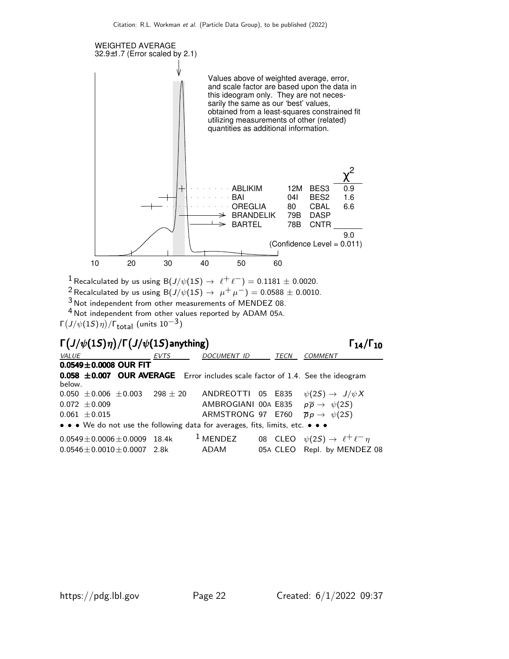

<sup>1</sup> Recalculated by us using B( $J/\psi(1S) \rightarrow \ell^+ \ell^-$ ) = 0.1181 ± 0.0020.

2 Recalculated by us using B(J/ $\psi$ (1S)  $\rightarrow \mu^+ \mu^-$ ) = 0.0588 ± 0.0010.

3 Not independent from other measurements of MENDEZ 08.

4 Not independent from other values reported by ADAM 05A.

Γ $(J/\psi(1S)\eta)/\Gamma_{\rm total}$  (units  $10^{-3})$ 

### Γ $(J/\psi(1S)\eta)/\Gamma\bigl(J/\psi(1S)$ anything) Γ<sub>14</sub>/Γ<sub>10</sub>

VALUE EVTS DOCUMENT ID TECN COMMENT  $0.0549 \pm 0.0008$  OUR FIT **0.058**  $\pm$ **0.007 OUR AVERAGE** Error includes scale factor of 1.4. See the ideogram below. 0.050  $\pm$ 0.006  $\pm$ 0.003 298  $\pm$  20 ANDREOTTI 05 E835  $\psi(2S) \rightarrow J/\psi X$ 0.072  $\pm$ 0.009 AMBROGIANI 00A E835  $p\overline{p} \rightarrow \psi(2S)$ 0.061  $\pm$ 0.015 ARMSTRONG 97 E760  $\overline{p}p \rightarrow \psi(2S)$ • • • We do not use the following data for averages, fits, limits, etc. • • •

| $0.0549 \pm 0.0006 \pm 0.0009$ 18.4k | $1$ MENDEZ | 08 CLEO $\psi(2S) \rightarrow \ell^+ \ell^- \eta$ |
|--------------------------------------|------------|---------------------------------------------------|
| $0.0546 \pm 0.0010 \pm 0.0007$ 2.8k  | ADAM       | 05A CLEO Repl. by MENDEZ 08                       |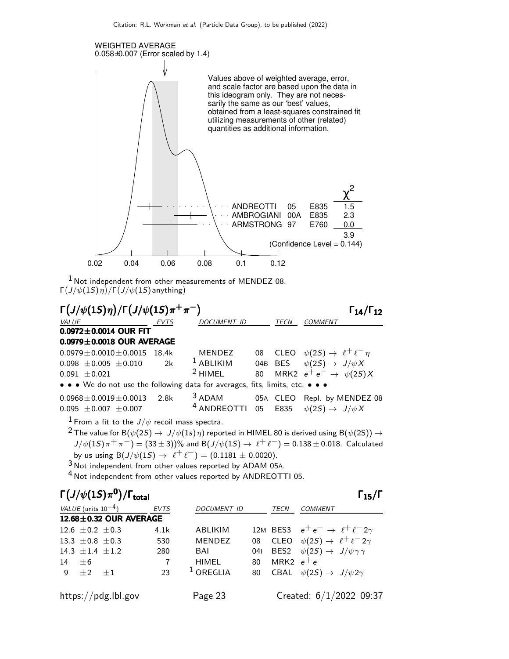

 $1$  Not independent from other measurements of MENDEZ 08. Γ $(J/\psi(1S)\, \eta)/\Gamma(J/\psi(1S)$  anything)



<sup>2</sup> The value for B( $\psi$ (2S)  $\rightarrow$  J/ $\psi$ (1s)  $\eta$ ) reported in HIMEL 80 is derived using B( $\psi$ (2S))  $\rightarrow$  $J/\psi(1S)\pi^{+}\pi^{-}) = (33 \pm 3)$ % and B $(J/\psi(1S) \rightarrow \ell^{+}\ell^{-}) = 0.138 \pm 0.018$ . Calculated by us using B( $J/\psi(1S) \to \ell^+ \ell^-$ ) = (0.1181  $\pm$  0.0020).

3 Not independent from other values reported by ADAM 05A.

4 Not independent from other values reported by ANDREOTTI 05.

|          |                          | $\Gamma\left(J/\psi(1S)\pi^0\right)/\Gamma_{\rm total}$ |                        |                |     |               | $\Gamma_{15}/\Gamma$                              |
|----------|--------------------------|---------------------------------------------------------|------------------------|----------------|-----|---------------|---------------------------------------------------|
|          | VALUE (units $10^{-4}$ ) |                                                         | <b>EVTS</b>            | DOCUMENT ID    |     | <b>TECN</b>   | <b>COMMENT</b>                                    |
|          |                          |                                                         | 12.68±0.32 OUR AVERAGE |                |     |               |                                                   |
|          | 12.6 $\pm$ 0.2 $\pm$ 0.3 |                                                         | 4.1k                   | <b>ABLIKIM</b> |     |               | 12M BES3 $e^+e^- \rightarrow \ell^+\ell^-2\gamma$ |
|          | 13.3 $\pm$ 0.8 $\pm$ 0.3 |                                                         | 530                    | <b>MENDEZ</b>  | 08  |               | CLEO $\psi(2S) \rightarrow \ell^+ \ell^- 2\gamma$ |
|          | 14.3 $\pm$ 1.4 $\pm$ 1.2 |                                                         | 280                    | BAI            | 041 |               | BES2 $\psi(2S) \rightarrow J/\psi \gamma \gamma$  |
| $14 + 6$ |                          |                                                         | 7                      | <b>HIMEL</b>   | 80  | MRK2 $e^+e^-$ |                                                   |
|          | $9 + 2 + 1$              |                                                         | 23                     | $1$ OREGLIA    | 80  |               | CBAL $\psi(2S) \rightarrow J/\psi 2\gamma$        |
|          |                          | https://pdg.lbl.gov                                     |                        | Page 23        |     |               | Created: 6/1/2022 09:37                           |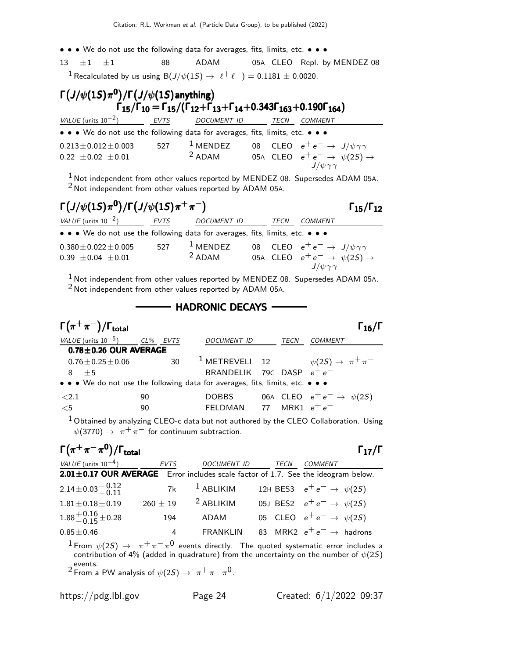• • • We do not use the following data for averages, fits, limits, etc. • • •

 $13 \pm 1 \pm 1$  88 ADAM 05A CLEO Repl. by MENDEZ 08

<sup>1</sup> Recalculated by us using B( $J/\psi(1S) \rightarrow \ell^+ \ell^-$ ) = 0.1181  $\pm$  0.0020.

### $\Gamma\left(J/\psi(1S)\pi^{\mathbf{0}}\right)/\Gamma\left(J/\psi(1S)\text{anything}\right)$  $\Gamma_{15}/\Gamma_{10} = \Gamma_{15}/(\Gamma_{12}+\Gamma_{13}+\Gamma_{14}+0.343\Gamma_{163}+0.190\Gamma_{164})$  $VALUE$  (units 10<sup>-2</sup>) EVTS DOCUMENT ID TECN COMMENT • • • We do not use the following data for averages, fits, limits, etc. • • •  $0.213 \pm 0.012 \pm 0.003$  527 <sup>1</sup> MENDEZ 08 CLEO  $e^+ e^- \rightarrow J/\psi \gamma \gamma$ <br>0.22  $\pm 0.02 \pm 0.01$  <sup>2</sup> ADAM 05A CLEO  $e^+ e^- \rightarrow \psi(2S)$  $0.22 \pm 0.02 \pm 0.01$  2 ADAM 05A CLEO  $e^+e^- \rightarrow \psi(2S) \rightarrow$  $J/\psi \gamma \gamma$  $1$  Not independent from other values reported by MENDEZ 08. Supersedes ADAM 05A.

2 Not independent from other values reported by ADAM 05A.

| $\Gamma(J/\psi(1S)\pi^0)/\Gamma(J/\psi(1S)\pi^+\pi^-)$                                                                |      |                                                                       |             |                                                    | $\Gamma_{15}/\Gamma_{12}$ |
|-----------------------------------------------------------------------------------------------------------------------|------|-----------------------------------------------------------------------|-------------|----------------------------------------------------|---------------------------|
| VALUE (units $10^{-2}$ )                                                                                              | EVTS | <b>DOCUMENT ID</b>                                                    | <b>TECN</b> | <b>COMMENT</b>                                     |                           |
| $\bullet \bullet \bullet$ We do not use the following data for averages, fits, limits, etc. $\bullet \bullet \bullet$ |      |                                                                       |             |                                                    |                           |
| $0.380 \pm 0.022 \pm 0.005$                                                                                           | 527  | <sup>1</sup> MENDEZ 08 CLEO $e^+e^- \rightarrow J/\psi \gamma \gamma$ |             |                                                    |                           |
| $0.39 \pm 0.04 \pm 0.01$                                                                                              |      | $2$ ADAM                                                              |             | 05A CLEO $e^+e^- \rightarrow \psi(2S) \rightarrow$ |                           |
| $\frac{1}{2}$ Not independent from other values reported by MENDEZ 08. Supersedes ADAM 054                            |      |                                                                       |             | $J/\psi \gamma \gamma$                             |                           |

Not independent from other values reported by MENDEZ 08. Supersedes ADAM 05A. 2 Not independent from other values reported by ADAM 05A.

 $-$  HADRONIC DECAYS  $-$ 

| $\Gamma(\pi^+\pi^-)/\Gamma_{\rm total}$                                       |    |    |                             |      | $\mathsf{\Gamma}_{16}/\mathsf{\Gamma}$                       |
|-------------------------------------------------------------------------------|----|----|-----------------------------|------|--------------------------------------------------------------|
| VALUE (units $10^{-5}$ ) CL% EVTS                                             |    |    | DOCUMENT ID                 | TECN | <b>COMMENT</b>                                               |
| $0.78 \pm 0.26$ OUR AVERAGE                                                   |    |    |                             |      |                                                              |
| $0.76 \pm 0.25 \pm 0.06$                                                      |    | 30 |                             |      | <sup>1</sup> METREVELI 12 $\psi(2S) \rightarrow \pi^+ \pi^-$ |
| $8 + 5$                                                                       |    |    | BRANDELIK 79C DASP $e^+e^-$ |      |                                                              |
| • • • We do not use the following data for averages, fits, limits, etc. • • • |    |    |                             |      |                                                              |
| $\langle 2.1$                                                                 | 90 |    | DOBBS                       |      | 06A CLEO $e^+e^- \rightarrow \psi(2S)$                       |
| $<$ 5                                                                         | 90 |    | FELDMAN 77 MRK1 $e^+e^-$    |      |                                                              |
| $\mathbf{I}$                                                                  |    |    |                             |      |                                                              |

 $1$  Obtained by analyzing CLEO-c data but not authored by the CLEO Collaboration. Using  $\psi(3770) \rightarrow \pi^+\pi^-$  for continuum subtraction.

| $\Gamma(\pi^+\pi^-\pi^0)/\Gamma_{\rm total}$                                             |                        |                        | $\Gamma_{17}/\Gamma$                                                                                                                                                                                 |
|------------------------------------------------------------------------------------------|------------------------|------------------------|------------------------------------------------------------------------------------------------------------------------------------------------------------------------------------------------------|
| VALUE (units $10^{-4}$ )                                                                 | EVTS                   | DOCUMENT ID TECN       | COMMENT                                                                                                                                                                                              |
| 2.01±0.17 OUR AVERAGE Error includes scale factor of 1.7. See the ideogram below.        |                        |                        |                                                                                                                                                                                                      |
| $2.14\pm0.03\frac{+0.12}{-0.11}$                                                         | 7k $1$ ABLIKIM         |                        | 12H BES3 $e^+e^- \to \psi(2S)$                                                                                                                                                                       |
| $1.81 \pm 0.18 \pm 0.19$                                                                 |                        | $260 \pm 19$ 2 ABLIKIM | 05J BES2 $e^+e^- \to \psi(25)$                                                                                                                                                                       |
| $1.88 + 0.16 + 0.28$                                                                     |                        |                        | 194 ADAM 05 CLEO $e^+e^- \rightarrow \psi(2S)$                                                                                                                                                       |
| $0.85 + 0.46$                                                                            | $4 \quad \blacksquare$ | <b>FRANKLIN</b>        | 83 MRK2 $e^+e^- \rightarrow$ hadrons                                                                                                                                                                 |
| events.<br><sup>2</sup> From a PW analysis of $\psi(2S) \rightarrow \pi^+ \pi^- \pi^0$ . |                        |                        | $1$ From $\psi(2S) \rightarrow \pi^+\pi^-\pi^0$ events directly. The quoted systematic error includes a<br>contribution of 4% (added in quadrature) from the uncertainty on the number of $\psi(2S)$ |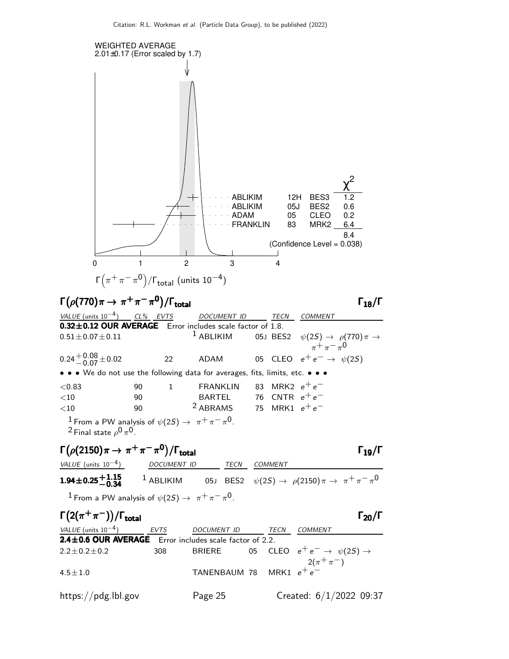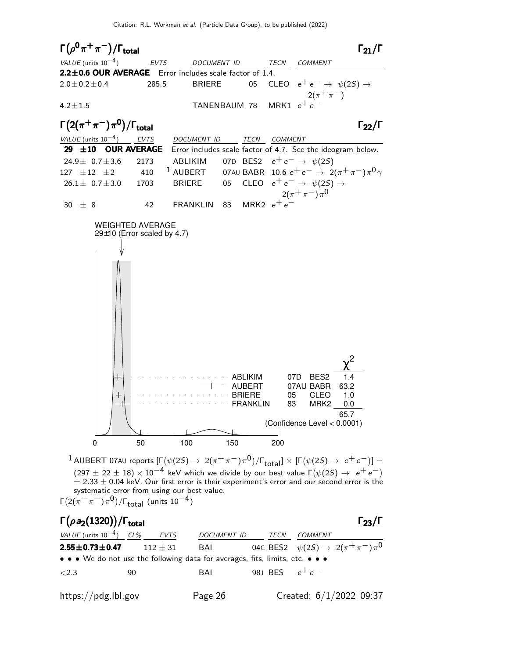

 $1$  AUBERT 07AU reports  $[\Gamma(\psi(2S) \to~2(\pi^+\pi^-)\pi^0)/\Gamma_{\rm total}]\times[\Gamma(\psi(2S) \to~e^+e^-)]=$  $(297 \pm 22 \pm 18) \times 10^{-4}$  keV which we divide by our best value  $\Gamma(\psi(2S) \rightarrow e^+e^-)$  $= 2.33 \pm 0.04$  keV. Our first error is their experiment's error and our second error is the systematic error from using our best value. Γ $(2(\pi^+\pi^-)\pi^0)/$ Γ $_{\rm total}$  (units 10 $^{-4})$ 

### Γ $(\rho a_2(1320))$ /Γ<sub>total</sub> 23/Γ VALUE (units  $10^{-4}$ ) CL% EVTS DOCUMENT ID TECN COMMENT **2.55** $\pm$ **0.73** $\pm$ **0.47** 112  $\pm$  31 BAI 04c BES2  $\psi(2S) \to 2(\pi^+\pi^-)\pi^0$ • • • We do not use the following data for averages, fits, limits, etc.  $\lt$ 2.3 90 BAI 98J BES  $e^+e^$ https://pdg.lbl.gov Page 26 Created: 6/1/2022 09:37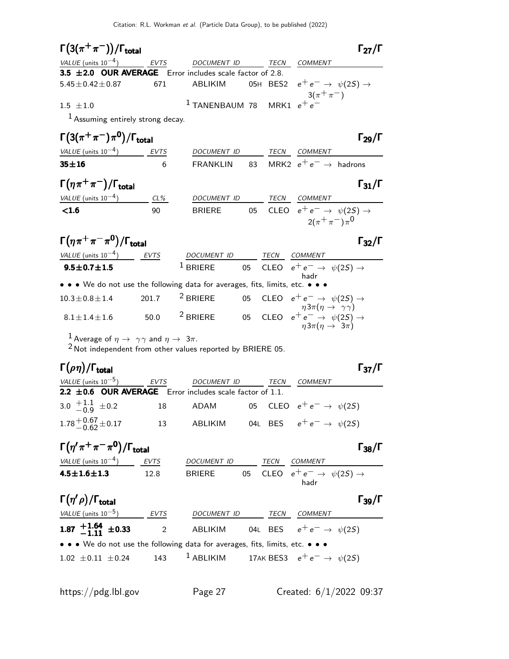| $\Gamma(3(\pi^+\pi^-))/\Gamma_{\text{total}}$                                 |     |                                                                       |      |      |                                                    | $\Gamma_{27}/\Gamma$ |
|-------------------------------------------------------------------------------|-----|-----------------------------------------------------------------------|------|------|----------------------------------------------------|----------------------|
| VALUE (units $10^{-4}$ ) EVTS                                                 |     | DOCUMENT ID                                                           |      | TECN | <b>COMMENT</b>                                     |                      |
| 3.5 ±2.0 OUR AVERAGE Error includes scale factor of 2.8.                      |     |                                                                       |      |      |                                                    |                      |
| $5.45 \pm 0.42 \pm 0.87$                                                      | 671 | ABLIKIM                                                               |      |      | 05H BES2 $e^+e^- \rightarrow \psi(2S) \rightarrow$ |                      |
|                                                                               |     |                                                                       |      |      | $3(\pi^{+}\pi^{-})$                                |                      |
| $1.5 + 1.0$                                                                   |     | $1$ TANENBAUM 78 MRK1 $e^+e^-$                                        |      |      |                                                    |                      |
| <sup>1</sup> Assuming entirely strong decay.                                  |     |                                                                       |      |      |                                                    |                      |
| $\Gamma(3(\pi^+\pi^-)\pi^0)/\Gamma_{\rm total}$                               |     |                                                                       |      |      |                                                    | $\Gamma_{29}/\Gamma$ |
| VALUE (units $10^{-4}$ ) EVTS                                                 |     | DOCUMENT ID                                                           |      |      | TECN COMMENT                                       |                      |
| $35 + 16$                                                                     | 6   | FRANKLIN                                                              |      |      | 83 MRK2 $e^+e^- \rightarrow$ hadrons               |                      |
| $\Gamma(\eta \pi^+\pi^-)/\Gamma_{\rm total}$                                  |     |                                                                       |      |      |                                                    | $\Gamma_{31}/\Gamma$ |
| VALUE (units $10^{-4}$ ) CL%                                                  |     | DOCUMENT ID                                                           |      |      | TECN COMMENT                                       |                      |
| < 1.6                                                                         | 90  | BRIERE                                                                |      |      | 05 CLEO $e^+e^- \rightarrow \psi(2S) \rightarrow$  |                      |
|                                                                               |     |                                                                       |      |      | $2(\pi^+\pi^-)\pi^0$                               |                      |
| $\Gamma(\eta \pi^+ \pi^- \pi^0)/\Gamma_{\rm total}$                           |     |                                                                       |      |      |                                                    | $\Gamma_{32}/\Gamma$ |
| VALUE (units $10^{-4}$ ) EVTS                                                 |     | DOCUMENT ID                                                           | TECN |      | COMMENT                                            |                      |
| $9.5 \pm 0.7 \pm 1.5$                                                         |     | <sup>1</sup> BRIERE 05 CLEO $e^+e^- \rightarrow \psi(2S) \rightarrow$ |      |      | hadr                                               |                      |
| • • • We do not use the following data for averages, fits, limits, etc. • • • |     |                                                                       |      |      |                                                    |                      |
| $100100111$ $2017$ $201707$ $2501707$ $2507$                                  |     |                                                                       |      |      |                                                    |                      |

| $10.3 \pm 0.8 \pm 1.4$ | 201.7 | $^2$ BRIERE |  | 05 CLEO $e^+e^- \rightarrow \psi(2S) \rightarrow$                                                                                                       |
|------------------------|-------|-------------|--|---------------------------------------------------------------------------------------------------------------------------------------------------------|
| $8.1 \pm 1.4 \pm 1.6$  | 50.0  | $^2$ BRIERE |  | $\eta 3\pi (\eta \rightarrow \gamma \gamma)$<br>05 $\mathsf{CLEO}^- e^+ e^- \rightarrow \ \psi(2\mathcal{S}) \rightarrow$<br>$\eta 3\pi(\eta \to 3\pi)$ |

 $^{\text{1}}$  Average of  $\eta\rightarrow~\gamma\gamma$  and  $\eta\rightarrow~3\pi.$ 

 $2$  Not independent from other values reported by BRIERE 05.

### Γ $(\rho \eta)/\Gamma_{\textsf{total}}$  Γ $_3$ 7/Γ /Γ<sub>total</sub> Γ<sub>37</sub>/Γ

| VALUE (units $10^{-5}$ ) EVTS                                 |    | DOCUMENT ID TECN |  | <i>COMMENT</i>                                |
|---------------------------------------------------------------|----|------------------|--|-----------------------------------------------|
| 2.2 $\pm$ 0.6 OUR AVERAGE Error includes scale factor of 1.1. |    |                  |  |                                               |
| 3.0 $\pm 1.1$ $\pm 0.2$                                       |    |                  |  | 18 ADAM 05 CLEO $e^+e^- \rightarrow \psi(2S)$ |
| $1.78 + 0.67 + 0.17$                                          | 13 | ABLIKIM          |  | 04L BES $e^+e^- \rightarrow \psi(25)$         |

| $\Gamma(\eta^{\prime}\pi^+\pi^-\pi^0)/\Gamma_{\rm total}$ |             |               |             |                                                   | $\Gamma_{38}/\Gamma$ |
|-----------------------------------------------------------|-------------|---------------|-------------|---------------------------------------------------|----------------------|
| <i>VALUE</i> (units $10^{-4}$ )                           | <b>EVTS</b> | DOCUMENT ID   | <b>TFCN</b> | COMMENT                                           |                      |
| $4.5 \pm 1.6 \pm 1.3$                                     | 12 R        | <b>BRIFRE</b> |             | 05 CLEO $e^+e^- \rightarrow \psi(2S) \rightarrow$ |                      |
|                                                           |             |               |             | hadr                                              |                      |

| $\Gamma(\eta^\prime\,\rho)/\Gamma_{\rm total}$                                                                        |                         |                                                                  |      |                                       | $\Gamma_{39}/\Gamma$ |
|-----------------------------------------------------------------------------------------------------------------------|-------------------------|------------------------------------------------------------------|------|---------------------------------------|----------------------|
| VALUE (units $10^{-5}$ )                                                                                              | EVTS                    | <b>DOCUMENT ID</b>                                               | TECN | <b>COMMENT</b>                        |                      |
| 1.87 $\frac{+1.64}{-1.11}$ ±0.33                                                                                      | $\overline{\mathbf{2}}$ | ABLIKIM                                                          |      | 04L BES $e^+e^- \rightarrow \psi(2S)$ |                      |
| $\bullet \bullet \bullet$ We do not use the following data for averages, fits, limits, etc. $\bullet \bullet \bullet$ |                         |                                                                  |      |                                       |                      |
| $1.02 \pm 0.11 \pm 0.24$                                                                                              | 143                     | $^{-1}$ ABLIKIM $\qquad$ 17AK BES3 $e^+e^- \rightarrow \psi(2S)$ |      |                                       |                      |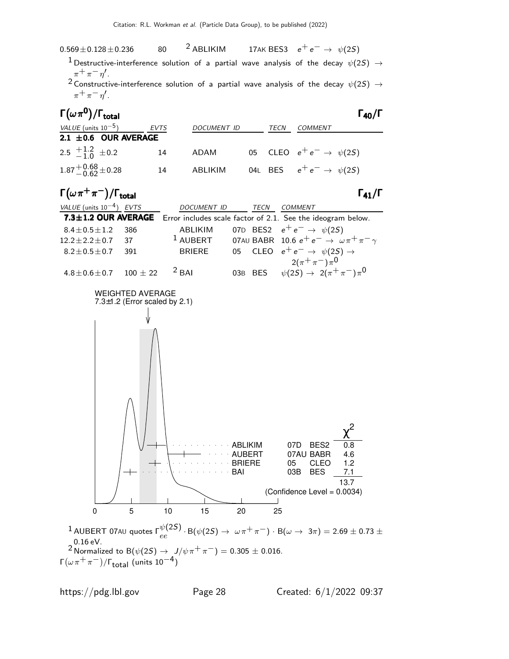

 $^1$  Destructive-interference solution of a partial wave analysis of the decay  $\psi(2S)$   $\rightarrow$  $\pi^+ \pi^- \eta'$ .

<sup>2</sup> Constructive-interference solution of a partial wave analysis of the decay  $\psi(2S) \rightarrow$  $\pi^+ \pi^- \eta'$ .

| $\Gamma(\omega\pi^0)/\Gamma_{\rm total}$ |      |                    |      |                                       | $\Gamma_{40}/\Gamma$ |
|------------------------------------------|------|--------------------|------|---------------------------------------|----------------------|
| <i>VALUE</i> (units $10^{-5}$ )          | EVTS | <b>DOCUMENT ID</b> | TECN | COMMENT                               |                      |
| 2.1 $\pm$ 0.6 OUR AVERAGE                |      |                    |      |                                       |                      |
| 2.5 $\pm 1.2$ $\pm 0.2$                  | 14   | ADAM               |      | 05 CLEO $e^+e^- \rightarrow \psi(2S)$ |                      |
| $1.87^{+0.68}_{-0.62}$ ± 0.28            | 14   | ABLIKIM            |      | 04L BES $e^+e^- \rightarrow \psi(2S)$ |                      |

 $\Gamma(\omega \, \pi^+ \, \pi^-)/\Gamma_{\rm total}$  Γ<sub>41</sub>/Γ



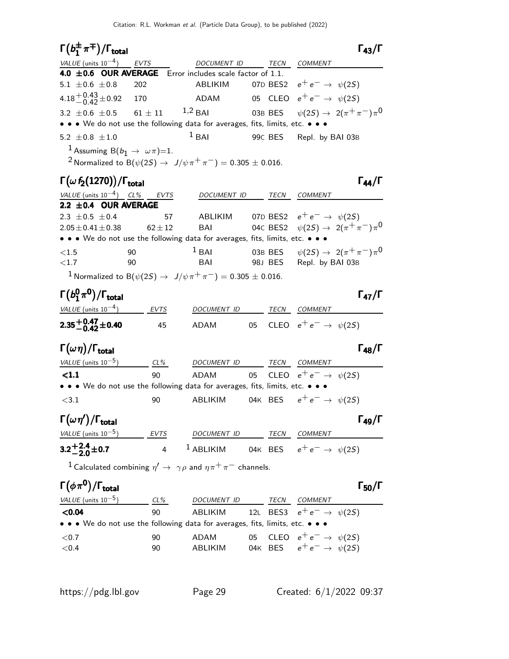| $\Gamma(b_1^{\pm}\pi^{\mp})/\Gamma_{\rm total}$                               |               |                                                                                                    |    | $\Gamma_{43}/\Gamma$                                           |  |
|-------------------------------------------------------------------------------|---------------|----------------------------------------------------------------------------------------------------|----|----------------------------------------------------------------|--|
| $VALUE$ (units $10^{-4}$ ) EVTS                                               |               | DOCUMENT ID                                                                                        |    | TECN COMMENT                                                   |  |
| 4.0 ±0.6 OUR AVERAGE Error includes scale factor of 1.1.                      |               |                                                                                                    |    |                                                                |  |
| 5.1 $\pm 0.6 \pm 0.8$                                                         | 202           | ABLIKIM                                                                                            |    | 07D BES2 $e^+e^- \rightarrow \psi(2S)$                         |  |
| 4.18 $^{+0.43}_{-0.42}$ ± 0.92                                                | 170           | ADAM                                                                                               |    | 05 CLEO $e^+e^- \rightarrow \psi(2S)$                          |  |
| 3.2 $\pm$ 0.6 $\pm$ 0.5                                                       | $61\,\pm\,11$ | $1,2$ BAI                                                                                          |    | 03B BES $\psi(2S) \to 2(\pi^+\pi^-)\pi^0$                      |  |
|                                                                               |               | • • • We do not use the following data for averages, fits, limits, etc. • • •                      |    |                                                                |  |
| 5.2 $\pm$ 0.8 $\pm$ 1.0                                                       |               | $1$ BAI                                                                                            |    | 99C BES Repl. by BAI 03B                                       |  |
| <sup>1</sup> Assuming B( $b_1 \rightarrow \omega \pi$ )=1.                    |               |                                                                                                    |    |                                                                |  |
|                                                                               |               | <sup>2</sup> Normalized to B( $\psi(2S) \to J/\psi \pi^+ \pi^-) = 0.305 \pm 0.016$ .               |    |                                                                |  |
| $\Gamma(\omega f_2(1270))/\Gamma_{\rm total}$                                 |               |                                                                                                    |    | $\Gamma_{44}/\Gamma$                                           |  |
| VALUE (units $10^{-4}$ ) CL% EVTS                                             |               |                                                                                                    |    | COMMENT                                                        |  |
| 2.2 ±0.4 OUR AVERAGE                                                          |               | DOCUMENT ID TECN                                                                                   |    |                                                                |  |
| 2.3 $\pm 0.5 \pm 0.4$                                                         | 57            |                                                                                                    |    | ABLIKIM 07D BES2 $e^+e^- \rightarrow \psi(2S)$                 |  |
| $2.05 \pm 0.41 \pm 0.38$                                                      | $62 \pm 12$   | BAI                                                                                                |    | 04c BES2 $\psi(2S) \to 2(\pi^+\pi^-)\pi^0$                     |  |
| • • • We do not use the following data for averages, fits, limits, etc. • • • |               |                                                                                                    |    |                                                                |  |
| ${<}1.5$                                                                      | 90            | $1$ BAI                                                                                            |    | 03B BES $\psi(2S) \rightarrow 2(\pi^+\pi^-)\pi^0$              |  |
| ${<}1.7$                                                                      | 90            | BAI                                                                                                |    | 98J BES Repl. by BAI 03B                                       |  |
|                                                                               |               | <sup>1</sup> Normalized to B( $\psi(2S) \to J/\psi \pi^+ \pi^-$ ) = 0.305 ± 0.016.                 |    |                                                                |  |
| $\Gamma(b_1^0\pi^0)/\Gamma_{\rm total}$                                       |               |                                                                                                    |    | $\Gamma_{47}/\Gamma$                                           |  |
| VALUE (units $10^{-4}$ ) EVTS                                                 |               |                                                                                                    |    | DOCUMENT ID TECN COMMENT                                       |  |
|                                                                               |               |                                                                                                    |    |                                                                |  |
| $2.35^{+0.47}_{-0.42}$ ±0.40                                                  | 45            | ADAM                                                                                               |    | 05 CLEO $e^+e^- \rightarrow \psi(2S)$                          |  |
| $\Gamma(\omega\eta)/\Gamma_{\rm total}$                                       |               |                                                                                                    |    | $\Gamma_{48}/\Gamma$                                           |  |
| VALUE (units $10^{-5}$ ) CL%                                                  |               | DOCUMENT ID TECN COMMENT                                                                           |    |                                                                |  |
| $\leq 1.1$                                                                    | 90            | ADAM                                                                                               |    | 05 CLEO $e^+e^- \rightarrow \psi(2S)$                          |  |
|                                                                               |               | • • • We do not use the following data for averages, fits, limits, etc. • • •                      |    |                                                                |  |
| $<$ 3.1                                                                       | 90            | ABLIKIM                                                                                            |    | 04K BES $e^+e^- \rightarrow \psi(2S)$                          |  |
| $\Gamma(\omega\eta')/\Gamma_{\rm total}$                                      |               |                                                                                                    |    | $\Gamma_{49}/\Gamma$                                           |  |
|                                                                               |               |                                                                                                    |    | $VALU E$ (units $10^{-5}$ ) EVTS DOCUMENT ID TECN COMMENT      |  |
| $3.2^{+2.4}_{-2.0}$ ± 0.7                                                     |               |                                                                                                    |    | 4 <sup>1</sup> ABLIKIM 04K BES $e^+e^- \rightarrow \psi(2S)$   |  |
|                                                                               |               |                                                                                                    |    |                                                                |  |
|                                                                               |               | <sup>1</sup> Calculated combining $\eta' \rightarrow \gamma \rho$ and $\eta \pi^+ \pi^-$ channels. |    |                                                                |  |
| $\Gamma(\phi\pi^0)/\Gamma_{\rm total}$                                        |               |                                                                                                    |    | $\Gamma_{50}/\Gamma$                                           |  |
|                                                                               |               |                                                                                                    |    | $VALUE$ (units 10 <sup>-5</sup> ) CL% DOCUMENT ID TECN COMMENT |  |
| < 0.04                                                                        | 90            |                                                                                                    |    | ABLIKIM 12L BES3 $e^+e^- \rightarrow \psi(2S)$                 |  |
|                                                                               |               | • • • We do not use the following data for averages, fits, limits, etc. • • •                      |    |                                                                |  |
| ${<}0.7$                                                                      | 90            | ADAM                                                                                               | 05 | CLEO $e^+e^- \rightarrow \psi(2S)$                             |  |
| ${<}0.4$                                                                      | 90            |                                                                                                    |    | ABLIKIM 04K BES $e^+e^- \rightarrow \psi(2S)$                  |  |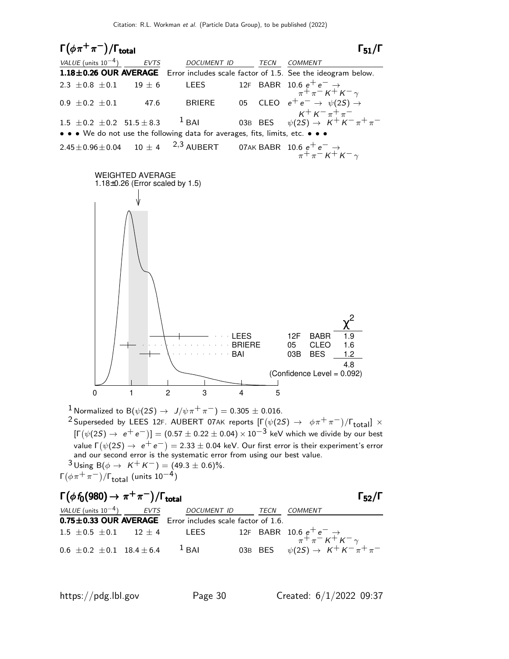$\Gamma(\phi \pi^+ \pi^-)/\Gamma_{\rm total}$  Γ<sub>51</sub>/Γ total $\begin{bmatrix}1 & 51/6 \end{bmatrix}$ VALUE (units  $10^{-4}$ ) EVTS DOCUMENT ID TECN COMMENT  $1.18\pm0.26$  OUR AVERAGE Error includes scale factor of 1.5. See the ideogram below. 2.3 ±0.8 ±0.1 19 ± 6 LEES 12F BABR 10.6  $e^+e^-$  →  $\frac{1}{2} \pi \frac{1}{2} K^{\frac{1}{2}} K^{-\gamma}$ 0.9  $\pm$ 0.2  $\pm$ 0.1 47.6 BRIERE 05 CLEO  $e^+e^- \rightarrow \psi(2S) \rightarrow$  $K^+ K^- \pi^+ \pi^-$ <br> $\psi(2S) \rightarrow K^+ K$ 1.5  $\pm$  0.2  $\pm$  0.2 51.5  $\pm$  8.3  $1$  BAI 03B BES  $\psi(2S) \rightarrow K$ • • • We do not use the following data for averages, fits, limits, etc.  $2.45 \pm 0.96 \pm 0.04$  10  $\pm$  4  $^{2,3}$  AUBERT 07AK BABR 10.6  $e^+e^-\rightarrow$  $\frac{1}{\pi}+\frac{1}{\pi}-\kappa+\kappa-\gamma$ WEIGHTED AVERAGE 1.18±0.26 (Error scaled by 1.5) BAI 03B BES 1.2 BRIERE 05 CLEO 1.6 LEES 12F BABR 1.9 χ 2 4.8 (Confidence Level = 0.092) 0 1 2 3 4 5 <sup>1</sup> Normalized to B( $ψ$ (2*S*) →  $J/ψ$ π<sup>+</sup>π<sup>-</sup>) = 0.305 ± 0.016.

 $^2$ Superseded by LEES 12F. AUBERT 07AK reports  $[\Gamma(\psi(2S) \rightarrow \phi \pi^+ \pi^-)/\Gamma_{\rm total}]\times$  $[\Gamma(\psi(2S) \to e^+e^-)] = (0.57 \pm 0.22 \pm 0.04) \times 10^{-3}$  keV which we divide by our best value Γ $(\psi(2S) \rightarrow e^+e^-)=$  2.33  $\pm$  0.04 keV. Our first error is their experiment's error and our second error is the systematic error from using our best value.  $3$  Using B( $\phi \to K^+ K^-$ ) = (49.3 ± 0.6)%. Γ $(\phi \pi^+ \pi^-)/$ Γ $_{\rm total}$  (units 10 $^{-4})$ 

| $\Gamma(\phi f_0(980) \rightarrow \pi^+\pi^-)/\Gamma_{\text{total}}$ |             |      | $\Gamma_{52}/\Gamma$                                                                           |
|----------------------------------------------------------------------|-------------|------|------------------------------------------------------------------------------------------------|
| VALUE (units $10^{-4}$ ) EVTS                                        | DOCUMENT ID | TECN | COMMENT                                                                                        |
| 0.75±0.33 OUR AVERAGE Error includes scale factor of 1.6.            |             |      |                                                                                                |
|                                                                      |             |      | 1.5 ± 0.5 ± 0.1 12 ± 4 LEES 12F BABR 10.6 $e^+e^- \rightarrow$<br>$\pi^+ \pi^- K^+ K^- \gamma$ |
| $0.6 \pm 0.2 \pm 0.1$ 18.4 $\pm$ 6.4 <sup>1</sup> BAI                |             |      | 03B BES $\psi(2S) \rightarrow K^+ K^- \pi^+ \pi^-$                                             |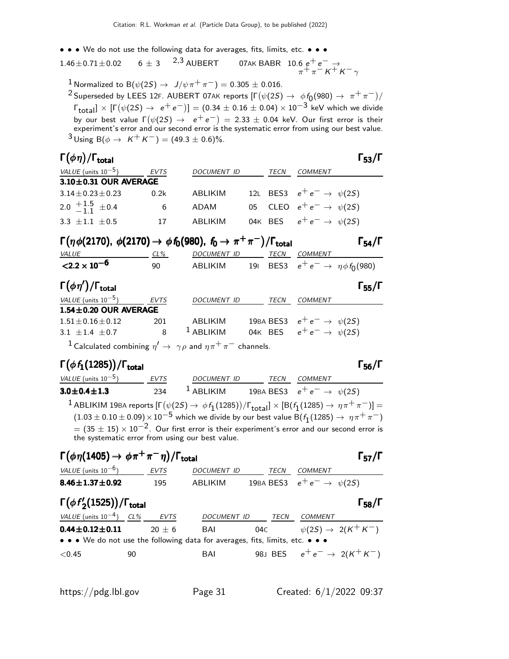• • • We do not use the following data for averages, fits, limits, etc. • • •

1.46 $\pm$ 0.71 $\pm$ 0.02 6  $\pm$  3 <sup>2,3</sup> AUBERT  $^{2,3}$  AUBERT 07AK BABR 10.6  $e^+e^-\rightarrow$  $\frac{1}{\pi}+\frac{1}{\pi}-\kappa+\kappa-\gamma$ 

1 Normalized to B( $\psi(2S) \rightarrow J/\psi \pi^+ \pi^-$ ) = 0.305 ± 0.016.

 $^2$ Superseded by LEES 12F. AUBERT 07AK reports  $[\Gamma(\psi(2S) \to \phi f_0(980) \to \pi^+ \pi^-)/\psi(2S)]$  $\lceil \frac{\text{Total}}{\text{Total}} \rceil \times \lceil \Gamma(\psi(2S) \to e^+e^-) \rceil = (0.34 \pm 0.16 \pm 0.04) \times 10^{-3} \text{ keV which we divide}$ by our best value  $\Gamma(\psi(2S) \rightarrow e^+e^-) = 2.33 \pm 0.04$  keV. Our first error is their experiment's error and our second error is the systematic error from using our best value.  $3 \text{ Using } B(\phi \to K^+ K^-) = (49.3 \pm 0.6)\%$ .

### Γ $(\phi \eta)/\Gamma_{\text{total}}$  Γ $_{53}/\Gamma$  $\Gamma$ <sub>total</sub> Γ<sub>53</sub>/Γ

| <i>VALUE</i> (units $10^{-5}$ ) | EVTS | DOCUMENT ID | TECN | COMMENT                                |
|---------------------------------|------|-------------|------|----------------------------------------|
| $3.10 \pm 0.31$ OUR AVERAGE     |      |             |      |                                        |
| $3.14 + 0.23 + 0.23$            | 0.2k | ABI IKIM    |      | 12L BES3 $e^+e^- \rightarrow \psi(2S)$ |
| 2.0 $\frac{+1.5}{-1.1}$ ± 0.4   | 6    | ADAM        |      | 05 CLEO $e^+e^- \rightarrow \psi(2S)$  |
| $3.3 + 1.1 + 0.5$               | 17   | ABLIKIM     |      | 04K BES $e^+e^- \rightarrow \psi(2S)$  |

| $\Gamma(\eta \phi(2170), \phi(2170) \to \phi f_0(980), f_0 \to \pi^+ \pi^-)/\Gamma_{\text{total}}$ |     |             |  |  |                                          |  |  |
|----------------------------------------------------------------------------------------------------|-----|-------------|--|--|------------------------------------------|--|--|
| <i>VALUE</i>                                                                                       | CL% | DOCUMENT ID |  |  | TECN COMMENT                             |  |  |
| ${<}2.2 \times 10^{-6}$                                                                            | ۹N  | ABLIKIM     |  |  | 191 BES3 $e^+e^- \to \eta \phi f_0(980)$ |  |  |

| $\Gamma(\phi\eta')/\Gamma_{\rm total}$ |      |                    |      | $\Gamma_{55}/\Gamma$                    |
|----------------------------------------|------|--------------------|------|-----------------------------------------|
| VALUE (units $10^{-5}$ )               | EVTS | <b>DOCUMENT ID</b> | TECN | COMMENT                                 |
| $1.54 \pm 0.20$ OUR AVERAGE            |      |                    |      |                                         |
| $1.51 \pm 0.16 \pm 0.12$               | 201  | ABI IKIM           |      | 19BA BES3 $e^+e^- \rightarrow \psi(25)$ |
| 3.1 $\pm$ 1.4 $\pm$ 0.7                |      | $1$ ABLIKIM        |      | 04K BES $e^+e^- \rightarrow \psi(25)$   |

 $^1$  Calculated combining  $\eta' \rightarrow \ \gamma \rho$  and  $\eta \pi^+ \pi^-$  channels.

### Γ $(\phi f_1(1285))$ /Γ<sub>total</sub> Γ<sub>56</sub>/Γ

 $\Gamma_{56}/\Gamma$ 

VALUE (units 10<sup>-5</sup>) EVTS DOCUMENT ID TECN COMMENT  $\textbf{3.0} \pm \textbf{0.4} \pm \textbf{1.3}$  234  $^1$  ABLIKIM 19BA BES3  $e^+ \, e^- \rightarrow \, \psi(2S)$  $^1$  ABLIKIM 19BA reports  $[\Gamma(\psi(2S) \to \, \phi\,f_1(1285))/\Gamma_{\rm total}]\times[{\rm B}(f_1(1285) \to \, \eta\, \pi^+\, \pi^-)]=$  $(1.03\pm 0.10\pm 0.09)\times 10^{-5}$  which we divide by our best value B $(f_1(1285)\rightarrow~\eta\pi^+\pi^-)$  $= (35 \pm 15) \times 10^{-2}$ . Our first error is their experiment's error and our second error is the systematic error from using our best value.

$$
\Gamma(\phi \eta(1405) \to \phi \pi^+ \pi^- \eta)/\Gamma_{\text{total}}
$$

| VALUE (units $10^{-6}$ )   | <b>EVTS</b> | <i>DOCUMENT ID</i> | TFCN | <i>COMMENT</i>                          |
|----------------------------|-------------|--------------------|------|-----------------------------------------|
| 8.46 $\pm$ 1.37 $\pm$ 0.92 | 195         | ABI IKIM           |      | 19BA BES3 $e^+e^- \rightarrow \psi(2S)$ |

| $\Gamma(\phi f_2'(1525)) / \Gamma_{\text{total}}$ |                                                                               |             |        |                | $\Gamma_{58}/\Gamma$             |
|---------------------------------------------------|-------------------------------------------------------------------------------|-------------|--------|----------------|----------------------------------|
| VALUE (units $10^{-4}$ ) CL%                      | <b>EVTS</b>                                                                   | DOCUMENT ID | TECN   | <i>COMMENT</i> |                                  |
| $0.44 \pm 0.12 \pm 0.11$                          | $20 + 6$                                                                      | BAI         | 04C 04 |                | $\psi(2S) \rightarrow 2(K^+K^-)$ |
|                                                   | • • • We do not use the following data for averages, fits, limits, etc. • • • |             |        |                |                                  |
| ${<}0.45$                                         | 90                                                                            | BAI         |        |                | 98J BES $e^+e^- \to 2(K^+K^-)$   |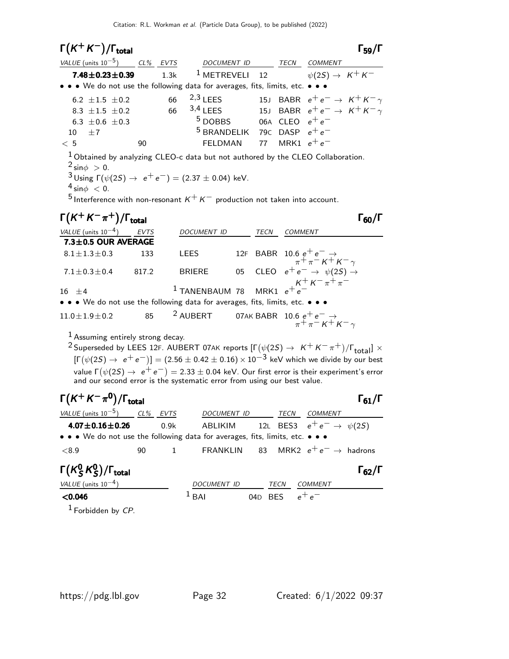| $\Gamma(K^+K^-)/\Gamma_{\text{total}}$                                        |      |                                          |    |               | $\Gamma_{59}/\Gamma$                       |
|-------------------------------------------------------------------------------|------|------------------------------------------|----|---------------|--------------------------------------------|
| VALUE (units $10^{-5}$ ) CL% EVTS                                             |      | <i>DOCUMENT ID</i>                       |    | TECN          | <b>COMMENT</b>                             |
| $7.48 \pm 0.23 \pm 0.39$                                                      | 1.3k | $1$ METREVELI 12                         |    |               | $\psi(2S) \rightarrow K^+K^-$              |
| • • • We do not use the following data for averages, fits, limits, etc. • • • |      |                                          |    |               |                                            |
| 6.2 $\pm 1.5$ $\pm 0.2$                                                       | 66   | $2,3$ LEES                               |    |               | 15J BABR $e^+e^- \rightarrow K^+K^-\gamma$ |
| 8.3 $\pm 1.5$ $\pm 0.2$                                                       | 66   | $3,4$ LEES                               |    |               | 15J BABR $e^+e^- \rightarrow K^+K^-\gamma$ |
| 6.3 $\pm$ 0.6 $\pm$ 0.3                                                       |      | $5$ DOBBS 06A CLEO $e^+e^-$              |    |               |                                            |
| $+7$<br>10                                                                    |      | <sup>5</sup> BRANDELIK 79C DASP $e^+e^-$ |    |               |                                            |
| < 5                                                                           | 90   | <b>FELDMAN</b>                           | 77 | MRK1 $e^+e^-$ |                                            |

1 Obtained by analyzing CLEO-c data but not authored by the CLEO Collaboration.  $2 \sin \phi > 0$ .  $3 \text{ Using } \Gamma(\psi(2S) \to e^+e^-) = (2.37 \pm 0.04) \text{ keV}.$ 

 $4 \sin \phi < 0$ .

5 Interference with non-resonant  $K^+ K^-$  production not taken into account.

| $\Gamma(K^+K^-\pi^+)/\Gamma_{\text{total}}$                                   |       |                    |      |                                                                                                                         |
|-------------------------------------------------------------------------------|-------|--------------------|------|-------------------------------------------------------------------------------------------------------------------------|
| VALUE (units $10^{-4}$ )                                                      | EVTS  | <b>DOCUMENT ID</b> | TECN | <b>COMMENT</b>                                                                                                          |
| 7.3±0.5 OUR AVERAGE                                                           |       |                    |      |                                                                                                                         |
| $8.1 \pm 1.3 \pm 0.3$                                                         | 133   | <b>LEES</b>        |      | 12F BABR 10.6 $e^+e^- \rightarrow$<br>$\pi^+ \pi^- K^+ K^- \gamma$<br>05 CLEO $e^+e^- \rightarrow \psi(2S) \rightarrow$ |
|                                                                               |       |                    |      |                                                                                                                         |
| $7.1 \pm 0.3 \pm 0.4$                                                         | 817.2 | <b>BRIERE</b>      |      |                                                                                                                         |
| $16 \pm 4$                                                                    |       |                    |      | <sup>1</sup> TANENBAUM 78 MRK1 $e^+e^-$                                                                                 |
| • • • We do not use the following data for averages, fits, limits, etc. • • • |       |                    |      |                                                                                                                         |
| $11.0 \pm 1.9 \pm 0.2$                                                        |       |                    |      | 85 <sup>2</sup> AUBERT 07AK BABR $10.6 e^+ e^- \rightarrow \pi^+ \pi^- K^+ K^- \gamma$                                  |

1 Assuming entirely strong decay.

 $\overline{\phantom{0}}$ 

 $^2$ Superseded by LEES 12F. AUBERT 07AK reports  $[\Gamma(\psi(2S) \to~K^+~\!K^-\pi^+)/\Gamma_{\rm total}] \times$  $[\Gamma(\psi(2S) \to e^+e^-)] = (2.56 \pm 0.42 \pm 0.16) \times 10^{-3}$  keV which we divide by our best value Γ $(\psi(2S) \rightarrow e^+e^-)=$  2.33  $\pm$  0.04 keV. Our first error is their experiment's error and our second error is the systematic error from using our best value.

| $\Gamma(K^+K^-\pi^0)/\Gamma_{\rm total}$                                      |    |      |                    |     |            |                                        | $\Gamma_{61}/\Gamma$ |
|-------------------------------------------------------------------------------|----|------|--------------------|-----|------------|----------------------------------------|----------------------|
| VALUE (units $10^{-5}$ ) CL% EVTS                                             |    |      | DOCUMENT ID        |     | TECN       | COMMENT                                |                      |
| $4.07 \pm 0.16 \pm 0.26$                                                      |    | 0.9k | ABLIKIM            |     |            | 12L BES3 $e^+e^- \rightarrow \psi(25)$ |                      |
| • • • We do not use the following data for averages, fits, limits, etc. • • • |    |      |                    |     |            |                                        |                      |
| ${<}8.9$                                                                      | 90 | 1    | FRANKLIN           |     |            | 83 MRK2 $e^+e^- \rightarrow$ hadrons   |                      |
| $\Gamma(K_S^0 K_S^0)/\Gamma_{\text{total}}$                                   |    |      |                    |     |            |                                        | $\Gamma_{62}/\Gamma$ |
| VALUE (units $10^{-4}$ )                                                      |    |      | <b>DOCUMENT ID</b> |     | TECN       | COMMENT                                |                      |
| < 0.046                                                                       |    |      | $\frac{1}{2}$ BAI  | 04D | <b>BFS</b> |                                        |                      |

 $1$  Forbidden by CP.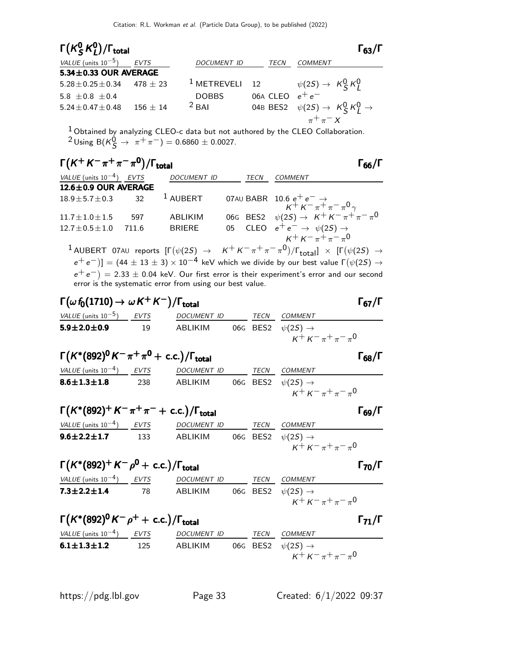### $\mathsf{\Gamma}(\mathsf{K}^0_\mathsf{S})$  $^0_S$ K $^0_L$ Γ(K ${}^{0}$ SK ${}^{0}$ )/Γ<sub>total</sub> 63/Γ

| VALUE (units $10^{-5}$ )    | EVTS           | <b>DOCUMENT ID</b> | TECN              | <b>COMMENT</b>                                          |
|-----------------------------|----------------|--------------------|-------------------|---------------------------------------------------------|
| $5.34 \pm 0.33$ OUR AVERAGE |                |                    |                   |                                                         |
| $5.28 \pm 0.25 \pm 0.34$    | $478 + 23$     | $1$ METREVELI 12   |                   | $\psi(2S) \rightarrow K_S^0 K_I^0$                      |
| 5.8 $\pm$ 0.8 $\pm$ 0.4     |                | <b>DOBBS</b>       | 06A CLEO $e^+e^-$ |                                                         |
| $5.24 \pm 0.47 \pm 0.48$    | $156~{\pm}~14$ | $2$ BAI            |                   | 04B BES2 $\psi(2S) \rightarrow K_S^0 K_I^0 \rightarrow$ |
|                             |                |                    |                   | $\pi^+\pi^- X$                                          |
|                             |                |                    |                   |                                                         |

<sup>1</sup> Obtained by analyzing CLEO-c data but not authored by the CLEO Collaboration.  $2$ Using B( $K_S^0$  →  $π$ <sup>+</sup>π<sup>-</sup>) = 0.6860 ± 0.0027.

# $\Gamma(K^+ K^-\pi^+\pi^-\pi^0)/\Gamma_{\text{total}}$  Γ<sub>66</sub>/Γ

| $I(N \nN \pi^* \pi^* \pi^*)/I$ total      |       |               |             | ا 66/1                                                                                                   |
|-------------------------------------------|-------|---------------|-------------|----------------------------------------------------------------------------------------------------------|
| VALUE (units $10^{-4}$ ) EVTS DOCUMENT ID |       |               | <b>TECN</b> | <b>COMMENT</b>                                                                                           |
| $12.6 \pm 0.9$ OUR AVERAGE                |       |               |             |                                                                                                          |
|                                           |       |               |             | 18.9±5.7±0.3 32 <sup>1</sup> AUBERT 07AU BABR 10.6 $e^+e^- \rightarrow$<br>$K^+K^-\pi^+\pi^-\pi^0\gamma$ |
|                                           |       |               |             |                                                                                                          |
| $11.7 \pm 1.0 \pm 1.5$                    | 597   | ABLIKIM       |             | 06G BES2 $\psi(2S) \to K^+ K^- \pi^+ \pi^- \pi^0$                                                        |
| $12.7 \pm 0.5 \pm 1.0$                    | 711.6 | <b>BRIERE</b> |             | 05 CLEO $e^+e^- \rightarrow \psi(2S) \rightarrow$                                                        |
|                                           |       |               |             | $K^+ K^- \pi^+ \pi^- \pi^0$                                                                              |

 $^1$  AUBERT 07AU reports  $[\Gamma(\psi(2S) \rightarrow K^+K^-\pi^+\pi^-\pi^0)/\Gamma_{\rm total}]\times [\Gamma(\psi(2S) \rightarrow$  $\rm (e^+e^-)] = (44\pm 13\pm 3)\times 10^{-4}$  keV which we divide by our best value  $\Gamma(\psi(2S) \to \psi_1)$  $(e^+e^-) = 2.33 \pm 0.04$  keV. Our first error is their experiment's error and our second error is the systematic error from using our best value.

# $\Gamma(\omega f_0(1710) \rightarrow \omega K^+ K^-)/\Gamma_{\text{total}}$  Γ<sub>67</sub>/Γ

| <i>VALUE</i> (units $10^{-5}$ ) | EVTS | <i>DOCUMENT ID</i> | TECN | <i>COMMENT</i>                                                 |
|---------------------------------|------|--------------------|------|----------------------------------------------------------------|
| $5.9 \pm 2.0 \pm 0.9$           | 19.  | ABLIKIM            |      | 06G BES2 $\psi(2S) \rightarrow$<br>$K^+ K^- \pi^+ \pi^- \pi^0$ |
|                                 |      |                    |      |                                                                |

| $\Gamma(K^*(892)^0 K^-\pi^+\pi^0 + \text{c.c.})/\Gamma_{\text{total}}$ |     |             |      | $\Gamma_{68}/\Gamma$            |
|------------------------------------------------------------------------|-----|-------------|------|---------------------------------|
| VALUE (units $10^{-4}$ ) EVTS                                          |     | DOCUMENT ID | TECN | <i>COMMENT</i>                  |
| $8.6 \pm 1.3 \pm 1.8$                                                  | 238 | ABLIKIM     |      | 06G BES2 $\psi(2S) \rightarrow$ |
|                                                                        |     |             |      | $K^+ K^- \pi^+ \pi^- \pi^0$     |

# $\Gamma(K^*(892)^+ K^-\pi^+\pi^- + \text{ c.c.})/\Gamma_{\text{total}}$  Γ<sub>69</sub>/Γ

| <i>VALUE</i> (units $10^{-4}$ ) | EVTS | <i>DOCUMENT ID</i> | <b>TFCN</b> | <i>COMMENT</i>                  |
|---------------------------------|------|--------------------|-------------|---------------------------------|
| $9.6 \pm 2.2 \pm 1.7$           | 133  | ABLIKIM            |             | 06G BES2 $\psi(2S) \rightarrow$ |
|                                 |      |                    |             | $K^+ K^- \pi^+ \pi^- \pi^0$     |

 $\Gamma(K^*(892)^+ K^- \rho^0 + \text{ c.c.})/\Gamma_{\text{total}}$  Γ<sub>70</sub>/Γ

| VALUE (units 10 <sup>-4</sup> ) | EVTS | DOCUMENT ID | TECN | COMMENT |                        |
|---------------------------------|------|-------------|------|---------|------------------------|
| 7.3±2.2±1.4                     | 78   | ABLIKIM     | 06G  | BES2    | $\psi(2S) \rightarrow$ |
| $K^+ K^- \pi^+ \pi^- \pi^0$     |      |             |      |         |                        |

$$
\Gamma(K^*(892)^0K^-\rho^+ + \text{c.c.})/\Gamma_{\text{total}}
$$

VALUE (units  $10^{-4}$ ) EVTS DOCUMENT ID TECN COMMENT **6.1±1.3±1.2** 125 ABLIKIM 06G BES2  $\psi(2S) \to$  $K^+ K^- \pi^+ \pi^- \pi^0$ 

https://pdg.lbl.gov Page 33 Created: 6/1/2022 09:37

 $\Gamma_{63}/\Gamma$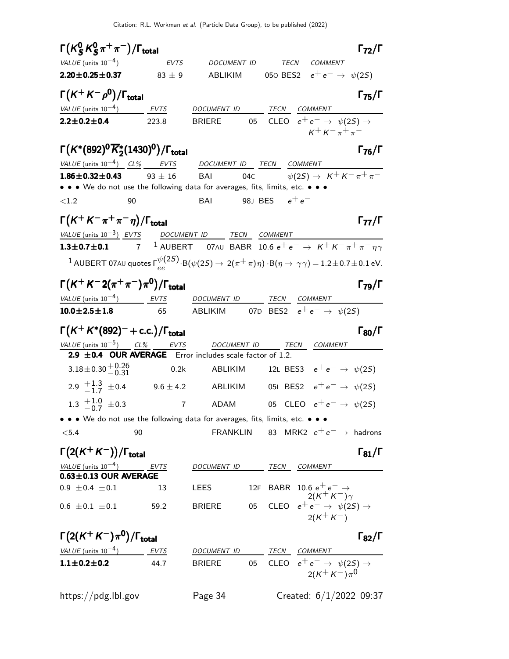| $\Gamma(K_S^0 K_S^0 \pi^+\pi^-)/\Gamma_{\text{total}}$                                                                                           |                |                                                                              |                 |                  |                                                                                                                                  | $\Gamma_{72}/\Gamma$                       |
|--------------------------------------------------------------------------------------------------------------------------------------------------|----------------|------------------------------------------------------------------------------|-----------------|------------------|----------------------------------------------------------------------------------------------------------------------------------|--------------------------------------------|
| VALUE (units $10^{-4}$ )<br>$\mathcal{L}(\mathcal{L})$                                                                                           | EVTS           | DOCUMENT ID                                                                  |                 |                  | TECN COMMENT                                                                                                                     |                                            |
| $2.20 \pm 0.25 \pm 0.37$ 83 ± 9                                                                                                                  |                | ABLIKIM                                                                      |                 |                  | 050 BES2 $e^+e^- \rightarrow \psi(25)$                                                                                           |                                            |
| $\Gamma(K^+K^-\rho^0)/\Gamma_{\rm total}$                                                                                                        |                |                                                                              |                 |                  |                                                                                                                                  | $\Gamma_{75}/\Gamma$                       |
| VALUE (units $10^{-4}$ ) EVTS                                                                                                                    |                | DOCUMENT ID                                                                  |                 | TECN             | <i>COMMENT</i>                                                                                                                   |                                            |
| $2.2 \pm 0.2 \pm 0.4$                                                                                                                            | 223.8          | <b>BRIERE</b>                                                                | 05              |                  | CLEO $e^+e^- \rightarrow \psi(2S) \rightarrow$                                                                                   | $K^+ K^- \pi^+ \pi^-$                      |
| $\Gamma(K^*(892)^0\overline{K}_2^*(1430)^0)/\Gamma_{\rm total}$                                                                                  |                |                                                                              |                 |                  |                                                                                                                                  | $\Gamma_{76}/\Gamma$                       |
| VALUE (units $10^{-4}$ ) CL% EVTS                                                                                                                |                | DOCUMENT ID TECN                                                             |                 |                  | COMMENT                                                                                                                          |                                            |
| $1.86 \pm 0.32 \pm 0.43$                                                                                                                         | $93 \pm 16$    | BAI                                                                          | 04 <sub>C</sub> |                  |                                                                                                                                  | $\psi(2S) \rightarrow K^+ K^- \pi^+ \pi^-$ |
| • • • We do not use the following data for averages, fits, limits, etc. • • •                                                                    |                |                                                                              |                 |                  |                                                                                                                                  |                                            |
| ${<}1.2$<br>90                                                                                                                                   |                | <b>BAI</b>                                                                   |                 | 98J BES $e^+e^-$ |                                                                                                                                  |                                            |
| $\Gamma(K^+K^-\pi^+\pi^-\eta)/\Gamma_{\rm total}$                                                                                                |                |                                                                              |                 |                  |                                                                                                                                  | $\Gamma_{77}/\Gamma$                       |
| $VALUE$ (units $10^{-3}$ ) EVTS DOCUMENT ID TECN COMMENT                                                                                         |                |                                                                              |                 |                  |                                                                                                                                  |                                            |
| $1.3 \pm 0.7 \pm 0.1$                                                                                                                            |                | 7 $^1$ AUBERT 07AU BABR 10.6 $e^+e^- \rightarrow K^+K^-\pi^+\pi^-\eta\gamma$ |                 |                  |                                                                                                                                  |                                            |
| $1$ AUBERT 07AU quotes $\Gamma_{ee}^{\psi(2S)}$ . B $(\psi(2S) \to 2(\pi^+\pi)\eta)$ · B $(\eta \to \gamma\gamma)$ = 1.2 $\pm$ 0.7 $\pm$ 0.1 eV. |                |                                                                              |                 |                  |                                                                                                                                  |                                            |
| $\Gamma(K^+K^-2(\pi^+\pi^-)\pi^0)/\Gamma_{\rm total}$                                                                                            |                |                                                                              |                 |                  |                                                                                                                                  | $\Gamma_{79}/\Gamma$                       |
| VALUE (units $10^{-4}$ ) EVTS                                                                                                                    |                | DOCUMENT ID                                                                  |                 |                  | TECN COMMENT                                                                                                                     |                                            |
| $10.0 \pm 2.5 \pm 1.8$                                                                                                                           | 65             | ABLIKIM                                                                      |                 |                  | 07D BES2 $e^+e^- \rightarrow \psi(2S)$                                                                                           |                                            |
|                                                                                                                                                  |                |                                                                              |                 |                  |                                                                                                                                  |                                            |
| $\Gamma(K^+K^*(892)^- + \text{c.c.})/\Gamma_{\text{total}}$                                                                                      |                |                                                                              |                 |                  |                                                                                                                                  | $\Gamma_{80}/\Gamma$                       |
| VALUE (units $10^{-5}$ ) CL% EVTS<br>2.9 ±0.4 OUR AVERAGE Error includes scale factor of 1.2.                                                    |                | DOCUMENT ID TECN COMMENT                                                     |                 |                  |                                                                                                                                  |                                            |
| $3.18 \pm 0.30 \pm 0.26$                                                                                                                         | 0.2k           | ABLIKIM                                                                      |                 |                  | 12L BES3 $e^+e^- \rightarrow \psi(25)$                                                                                           |                                            |
| 2.9 $\frac{+1.3}{-1.7}$ $\pm$ 0.4 9.6 $\pm$ 4.2                                                                                                  |                | ABLIKIM                                                                      |                 |                  | 051 BES2 $e^+e^- \to \psi(25)$                                                                                                   |                                            |
| 1.3 $\frac{+1.0}{-0.7}$ ±0.3                                                                                                                     | $\overline{7}$ | <b>ADAM</b>                                                                  |                 |                  | 05 CLEO $e^+e^- \rightarrow \psi(2S)$                                                                                            |                                            |
| • • • We do not use the following data for averages, fits, limits, etc. • • •                                                                    |                |                                                                              |                 |                  |                                                                                                                                  |                                            |
| < 5.4<br>90                                                                                                                                      |                | FRANKLIN                                                                     |                 |                  |                                                                                                                                  | 83 MRK2 $e^+e^- \rightarrow$ hadrons       |
| $\Gamma(2(K^+K^-))/\Gamma_{\text{total}}$                                                                                                        |                |                                                                              |                 |                  |                                                                                                                                  | $\Gamma_{81}/\Gamma$                       |
| $VALUE$ (units $10^{-4}$ ) EVTS                                                                                                                  |                | DOCUMENT ID                                                                  |                 | TECN             | COMMENT                                                                                                                          |                                            |
| $0.63 \pm 0.13$ OUR AVERAGE<br>$0.9 \pm 0.4 \pm 0.1$                                                                                             | 13             | LEES                                                                         |                 |                  |                                                                                                                                  |                                            |
| $0.6 \pm 0.1 \pm 0.1$                                                                                                                            | 59.2           | <b>BRIERE</b>                                                                |                 |                  | 12F BABR 10.6 $e^+e^- \rightarrow$<br>2( $K^+K^-$ ) $\gamma$<br>05 CLEO $e^+e^- \rightarrow \psi(2S) \rightarrow$<br>$2(K^+K^-)$ |                                            |
| $\Gamma(2(K^+K^-)\pi^0)/\Gamma_{\rm total}$                                                                                                      |                |                                                                              |                 |                  |                                                                                                                                  | $\Gamma_{82}/\Gamma$                       |
| $VALUE$ (units $10^{-4}$ ) EVTS                                                                                                                  |                | DOCUMENT ID                                                                  |                 |                  | TECN COMMENT                                                                                                                     |                                            |
| $1.1 \pm 0.2 \pm 0.2$                                                                                                                            | 44.7           | <b>BRIERE</b>                                                                | 05              |                  | CLEO $e^+e^- \rightarrow \psi(2S) \rightarrow$<br>$2(K^+ K^-)\pi^0$                                                              |                                            |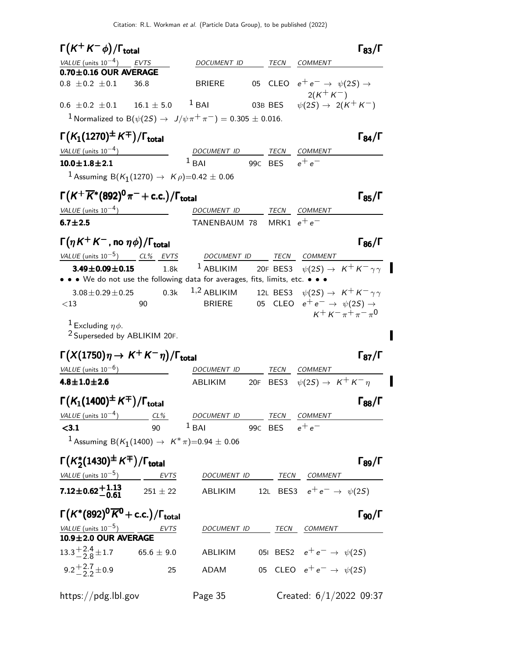| $\Gamma(K^+K^-\phi)/\Gamma_{\rm total}$                                                                         |                            |                  | $\Gamma_{83}/\Gamma$                                                       |
|-----------------------------------------------------------------------------------------------------------------|----------------------------|------------------|----------------------------------------------------------------------------|
| VALUE (units $10^{-4}$ ) EVTS                                                                                   | DOCUMENT ID                | TECN             | <b>COMMENT</b>                                                             |
| $0.70 \pm 0.16$ OUR AVERAGE                                                                                     |                            |                  |                                                                            |
| $0.8 \pm 0.2 \pm 0.1$<br>36.8                                                                                   | BRIERE                     |                  | 05 CLEO $e^+e^- \rightarrow \psi(2S) \rightarrow$<br>$2(K^+K^-)$           |
| $0.6 \pm 0.2 \pm 0.1$ $16.1 \pm 5.0$ $1$ BAI                                                                    |                            | 03B BES          | $\psi(2S) \rightarrow 2(K^+K^-)$                                           |
| <sup>1</sup> Normalized to B( $\psi(2S) \to J/\psi \pi^+ \pi^-$ ) = 0.305 $\pm$ 0.016.                          |                            |                  |                                                                            |
|                                                                                                                 |                            |                  |                                                                            |
| $\Gamma(K_1(1270)^{\pm}\,K^{\mp})/\Gamma_{\rm total}$                                                           |                            |                  | $\Gamma_{84}/\Gamma$                                                       |
| $VALUE$ (units $10^{-4}$ )                                                                                      | DOCUMENT ID<br>$1$ RAI     |                  | TECN COMMENT                                                               |
| $10.0 \pm 1.8 \pm 2.1$                                                                                          |                            | 99c BES $e^+e^-$ |                                                                            |
| <sup>1</sup> Assuming B(K <sub>1</sub> (1270) $\rightarrow$ K $\rho$ )=0.42 ± 0.06                              |                            |                  |                                                                            |
| $\Gamma(K^+\overline{K}{}^*(892)^0\pi^-+$ c.c.)/ $\Gamma_{\rm total}$                                           |                            |                  | $\Gamma_{85}/\Gamma$                                                       |
| VALUE (units $10^{-4}$ )                                                                                        | DOCUMENT ID                |                  | TECN COMMENT                                                               |
| $6.7 + 2.5$                                                                                                     | TANENBAUM 78 MRK1 $e^+e^-$ |                  |                                                                            |
|                                                                                                                 |                            |                  |                                                                            |
| $\Gamma(\eta K^+ K^-$ , no $\eta \phi) / \Gamma_{\rm total}$                                                    |                            |                  | $\Gamma_{86}/\Gamma$                                                       |
| VALUE (units $10^{-5}$ ) CL% EVTS                                                                               | DOCUMENT ID TECN COMMENT   |                  |                                                                            |
| $3.49 \pm 0.09 \pm 0.15$<br>1.8k<br>• • We do not use the following data for averages, fits, limits, etc. • • • |                            |                  | <sup>1</sup> ABLIKIM 20F BES3 $\psi(2S) \rightarrow K^+ K^- \gamma \gamma$ |
| 0.3k<br>$3.08 \pm 0.29 \pm 0.25$                                                                                |                            |                  | 1,2 ABLIKIM 12L BES3 $\psi(2S) \rightarrow K^+ K^- \gamma \gamma$          |
| 90<br>${<}13$                                                                                                   | <b>BRIERE</b>              |                  | 05 CLEO $e^+e^- \rightarrow \psi(2S) \rightarrow$                          |
|                                                                                                                 |                            |                  | $K^+ K^- \pi^+ \pi^- \pi^0$                                                |
| <sup>1</sup> Excluding $\eta \phi$ .<br><sup>2</sup> Superseded by ABLIKIM 20F.                                 |                            |                  |                                                                            |
| $\Gamma(X(1750)\eta \to K^+K^-\eta)/\Gamma_{\rm total}$                                                         |                            |                  | $\Gamma_{87}/\Gamma$                                                       |
| $VALUE$ (units $10^{-6}$ )                                                                                      | DOCUMENT ID                |                  | TECN COMMENT                                                               |
| $4.8 \pm 1.0 \pm 2.6$                                                                                           | <b>ABLIKIM</b>             |                  | 20F BES3 $\psi(2S) \rightarrow K^+ K^- \eta$                               |
|                                                                                                                 |                            |                  |                                                                            |
| $\Gamma(K_1(1400)^{\pm}\,K^{\mp})/\Gamma_{\rm total}$                                                           |                            |                  | $\Gamma_{88}/\Gamma$                                                       |
| <u>VALUE</u> (units $10^{-4}$ ) CL%                                                                             | DOCUMENT ID TECN COMMENT   |                  |                                                                            |
| 90<br>< 3.1                                                                                                     | $1$ BAI 99C BES $e^+e^-$   |                  |                                                                            |
| <sup>1</sup> Assuming B(K <sub>1</sub> (1400) $\rightarrow$ K <sup>*</sup> $\pi$ )=0.94 ± 0.06                  |                            |                  |                                                                            |
| $\Gamma(K_2^*(1430)^{\pm}K^{\mp})/\Gamma_{\text{total}}$                                                        |                            |                  | $\Gamma_{89}/\Gamma$                                                       |
| $VALUE (units 10-5)$ EVTS                                                                                       | DOCUMENT ID TECN COMMENT   |                  |                                                                            |
| <b>7.12±0.62+1.13</b> $251 \pm 22$                                                                              |                            |                  | ABLIKIM 12L BES3 $e^+e^- \rightarrow \psi(2S)$                             |
| $\Gamma(K^*(892)^0\overline{K}^0$ + c.c.)/ $\Gamma_{\text{total}}$                                              |                            |                  | $\Gamma_{90}/\Gamma$                                                       |
| $\frac{\text{VALUE (units 10-5)}{10.9 \pm 2.0 \text{ OUR AVERAGE}}$<br>EVTS                                     | DOCUMENT ID TECN COMMENT   |                  |                                                                            |
|                                                                                                                 |                            |                  |                                                                            |
| $13.3^{+2.4}_{-2.8}$ $\pm$ 1.7 65.6 $\pm$ 9.0                                                                   | ABLIKIM                    |                  | 051 BES2 $e^+e^- \to \psi(2S)$                                             |
| 9.2 <sup>+2.7</sup> ± 0.9<br>25                                                                                 | ADAM                       |                  | 05 CLEO $e^+e^- \rightarrow \psi(2S)$                                      |
| https://pdg.lbl.gov                                                                                             | Page 35                    |                  | Created: $6/1/2022$ 09:37                                                  |

 $\blacksquare$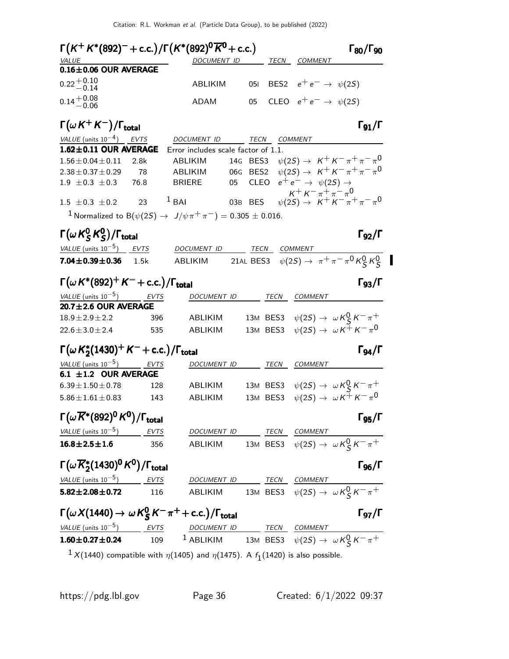| $\Gamma(K^+K^*(892)^- + \text{c.c.})/\Gamma(K^*(892)^0\overline{K}^0 + \text{c.c.})$<br>VALUE |             | DOCUMENT ID                                                                                                       |                         |              | <u>TECN COMMENT</u>                       | $\Gamma_{80}/\Gamma_{90}$                                                                  |
|-----------------------------------------------------------------------------------------------|-------------|-------------------------------------------------------------------------------------------------------------------|-------------------------|--------------|-------------------------------------------|--------------------------------------------------------------------------------------------|
| $0.16 \pm 0.06$ OUR AVERAGE                                                                   |             |                                                                                                                   |                         |              |                                           |                                                                                            |
| $0.22 + 0.10$<br>$-0.14$                                                                      |             | ABLIKIM                                                                                                           | 051                     |              | BES2 $e^+e^- \rightarrow \psi(2S)$        |                                                                                            |
| $0.14 + 0.08$<br>$-0.06$                                                                      |             | ADAM                                                                                                              | 05                      |              | CLEO $e^+e^- \rightarrow \psi(2S)$        |                                                                                            |
| $\Gamma(\omega\,K^+ \,K^-)/\Gamma_{\rm total}$                                                |             |                                                                                                                   |                         |              |                                           | $\Gamma_{91}/\Gamma$                                                                       |
| VALUE (units $10^{-4}$ ) EVTS                                                                 |             | DOCUMENT ID                                                                                                       |                         | TECN COMMENT |                                           |                                                                                            |
| 1.62±0.11 OUR AVERAGE                                                                         |             | Error includes scale factor of 1.1.                                                                               |                         |              |                                           |                                                                                            |
| $1.56 \pm 0.04 \pm 0.11$                                                                      | 2.8k        | ABLIKIM                                                                                                           | 14G BES3                |              |                                           | $\psi(2S) \to K^+ K^- \pi^+ \pi^- \pi^0$                                                   |
| $2.38 \pm 0.37 \pm 0.29$                                                                      | 78          | ABLIKIM                                                                                                           | BES <sub>2</sub><br>06G |              |                                           | $\psi(2S) \to K^+ K^- \pi^+ \pi^- \pi^0$                                                   |
| $1.9 \pm 0.3 \pm 0.3$                                                                         | 76.8        | <b>BRIERE</b>                                                                                                     | <b>CLEO</b><br>05       |              | $e^+e^- \rightarrow \psi(2S) \rightarrow$ |                                                                                            |
| $1.5 \pm 0.3 \pm 0.2$ 23 <sup>1</sup> BAI                                                     |             |                                                                                                                   | 03B BES                 |              | $K^+ K^- \pi^+ \pi^- \pi^0$               | $\psi(2S) \to K^+ K^- \pi^+ \pi^- \pi^0$                                                   |
| <sup>1</sup> Normalized to B( $\psi(2S) \to J/\psi \pi^+ \pi^-) = 0.305 \pm 0.016$ .          |             |                                                                                                                   |                         |              |                                           |                                                                                            |
| $\Gamma(\omega\,{\sf K}^0_{\sf S}\,{\sf K}^0_{\sf S})/\Gamma_{\sf total}$                     |             |                                                                                                                   |                         |              |                                           | $\Gamma_{92}/\Gamma$                                                                       |
| VALUE (units $10^{-5}$ ) EVTS                                                                 |             | DOCUMENT ID                                                                                                       |                         | TECN COMMENT |                                           |                                                                                            |
| $7.04 \pm 0.39 \pm 0.36$                                                                      | 1.5k        | ABLIKIM                                                                                                           |                         |              |                                           | 21AL BES3 $\psi(2S) \to \pi^+ \pi^- \pi^0 K_S^0 K_S^0$                                     |
| $\Gamma(\omega K^{*}(892)^{+} K^{-} + c.c.)/\Gamma_{\rm total}$                               |             |                                                                                                                   |                         |              |                                           | $\Gamma_{93}/\Gamma$                                                                       |
| VALUE (units $10^{-5}$ )                                                                      | EVTS        | DOCUMENT ID                                                                                                       |                         | TECN         | COMMENT                                   |                                                                                            |
| $20.7 \pm 2.6$ OUR AVERAGE                                                                    |             |                                                                                                                   |                         |              |                                           |                                                                                            |
| $18.9 \pm 2.9 \pm 2.2$                                                                        | 396         | ABLIKIM                                                                                                           |                         | 13M BES3     |                                           | $\psi(2S) \rightarrow \omega K_S^0 K^- \pi^+$                                              |
| $22.6 \pm 3.0 \pm 2.4$                                                                        | 535         | ABLIKIM                                                                                                           |                         | 13M BES3     |                                           | $\psi(2S) \rightarrow \omega K^+ K^- \pi^0$                                                |
| $\Gamma(\omega K_2^*(1430)^+ K^- + \text{c.c.})/\Gamma_{\text{total}}$                        |             |                                                                                                                   |                         |              |                                           | $\Gamma_{94}/\Gamma$                                                                       |
| VALUE (units $10^{-5}$ ) EVTS                                                                 |             | DOCUMENT ID TECN COMMENT                                                                                          |                         |              |                                           |                                                                                            |
| 6.1 $\pm$ 1.2 OUR AVERAGE                                                                     |             |                                                                                                                   |                         |              |                                           |                                                                                            |
| $6.39 + 1.50 + 0.78$                                                                          | 128         | ABLIKIM                                                                                                           |                         |              |                                           | 13M BES3 $\psi(2S) \rightarrow \omega K_S^0 K^- \pi^+$                                     |
| $5.86 \pm 1.61 \pm 0.83$                                                                      | 143         | ABLIKIM                                                                                                           |                         | 13M BES3     |                                           | $\psi(2S) \rightarrow \omega K^+ K^- \pi^0$                                                |
| $\Gamma(\omega \overline{K}^*(892)^0 K^0)/\Gamma_{\rm total}$                                 |             |                                                                                                                   |                         |              |                                           | $\Gamma_{95}/\Gamma$                                                                       |
| VALUE (units $10^{-5}$ )                                                                      | <b>EVTS</b> | DOCUMENT ID TECN COMMENT                                                                                          |                         |              |                                           |                                                                                            |
| $16.8 \pm 2.5 \pm 1.6$                                                                        | 356         |                                                                                                                   |                         |              |                                           | ABLIKIM 13M BES3 $\psi(2S) \rightarrow \omega K_S^0 K^- \pi^+$                             |
| $\Gamma(\omega \overline{K}_2^*(1430)^0 K^0)/\Gamma_{\rm total}$                              |             |                                                                                                                   |                         |              |                                           | $\Gamma_{96}/\Gamma$                                                                       |
| $VALUE$ (units $10^{-5}$ ) EVTS                                                               |             |                                                                                                                   |                         |              |                                           |                                                                                            |
| $5.82 \pm 2.08 \pm 0.72$                                                                      | 116         |                                                                                                                   |                         |              |                                           | DOCUMENT ID TECN COMMENT<br>ABLIKIM 13M BES3 $\psi(2S) \rightarrow \omega K_S^0 K^- \pi^+$ |
| $\Gamma(\omega X(1440) \to \omega K_S^0 K^- \pi^+ + \text{c.c.})/\Gamma_{\text{total}}$       |             |                                                                                                                   |                         |              |                                           | $\Gamma_{97}/\Gamma$                                                                       |
| VALUE (units $10^{-5}$ ) EVTS                                                                 |             |                                                                                                                   |                         |              |                                           |                                                                                            |
| $1.60 \pm 0.27 \pm 0.24$                                                                      | 109         | $\frac{DOCUMENT ID}{1 ABLIKIM} \frac{TECN}{13M BES3} \frac{COMMENT}{\psi(2S) \rightarrow \omega K_S^0 K^- \pi^+}$ |                         |              |                                           |                                                                                            |

 $^1$  X(1440) compatible with  $\eta(1405)$  and  $\eta(1475)$ . A  $f_1(1420)$  is also possible.

 $\blacksquare$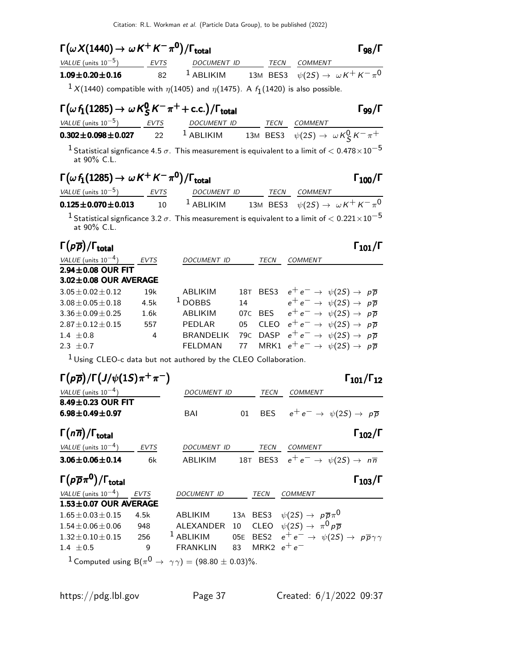| $\Gamma(\omega X(1440)\rightarrow\,\omega\,K^{+}\,K^{-}\,\pi^{0})/\Gamma_{\rm total}$             |             |                          |                 | $\Gamma_{98}/\Gamma$                                                                                              |
|---------------------------------------------------------------------------------------------------|-------------|--------------------------|-----------------|-------------------------------------------------------------------------------------------------------------------|
| VALUE (units $10^{-5}$ ) EVTS                                                                     |             | DOCUMENT ID TECN COMMENT |                 |                                                                                                                   |
| $1.09 \pm 0.20 \pm 0.16$                                                                          | 82          |                          |                 | <sup>1</sup> ABLIKIM 13M BES3 $\psi(2S) \rightarrow \omega K^+ K^- \pi^0$                                         |
| $1 \times (1440)$ compatible with $\eta(1405)$ and $\eta(1475)$ . A $f_1(1420)$ is also possible. |             |                          |                 |                                                                                                                   |
| $\Gamma(\omega f_1(1285) \rightarrow \omega K_S^0 K^- \pi^+ + \text{c.c.})/\Gamma_{\text{total}}$ |             |                          |                 | $\Gamma_{99}/\Gamma$                                                                                              |
| $VALUE$ (units $10^{-5}$ ) EVTS DOCUMENT ID TECN COMMENT                                          |             |                          |                 |                                                                                                                   |
| $0.302 \pm 0.098 \pm 0.027$                                                                       | 22          |                          |                 | <sup>1</sup> ABLIKIM 13M BES3 $\psi(2S) \rightarrow \omega K_S^0 K^- \pi^+$                                       |
| at 90% C.L.                                                                                       |             |                          |                 | $^1$ Statistical signficance 4.5 $\sigma$ . This measurement is equivalent to a limit of $< 0.478 \times 10^{-5}$ |
| $\Gamma(\omega f_1(1285) \to \omega K^+ K^- \pi^0)/\Gamma_{\rm total}$                            |             |                          |                 | $\Gamma_{100}/\Gamma$                                                                                             |
| $VALUE (units 10-5)$ EVTS DOCUMENT ID TECN COMMENT                                                |             |                          |                 |                                                                                                                   |
| $0.125 \pm 0.070 \pm 0.013$                                                                       | 10          |                          |                 | <sup>1</sup> ABLIKIM 13M BES3 $\psi(2S) \rightarrow \omega K^+ K^- \pi^0$                                         |
| at 90% C.L.                                                                                       |             |                          |                 | $^1$ Statistical signficance 3.2 $\sigma$ . This measurement is equivalent to a limit of $< 0.221 \times 10^{-5}$ |
| $\Gamma(p\overline{p})/\Gamma_{\rm total}$                                                        |             |                          |                 | $\Gamma_{101}/\Gamma$                                                                                             |
| VALUE (units $10^{-4}$ )                                                                          | <b>EVTS</b> | DOCUMENT ID TECN COMMENT |                 |                                                                                                                   |
| $2.94\pm0.08$ OUR FIT                                                                             |             |                          |                 |                                                                                                                   |
| 3.02±0.08 OUR AVERAGE                                                                             |             |                          |                 |                                                                                                                   |
| $3.05 \pm 0.02 \pm 0.12$                                                                          | 19k         | <b>ABLIKIM</b>           |                 | 18T BES3 $e^+e^- \rightarrow \psi(2S) \rightarrow p\overline{p}$                                                  |
| $3.08 \pm 0.05 \pm 0.18$                                                                          | 4.5k        | $1$ DOBBS                | 14              | $e^+ \, e^- \, \rightarrow \, \, \psi(2S) \, \rightarrow \, \, \rho \, \overline{\rho}$                           |
| $3.36 \pm 0.09 \pm 0.25$                                                                          | 1.6k        | <b>ABLIKIM</b>           |                 | 07C BES $e^+e^- \rightarrow \psi(2S) \rightarrow p\overline{p}$                                                   |
| $2.87 \pm 0.12 \pm 0.15$                                                                          | 557         | PEDLAR                   | 05              | CLEO $e^+e^- \rightarrow \psi(2S) \rightarrow p\overline{p}$                                                      |
| 1.4 $\pm 0.8$                                                                                     | 4           | <b>BRANDELIK</b>         | 79 <sub>C</sub> | DASP $e^+e^- \rightarrow \psi(2S) \rightarrow p\overline{p}$                                                      |
| 2.3 $\pm$ 0.7                                                                                     |             | <b>FELDMAN</b>           | 77              | MRK1 $e^+e^- \rightarrow \psi(2S) \rightarrow p\overline{p}$                                                      |

 $1$  Using CLEO-c data but not authored by the CLEO Collaboration.

| $\Gamma(p\overline{p})/\Gamma(J/\psi(1S)\pi^+\pi^-)$ |             |                                                                                         |     |               | $\Gamma_{101}/\Gamma_{12}$                                               |
|------------------------------------------------------|-------------|-----------------------------------------------------------------------------------------|-----|---------------|--------------------------------------------------------------------------|
| VALUE (units $10^{-4}$ )                             |             | DOCUMENT ID                                                                             |     | <b>TECN</b>   | <b>COMMENT</b>                                                           |
| 8.49±0.23 OUR FIT                                    |             |                                                                                         |     |               |                                                                          |
| $6.98 \pm 0.49 \pm 0.97$                             |             | BAI                                                                                     | 01  |               | BES $e^+e^- \rightarrow \psi(2S) \rightarrow p\overline{p}$              |
| $\Gamma(n\overline{n})/\Gamma_{\rm total}$           |             |                                                                                         |     |               | $\Gamma_{102}/\Gamma$                                                    |
| VALUE (units $10^{-4}$ ) EVTS                        |             | DOCUMENT ID                                                                             |     | TECN          | <b>COMMENT</b>                                                           |
| $3.06 \pm 0.06 \pm 0.14$                             | 6k          | ABLIKIM                                                                                 |     |               | 18T BES3 $e^+e^- \rightarrow \psi(2S) \rightarrow n\overline{n}$         |
| $\Gamma(p\overline{p}\pi^0)/\Gamma_{\rm total}$      |             |                                                                                         |     |               | $\Gamma_{103}/\Gamma$                                                    |
| VALUE (units $10^{-4}$ )                             | <b>EVTS</b> | <b>DOCUMENT ID</b>                                                                      |     | TECN          | <b>COMMENT</b>                                                           |
| $1.53 \pm 0.07$ OUR AVERAGE                          |             |                                                                                         |     |               |                                                                          |
| $1.65 \pm 0.03 \pm 0.15$                             | 4.5k        | ABLIKIM                                                                                 |     |               | 13A BES3 $\psi(2S) \rightarrow p \overline{p} \pi^0$                     |
| $1.54 \pm 0.06 \pm 0.06$                             | 948         | <b>ALEXANDER</b>                                                                        | 10  |               | CLEO $\psi(2S) \rightarrow \pi^0 p \overline{p}$                         |
| $1.32 \pm 0.10 \pm 0.15$                             | 256         | $1$ ABLIKIM                                                                             | 05E |               | BES2 $e^+e^- \rightarrow \psi(2S) \rightarrow p\overline{p}\gamma\gamma$ |
| 1.4 $\pm$ 0.5                                        | 9           | <b>FRANKLIN</b>                                                                         | 83  | MRK2 $e^+e^-$ |                                                                          |
|                                                      |             | <sup>1</sup> Computed using B( $\pi^{0} \rightarrow \gamma \gamma$ ) = (98.80 ± 0.03)%. |     |               |                                                                          |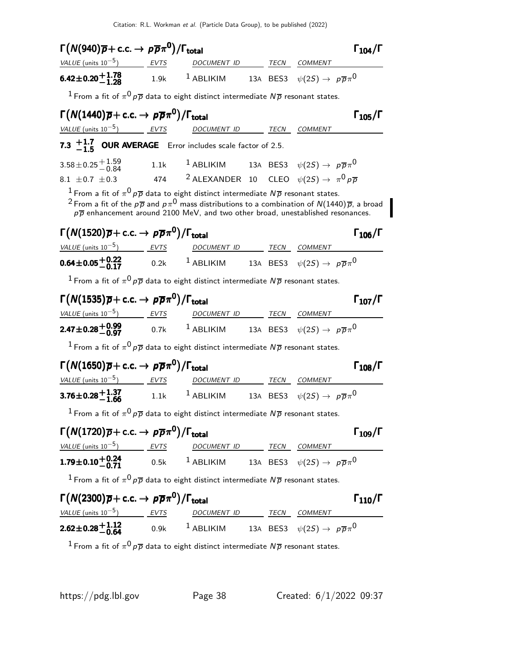| $\Gamma(N(940)\overline{p}+$ c.c. $\rightarrow p\overline{p}\pi^{0})/\Gamma_{\rm total}$                                                                                                                                                                              |                                                                                             |  | $\Gamma_{104}/\Gamma$ |
|-----------------------------------------------------------------------------------------------------------------------------------------------------------------------------------------------------------------------------------------------------------------------|---------------------------------------------------------------------------------------------|--|-----------------------|
| $VALUE$ (units $10^{-5}$ ) EVTS DOCUMENT ID TECN COMMENT                                                                                                                                                                                                              |                                                                                             |  |                       |
| <b>6.42±0.20<sup>+1.78</sup></b> 1.9k <sup>1</sup> ABLIKIM 13A BES3 $\psi(2S) \to p\overline{p}\pi^0$                                                                                                                                                                 |                                                                                             |  |                       |
| <sup>1</sup> From a fit of $\pi^0 p \overline{p}$ data to eight distinct intermediate $N \overline{p}$ resonant states.                                                                                                                                               |                                                                                             |  |                       |
| $\Gamma(N(1440)\overline{p}+c.c. \rightarrow p\overline{p}\pi^0)/\Gamma_{\text{total}}$                                                                                                                                                                               |                                                                                             |  | $\Gamma_{105}/\Gamma$ |
| VALUE (units $10^{-5}$ ) EVTS                                                                                                                                                                                                                                         | DOCUMENT ID ______ TECN COMMENT                                                             |  |                       |
| 7.3 $+1.7$ OUR AVERAGE Error includes scale factor of 2.5.                                                                                                                                                                                                            |                                                                                             |  |                       |
| 3.58 ± 0.25 $^{+1.59}_{-0.84}$ 1.1k <sup>1</sup> ABLIKIM 13A BES3 $\psi(25) \rightarrow p\overline{p}\pi^0$                                                                                                                                                           |                                                                                             |  |                       |
| 8.1 $\pm$ 0.7 $\pm$ 0.3                                                                                                                                                                                                                                               | 474 $^2$ ALEXANDER 10 CLEO $\psi(2S) \rightarrow \pi^0 p \overline{p}$                      |  |                       |
| $^1$ From a fit of $\pi^0\!\not{\rm p}\overline{\rho}$ data to eight distinct intermediate $N\overline{\rho}$ resonant states.<br><sup>2</sup> From a fit of the $p\overline{p}$ and $p\pi^0$ mass distributions to a combination of N(1440) $\overline{p}$ , a broad | $p\overline{p}$ enhancement around 2100 MeV, and two other broad, unestablished resonances. |  |                       |
| $\Gamma(N(1520)\overline{p}+c.c. \rightarrow p\overline{p}\pi^0)/\Gamma_{\text{total}}$                                                                                                                                                                               |                                                                                             |  | $\Gamma_{106}/\Gamma$ |
| $VALUE$ (units $10^{-5}$ ) EVTS DOCUMENT ID TECN COMMENT                                                                                                                                                                                                              |                                                                                             |  |                       |
| <b>0.64±0.05<sup>+</sup>0.22</b> 0.2k <sup>1</sup> ABLIKIM 13A BES3 $\psi(2S) \to p\overline{p}\pi^0$                                                                                                                                                                 |                                                                                             |  |                       |
| <sup>1</sup> From a fit of $\pi^0 p \overline{p}$ data to eight distinct intermediate $N\overline{p}$ resonant states.                                                                                                                                                |                                                                                             |  |                       |
| $\Gamma(N(1535)\overline{p}+c.c. \rightarrow p\overline{p}\pi^0)/\Gamma_{\text{total}}$                                                                                                                                                                               |                                                                                             |  | $\Gamma_{107}/\Gamma$ |
| $VALUE$ (units $10^{-5}$ ) EVTS                                                                                                                                                                                                                                       | DOCUMENT ID TECN COMMENT                                                                    |  |                       |
| <b>2.47±0.28 + 0.99</b> 0.7k <sup>1</sup> ABLIKIM 13A BES3 $\psi(2S) \to p\overline{p}\pi^0$                                                                                                                                                                          |                                                                                             |  |                       |
| <sup>1</sup> From a fit of $\pi^0 p \overline{p}$ data to eight distinct intermediate $N \overline{p}$ resonant states.                                                                                                                                               |                                                                                             |  |                       |
| $\Gamma(N(1650)\overline{p}+c.c. \rightarrow p\overline{p}\pi^0)/\Gamma_{\rm total}$                                                                                                                                                                                  |                                                                                             |  | $\Gamma_{108}/\Gamma$ |
| <u>VALUE</u> (units $10^{-5}$ ) EVTS                                                                                                                                                                                                                                  | DOCUMENT ID TECN COMMENT                                                                    |  |                       |
| <b>3.76±0.28<math>+1.37</math></b> 1.1k <sup>1</sup> ABLIKIM 13A BES3 $\psi(2S) \to p\overline{p}\pi^0$                                                                                                                                                               |                                                                                             |  |                       |
| <sup>1</sup> From a fit of $\pi^0 p \overline{p}$ data to eight distinct intermediate $N \overline{p}$ resonant states.                                                                                                                                               |                                                                                             |  |                       |
| $\Gamma(N(1720)\overline{p}+c.c. \rightarrow p\overline{p}\pi^0)/\Gamma_{\text{total}}$                                                                                                                                                                               |                                                                                             |  | $\Gamma_{109}/\Gamma$ |
| $VALUE$ (units $10^{-5}$ ) EVTS DOCUMENT ID TECN COMMENT                                                                                                                                                                                                              |                                                                                             |  |                       |
| <b>1.79±0.10<sup>+</sup>0.24</b> 0.5k <sup>1</sup> ABLIKIM 13A BES3 $\psi(2S) \to p\overline{p}\pi^0$                                                                                                                                                                 |                                                                                             |  |                       |
| <sup>1</sup> From a fit of $\pi^0 p \overline{p}$ data to eight distinct intermediate $N \overline{p}$ resonant states.                                                                                                                                               |                                                                                             |  |                       |
| $\Gamma(N(2300)\overline{p}+c.c. \rightarrow p\overline{p}\pi^0)/\Gamma_{\text{total}}$                                                                                                                                                                               |                                                                                             |  | $\Gamma_{110}/\Gamma$ |
| $VALUE$ (units $10^{-5}$ ) EVTS DOCUMENT ID TECN COMMENT                                                                                                                                                                                                              |                                                                                             |  |                       |
| <b>2.62±0.28<sup>+1.12</sup></b> 0.9k <sup>1</sup> ABLIKIM 13A BES3 $\psi(2S) \to p\overline{p}\pi^0$                                                                                                                                                                 |                                                                                             |  |                       |

 $^1$  From a fit of  $\pi^0\!\,p\overline{\rho}$  data to eight distinct intermediate  $N\overline{\rho}$  resonant states.

I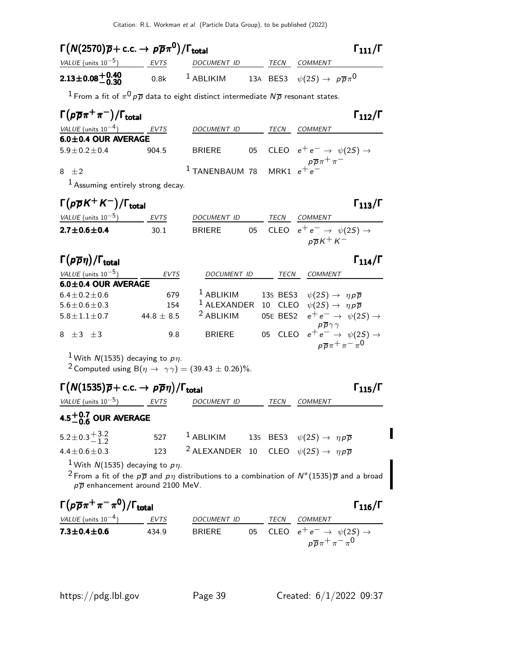| $\Gamma(N(2570)\overline{p}+c.c. \rightarrow p\overline{p}\pi^0)/\Gamma_{\rm total}$                                                    |                |                                                                                    |    |         | $\Gamma_{111}/\Gamma$                                                                                                                        |
|-----------------------------------------------------------------------------------------------------------------------------------------|----------------|------------------------------------------------------------------------------------|----|---------|----------------------------------------------------------------------------------------------------------------------------------------------|
| VALUE (units $10^{-5}$ ) EVTS                                                                                                           |                | DOCUMENT ID TECN COMMENT                                                           |    |         |                                                                                                                                              |
| $2.13\pm0.08^{+0.40}_{-0.30}$                                                                                                           | 0.8k           |                                                                                    |    |         | <sup>1</sup> ABLIKIM 13A BES3 $\psi(2S) \rightarrow p\overline{p}\pi^0$                                                                      |
| <sup>1</sup> From a fit of $\pi^0 p \overline{p}$ data to eight distinct intermediate $N \overline{p}$ resonant states.                 |                |                                                                                    |    |         |                                                                                                                                              |
| $\Gamma(p\overline{p}\pi^+\pi^-)/\Gamma_{\rm total}$                                                                                    |                |                                                                                    |    |         | $\Gamma_{112}/\Gamma$                                                                                                                        |
| $VALUE$ (units $10^{-4}$ ) EVTS                                                                                                         |                | DOCUMENT ID                                                                        |    |         | TECN COMMENT                                                                                                                                 |
| $6.0 \pm 0.4$ OUR AVERAGE                                                                                                               |                |                                                                                    |    |         | CLEO $e^+e^- \rightarrow \psi(2S) \rightarrow$                                                                                               |
| $5.9 \pm 0.2 \pm 0.4$                                                                                                                   | 904.5          | <b>BRIERE</b>                                                                      | 05 |         |                                                                                                                                              |
| 8 $\pm 2$                                                                                                                               |                | <sup>1</sup> TANENBAUM 78 MRK1 $e^+e^-$                                            |    |         |                                                                                                                                              |
| $1$ Assuming entirely strong decay.                                                                                                     |                |                                                                                    |    |         |                                                                                                                                              |
| $\Gamma(p\overline{p}K^+K^-)/\Gamma_{\rm total}$                                                                                        |                |                                                                                    |    |         | $\Gamma_{113}/\Gamma$                                                                                                                        |
| VALUE (units $10^{-5}$ ) EVTS                                                                                                           |                | DOCUMENT ID                                                                        |    |         | TECN COMMENT                                                                                                                                 |
| $2.7 \pm 0.6 \pm 0.4$                                                                                                                   | 30.1           | <b>BRIERE</b>                                                                      |    |         | 05 CLEO $e^+e^- \rightarrow \psi(2S) \rightarrow$<br>$p\overline{p}K^+K^-$                                                                   |
| $\Gamma(p\overline{p}\eta)/\Gamma_{\rm total}$                                                                                          |                |                                                                                    |    |         | $\Gamma_{114}/\Gamma$                                                                                                                        |
| VALUE (units $10^{-5}$ )                                                                                                                | EVTS           |                                                                                    |    |         | DOCUMENT ID TECN COMMENT                                                                                                                     |
| 6.0±0.4 OUR AVERAGE                                                                                                                     |                |                                                                                    |    |         |                                                                                                                                              |
| $6.4 \pm 0.2 \pm 0.6$                                                                                                                   | 679<br>154     | $1$ ABLIKIM                                                                        |    |         | 13s BES3 $\psi(2S) \rightarrow \eta \rho \overline{\rho}$<br><sup>1</sup> ALEXANDER 10 CLEO $\psi(2S) \rightarrow \eta \rho \overline{\rho}$ |
| $5.6 \pm 0.6 \pm 0.3$<br>$5.8 \pm 1.1 \pm 0.7$                                                                                          | 44.8 $\pm$ 8.5 | <sup>2</sup> ABLIKIM                                                               |    |         | 05E BES2 $e^+e^- \rightarrow \psi(2S) \rightarrow$                                                                                           |
| $8 \pm 3 \pm 3$                                                                                                                         | 9.8            | <b>BRIERE</b>                                                                      |    | 05 CLEO | $e^+e^- \rightarrow \psi(2S) \rightarrow$                                                                                                    |
|                                                                                                                                         |                |                                                                                    |    |         | $p\overline{p}\pi^+\pi^-\pi^0$                                                                                                               |
| <sup>1</sup> With N(1535) decaying to $p\eta$ .<br><sup>2</sup> Computed using B( $\eta \rightarrow \gamma \gamma$ ) = (39.43 ± 0.26)%. |                |                                                                                    |    |         |                                                                                                                                              |
| $\Gamma(N(1535)\overline{p}+c.c. \rightarrow p\overline{p}\eta)/\Gamma_{\text{total}}$                                                  |                |                                                                                    |    |         | $\Gamma_{115}/\Gamma$                                                                                                                        |
| VALUE (units $10^{-5}$ ) EVTS                                                                                                           |                | DOCUMENT ID                                                                        |    | TECN    | COMMENT                                                                                                                                      |
| 4.5 $^{+0.7}_{-0.6}$ OUR AVERAGE                                                                                                        |                |                                                                                    |    |         |                                                                                                                                              |
| $5.2 \pm 0.3 \stackrel{+}{-} 3.2$                                                                                                       |                | 527 <sup>1</sup> ABLIKIM 13s BES3 $\psi(2S) \rightarrow \eta \rho \overline{\rho}$ |    |         |                                                                                                                                              |
| $4.4 \pm 0.6 \pm 0.3$                                                                                                                   | 123            | <sup>2</sup> ALEXANDER 10 CLEO $\psi(2S) \rightarrow \eta \rho \overline{\rho}$    |    |         |                                                                                                                                              |
| <sup>1</sup> With $N(1535)$ decaying to $p\eta$ .                                                                                       |                |                                                                                    |    |         |                                                                                                                                              |
| $p\overline{p}$ enhancement around 2100 MeV.                                                                                            |                |                                                                                    |    |         | <sup>2</sup> From a fit of the $p\overline{p}$ and $p\eta$ distributions to a combination of $N^*(1535)\overline{p}$ and a broad             |
| $\Gamma(p\overline{p}\pi^+\pi^-\pi^0)/\Gamma_{\rm total}$                                                                               |                |                                                                                    |    |         | $\Gamma_{116}/\Gamma$                                                                                                                        |
| VALUE (units $10^{-4}$ ) EVTS                                                                                                           |                | DOCUMENT ID TECN COMMENT                                                           |    |         |                                                                                                                                              |

7.3 $\pm$ 0.4 $\pm$ 0.6 434.9 BRIERE 05 CLEO  $e^+ \, e^- \rightarrow \, \psi(2S) \rightarrow$ 

 $p\overline{p}\pi^+\pi^-\pi^0$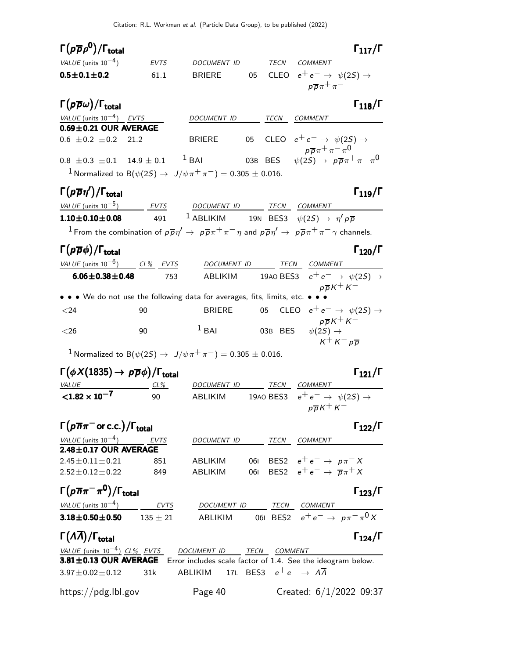| $\Gamma(\rho\overline\rho\rho^0)/\Gamma_{\rm total}$                                                                                                           |             |                                                                           |     |           |                                                                                     | $\Gamma_{117}/\Gamma$ |
|----------------------------------------------------------------------------------------------------------------------------------------------------------------|-------------|---------------------------------------------------------------------------|-----|-----------|-------------------------------------------------------------------------------------|-----------------------|
| VALUE (units $10^{-4}$ ) EVTS                                                                                                                                  |             | <i>DOCUMENT ID</i>                                                        |     |           | TECN COMMENT                                                                        |                       |
| $0.5 \pm 0.1 \pm 0.2$                                                                                                                                          | 61.1        | <b>BRIERE</b>                                                             | 05  |           | CLEO $e^+e^- \rightarrow \psi(2S) \rightarrow$<br>$p\overline{p}\pi^+\pi^-$         |                       |
| $\Gamma(p\overline{\rho}\omega)/\Gamma_{\rm total}$                                                                                                            |             |                                                                           |     |           |                                                                                     | $\Gamma_{118}/\Gamma$ |
| VALUE (units $10^{-4}$ ) EVTS                                                                                                                                  |             | DOCUMENT ID                                                               |     | TECN      | COMMENT                                                                             |                       |
| $0.69 \pm 0.21$ OUR AVERAGE                                                                                                                                    |             |                                                                           |     |           |                                                                                     |                       |
| $0.6 \pm 0.2 \pm 0.2$<br>21.2                                                                                                                                  |             | <b>BRIERE</b>                                                             | 05  |           | CLEO $e^+e^- \rightarrow \psi(2S) \rightarrow$<br>$p\overline{p}\pi^+\pi^-\pi^0$    |                       |
| $0.8 \pm 0.3 \pm 0.1$ 14.9 $\pm$ 0.1 <sup>1</sup> BAI                                                                                                          |             |                                                                           |     |           | 03B BES $\psi(2S) \rightarrow p\overline{p}\pi^{+}\pi^{-}\pi^{0}$                   |                       |
| <sup>1</sup> Normalized to B( $\psi(2S) \to J/\psi \pi^+ \pi^-$ ) = 0.305 $\pm$ 0.016.                                                                         |             |                                                                           |     |           |                                                                                     |                       |
| $\Gamma(p\overline{p}\eta')/\Gamma_{\rm total}$                                                                                                                |             |                                                                           |     |           |                                                                                     | $\Gamma_{119}/\Gamma$ |
| VALUE (units $10^{-5}$ ) EVTS                                                                                                                                  |             | DOCUMENT ID TECN COMMENT                                                  |     |           |                                                                                     |                       |
| $1.10 \pm 0.10 \pm 0.08$                                                                                                                                       | 491         | <sup>1</sup> ABLIKIM 19N BES3 $\psi(2S) \rightarrow \eta' p \overline{p}$ |     |           |                                                                                     |                       |
| <sup>1</sup> From the combination of $p\overline{p}\eta' \to p\overline{p}\pi^+\pi^-\eta$ and $p\overline{p}\eta' \to p\overline{p}\pi^+\pi^-\gamma$ channels. |             |                                                                           |     |           |                                                                                     |                       |
| $\Gamma(p\overline{p}\phi)/\Gamma_{\rm total}$                                                                                                                 |             |                                                                           |     |           |                                                                                     | $\Gamma_{120}/\Gamma$ |
| VALUE (units $10^{-6}$ ) CL% EVTS                                                                                                                              |             |                                                                           |     |           | TECN COMMENT                                                                        |                       |
| $6.06 \pm 0.38 \pm 0.48$                                                                                                                                       | 753         | DOCUMENT ID<br>ABLIKIM                                                    |     |           | 1940 BES3 $e^+e^- \rightarrow \psi(25) \rightarrow$                                 |                       |
|                                                                                                                                                                |             |                                                                           |     |           | $p\overline{p}K^+K^-$                                                               |                       |
| • • • We do not use the following data for averages, fits, limits, etc. • • •                                                                                  |             |                                                                           |     |           |                                                                                     |                       |
| $<$ 24                                                                                                                                                         | 90          | <b>BRIERE</b>                                                             |     | 05        | CLEO $e^+e^- \rightarrow \psi(2S) \rightarrow$                                      |                       |
| ${<}26$                                                                                                                                                        | 90          | $1$ BAI                                                                   |     |           | $p\overline{p}K^+K^-$<br>03B BES $\psi(2S) \rightarrow$<br>$K^+ K^- p \overline{p}$ |                       |
| <sup>1</sup> Normalized to B( $\psi(2S) \rightarrow J/\psi \pi^+ \pi^-) = 0.305 \pm 0.016$ .                                                                   |             |                                                                           |     |           |                                                                                     |                       |
|                                                                                                                                                                |             |                                                                           |     |           |                                                                                     |                       |
| $\Gamma(\phi X(1835) \rightarrow p \overline{p}\phi)/\Gamma_{\rm total}$                                                                                       |             |                                                                           |     |           |                                                                                     | $\Gamma_{121}/\Gamma$ |
| <i><b>VALUE</b></i><br>${<}1.82 \times 10^{-7}$                                                                                                                | CL%<br>90   | DOCUMENT ID TECN COMMENT<br>ABLIKIM                                       |     | 19AO BES3 | $e^+e^- \rightarrow \psi(2S) \rightarrow$                                           |                       |
|                                                                                                                                                                |             |                                                                           |     |           | $p\overline{p}K^+K^-$                                                               |                       |
| $\Gamma(p\overline{n}\pi^-$ or c.c.)/ $\Gamma_{\rm total}$                                                                                                     |             |                                                                           |     |           |                                                                                     | $\Gamma_{122}/\Gamma$ |
| VALUE (units $10^{-4}$ )                                                                                                                                       | <b>EVTS</b> | DOCUMENT ID TECN COMMENT                                                  |     |           |                                                                                     |                       |
| $2.48 \pm 0.17$ OUR AVERAGE                                                                                                                                    |             |                                                                           |     |           |                                                                                     |                       |
| $2.45 \pm 0.11 \pm 0.21$                                                                                                                                       | 851         | ABLIKIM                                                                   |     |           | 061 BES2 $e^+e^- \rightarrow p\pi^- X$                                              |                       |
| $2.52 \pm 0.12 \pm 0.22$                                                                                                                                       | 849         | ABLIKIM                                                                   | 061 |           | BES2 $e^+e^- \rightarrow \overline{p}\pi^+ X$                                       |                       |
| $\Gamma(p\overline{n}\pi^-\pi^0)/\Gamma_{\rm total}$                                                                                                           |             |                                                                           |     |           |                                                                                     | $\Gamma_{123}/\Gamma$ |
| VALUE (units $10^{-4}$ ) EVTS                                                                                                                                  |             | DOCUMENT ID                                                               |     |           | TECN COMMENT                                                                        |                       |
| 3.18 $\pm$ 0.50 $\pm$ 0.50 135 $\pm$ 21                                                                                                                        |             | ABLIKIM                                                                   |     |           | 061 BES2 $e^+e^- \to p\pi^-\pi^0 X$                                                 |                       |
| $\Gamma(\Lambda\overline{\Lambda})/\Gamma_{\rm total}$                                                                                                         |             |                                                                           |     |           |                                                                                     | $\Gamma_{124}/\Gamma$ |
| <u>VALUE (units <math>10^{-4}</math>) CL% EVTS DOCUMENT ID TECN COMMENT</u>                                                                                    |             |                                                                           |     |           |                                                                                     |                       |
| 3.81±0.13 OUR AVERAGE Error includes scale factor of 1.4. See the ideogram below.                                                                              |             |                                                                           |     |           |                                                                                     |                       |
| $3.97 \pm 0.02 \pm 0.12$                                                                                                                                       | 31k         | ABLIKIM 17L BES3 $e^+e^- \rightarrow A\overline{A}$                       |     |           |                                                                                     |                       |
| https://pdg.lbl.gov                                                                                                                                            |             | Page 40                                                                   |     |           | Created: $6/1/2022$ 09:37                                                           |                       |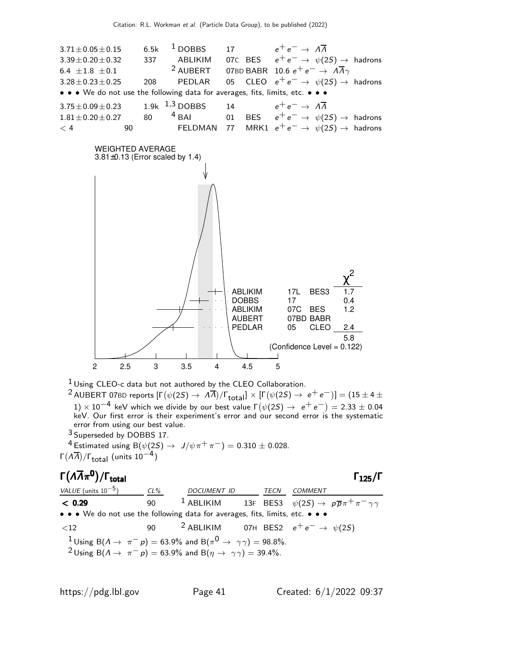



1 Using CLEO-c data but not authored by the CLEO Collaboration.

 $^2$ AUBERT 07BD reports  $[\Gamma(\psi(2S) \to \Lambda \overline{\Lambda})/\Gamma_{\rm total}] \times [\Gamma(\psi(2S) \to \rm e^+ \rm e^-)] = (15 \pm 4 \pm 1)$  $1)\times 10^{-4}$  keV which we divide by our best value  $\Gamma(\psi(2S) \rightarrow~e^+~e^-)=2.33\pm0.04$ keV. Our first error is their experiment's error and our second error is the systematic error from using our best value.

3 Superseded by DOBBS 17.

<sup>4</sup> Estimated using B( $ψ(2S)$  →  $J/ψπ+π^-$ ) = 0.310 ± 0.028. Γ $(\Lambda \overline{\Lambda})$ /Γ<sub>total</sub> (units 10<sup>-4</sup>)

### Γ( $\Lambda \overline{\Lambda} \pi^0$ )/Γ<sub>total</sub> Γ<sub>125</sub>/Γ /Γ $_{\rm total}$  Γ $_{125}$ /Γ

VALUE (units  $10^{-5}$ ) CL% DOCUMENT ID TECN COMMENT  $<$  0.29  $\qquad$  90  $^1$  ABLIKIM  $_1$  13F BES3  $\psi(2S) \rightarrow p \overline{p} \pi^+ \pi^- \gamma \gamma$ • • • We do not use the following data for averages, fits, limits, etc. • • •  $\langle 12$  90 <sup>2</sup> ABLIKIM 07H BES2  $e^+e^- \rightarrow \psi(2S)$  $1$  Using B( $\Lambda \rightarrow \ \pi^{-}p) = 63.9\%$  and B( $\pi^{0} \rightarrow \ \gamma\gamma) = 98.8\%.$ <sup>2</sup>Using B( $\Lambda \rightarrow \pi^- p$ ) = 63.9% and B( $\eta \rightarrow \gamma \gamma$ ) = 39.4%.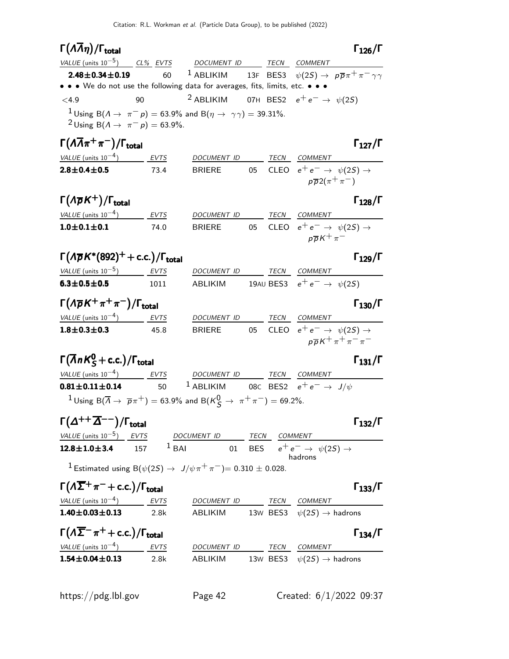# $\Gamma(\Lambda \overline{\Lambda} \eta)$

|                                                                                 |                                                                                                            |                                                                                                                                         |                                                                                                                                  | $\Gamma_{126}/\Gamma$                                                                                                                                                                                                                                                                                                                                                                                                                                                                                                                                                                                                                                                                                                                                            |
|---------------------------------------------------------------------------------|------------------------------------------------------------------------------------------------------------|-----------------------------------------------------------------------------------------------------------------------------------------|----------------------------------------------------------------------------------------------------------------------------------|------------------------------------------------------------------------------------------------------------------------------------------------------------------------------------------------------------------------------------------------------------------------------------------------------------------------------------------------------------------------------------------------------------------------------------------------------------------------------------------------------------------------------------------------------------------------------------------------------------------------------------------------------------------------------------------------------------------------------------------------------------------|
| VALUE (units $10^{-5}$ ) CL% EVTS                                               |                                                                                                            |                                                                                                                                         |                                                                                                                                  |                                                                                                                                                                                                                                                                                                                                                                                                                                                                                                                                                                                                                                                                                                                                                                  |
| $2.48 \pm 0.34 \pm 0.19$<br>60                                                  |                                                                                                            |                                                                                                                                         |                                                                                                                                  |                                                                                                                                                                                                                                                                                                                                                                                                                                                                                                                                                                                                                                                                                                                                                                  |
|                                                                                 |                                                                                                            |                                                                                                                                         |                                                                                                                                  |                                                                                                                                                                                                                                                                                                                                                                                                                                                                                                                                                                                                                                                                                                                                                                  |
| 90                                                                              |                                                                                                            |                                                                                                                                         |                                                                                                                                  |                                                                                                                                                                                                                                                                                                                                                                                                                                                                                                                                                                                                                                                                                                                                                                  |
|                                                                                 |                                                                                                            |                                                                                                                                         |                                                                                                                                  |                                                                                                                                                                                                                                                                                                                                                                                                                                                                                                                                                                                                                                                                                                                                                                  |
| $\Gamma(\Lambda\overline{\Lambda}\pi^+\pi^-)/\Gamma_{\rm total}$                |                                                                                                            |                                                                                                                                         |                                                                                                                                  | $\Gamma_{127}/\Gamma$                                                                                                                                                                                                                                                                                                                                                                                                                                                                                                                                                                                                                                                                                                                                            |
|                                                                                 |                                                                                                            |                                                                                                                                         |                                                                                                                                  |                                                                                                                                                                                                                                                                                                                                                                                                                                                                                                                                                                                                                                                                                                                                                                  |
| 73.4                                                                            |                                                                                                            |                                                                                                                                         |                                                                                                                                  |                                                                                                                                                                                                                                                                                                                                                                                                                                                                                                                                                                                                                                                                                                                                                                  |
| $\Gamma(\Lambda \overline{\rho} K^+) / \Gamma_{\text{total}}$                   |                                                                                                            |                                                                                                                                         |                                                                                                                                  | $\Gamma_{128}/\Gamma$                                                                                                                                                                                                                                                                                                                                                                                                                                                                                                                                                                                                                                                                                                                                            |
| $VALUE (units 10-4)$ <i>EVTS</i>                                                |                                                                                                            |                                                                                                                                         |                                                                                                                                  |                                                                                                                                                                                                                                                                                                                                                                                                                                                                                                                                                                                                                                                                                                                                                                  |
| 74.0                                                                            | <b>BRIERE</b>                                                                                              |                                                                                                                                         |                                                                                                                                  |                                                                                                                                                                                                                                                                                                                                                                                                                                                                                                                                                                                                                                                                                                                                                                  |
|                                                                                 |                                                                                                            |                                                                                                                                         |                                                                                                                                  | $\Gamma_{129}/\Gamma$                                                                                                                                                                                                                                                                                                                                                                                                                                                                                                                                                                                                                                                                                                                                            |
| VALUE (units $10^{-5}$ ) EVTS                                                   |                                                                                                            |                                                                                                                                         |                                                                                                                                  |                                                                                                                                                                                                                                                                                                                                                                                                                                                                                                                                                                                                                                                                                                                                                                  |
| 1011                                                                            |                                                                                                            |                                                                                                                                         |                                                                                                                                  |                                                                                                                                                                                                                                                                                                                                                                                                                                                                                                                                                                                                                                                                                                                                                                  |
| $\Gamma(\Lambda \overline{\rho} K^+\pi^+\pi^-)/\Gamma_{\rm total}$              |                                                                                                            |                                                                                                                                         |                                                                                                                                  | $\Gamma_{130}/\Gamma$                                                                                                                                                                                                                                                                                                                                                                                                                                                                                                                                                                                                                                                                                                                                            |
|                                                                                 |                                                                                                            |                                                                                                                                         |                                                                                                                                  |                                                                                                                                                                                                                                                                                                                                                                                                                                                                                                                                                                                                                                                                                                                                                                  |
| 45.8                                                                            |                                                                                                            |                                                                                                                                         |                                                                                                                                  | $p\overline{p}K^+\pi^+\pi^-\pi^-$                                                                                                                                                                                                                                                                                                                                                                                                                                                                                                                                                                                                                                                                                                                                |
| $\Gamma(\overline{\Lambda}nK_S^0$ + c.c.)/ $\Gamma_{total}$                     |                                                                                                            |                                                                                                                                         |                                                                                                                                  | $\Gamma_{131}/\Gamma$                                                                                                                                                                                                                                                                                                                                                                                                                                                                                                                                                                                                                                                                                                                                            |
| VALUE (units $10^{-4}$ ) EVTS                                                   |                                                                                                            |                                                                                                                                         |                                                                                                                                  |                                                                                                                                                                                                                                                                                                                                                                                                                                                                                                                                                                                                                                                                                                                                                                  |
| 50                                                                              |                                                                                                            |                                                                                                                                         |                                                                                                                                  |                                                                                                                                                                                                                                                                                                                                                                                                                                                                                                                                                                                                                                                                                                                                                                  |
|                                                                                 |                                                                                                            |                                                                                                                                         |                                                                                                                                  |                                                                                                                                                                                                                                                                                                                                                                                                                                                                                                                                                                                                                                                                                                                                                                  |
|                                                                                 | $1$ Using B $(\overline{\Lambda} \to \overline{p}\pi^+) = 63.9\%$ and B $(K^0_S \to \pi^+\pi^-) = 69.2\%.$ |                                                                                                                                         |                                                                                                                                  |                                                                                                                                                                                                                                                                                                                                                                                                                                                                                                                                                                                                                                                                                                                                                                  |
| $\Gamma(\Delta^{++}\overline{\Delta}^{--})/\Gamma_{\rm total}$                  |                                                                                                            |                                                                                                                                         |                                                                                                                                  | $\Gamma_{132}/\Gamma$                                                                                                                                                                                                                                                                                                                                                                                                                                                                                                                                                                                                                                                                                                                                            |
| <b>EVTS</b>                                                                     | DOCUMENT ID TECN COMMENT                                                                                   |                                                                                                                                         |                                                                                                                                  |                                                                                                                                                                                                                                                                                                                                                                                                                                                                                                                                                                                                                                                                                                                                                                  |
| 157                                                                             | $1$ BAI                                                                                                    |                                                                                                                                         | 01 BES $e^+e^- \rightarrow \psi(2S) \rightarrow$<br>hadrons                                                                      |                                                                                                                                                                                                                                                                                                                                                                                                                                                                                                                                                                                                                                                                                                                                                                  |
|                                                                                 | <sup>1</sup> Estimated using B( $\psi(2S) \to J/\psi \pi^+ \pi^-$ ) = 0.310 ± 0.028.                       |                                                                                                                                         |                                                                                                                                  |                                                                                                                                                                                                                                                                                                                                                                                                                                                                                                                                                                                                                                                                                                                                                                  |
| $\Gamma(\Lambda \overline{\Sigma}^+\pi^-+c.c.)/\Gamma_{\rm total}$              |                                                                                                            |                                                                                                                                         |                                                                                                                                  | $\Gamma_{133}/\Gamma$                                                                                                                                                                                                                                                                                                                                                                                                                                                                                                                                                                                                                                                                                                                                            |
| VALUE (units $10^{-4}$ ) EVTS                                                   | DOCUMENT ID TECN COMMENT                                                                                   |                                                                                                                                         |                                                                                                                                  |                                                                                                                                                                                                                                                                                                                                                                                                                                                                                                                                                                                                                                                                                                                                                                  |
| 2.8k                                                                            | ABLIKIM 13W BES3 $\psi(2S) \rightarrow$ hadrons                                                            |                                                                                                                                         |                                                                                                                                  |                                                                                                                                                                                                                                                                                                                                                                                                                                                                                                                                                                                                                                                                                                                                                                  |
| $\Gamma(\Lambda \overline{\Sigma}^- \pi^+ + \text{c.c.})/\Gamma_{\text{total}}$ |                                                                                                            |                                                                                                                                         |                                                                                                                                  | $\Gamma_{134}/\Gamma$                                                                                                                                                                                                                                                                                                                                                                                                                                                                                                                                                                                                                                                                                                                                            |
| $VALUE$ (units $10^{-4}$ ) EVTS                                                 | DOCUMENT ID TECN COMMENT                                                                                   |                                                                                                                                         |                                                                                                                                  |                                                                                                                                                                                                                                                                                                                                                                                                                                                                                                                                                                                                                                                                                                                                                                  |
|                                                                                 | VALUE (units $10^{-4}$ ) EVTS<br>$VALUE$ (units $10^{-4}$ ) EVTS                                           | <sup>2</sup> Using B( $\Lambda \to \pi^- p$ ) = 63.9%.<br>$\Gamma(\Lambda \overline{p} K^*(892)^+ + \text{c.c.})/\Gamma_{\text{total}}$ | <sup>1</sup> Using B( $\Lambda \rightarrow \pi^- p$ ) = 63.9% and B( $\eta \rightarrow \gamma \gamma$ ) = 39.31%.<br>DOCUMENT ID | DOCUMENT ID TECN COMMENT<br><sup>1</sup> ABLIKIM 13F BES3 $\psi(2S) \rightarrow p\overline{p}\pi^{+}\pi^{-}\gamma\gamma$<br>• • • We do not use the following data for averages, fits, limits, etc. • • •<br><sup>2</sup> ABLIKIM 07H BES2 $e^+e^- \rightarrow \psi(2S)$<br>DOCUMENT ID TECN COMMENT<br>BRIERE 05 CLEO $e^+e^- \rightarrow \psi(2S) \rightarrow$<br>$p\overline{p}2(\pi^+\pi^-)$<br>TECN COMMENT<br>05 CLEO $e^+e^- \rightarrow \psi(2S) \rightarrow$<br>$p\overline{p}K^+\pi^-$<br>DOCUMENT ID TECN COMMENT<br>ABLIKIM 19AU BES3 $e^+e^- \rightarrow \psi(2S)$<br>DOCUMENT ID TECN COMMENT<br>BRIERE 05 CLEO $e^+e^- \rightarrow \psi(2S) \rightarrow$<br>DOCUMENT ID TECN COMMENT<br><sup>1</sup> ABLIKIM 08C BES2 $e^+e^- \rightarrow J/\psi$ |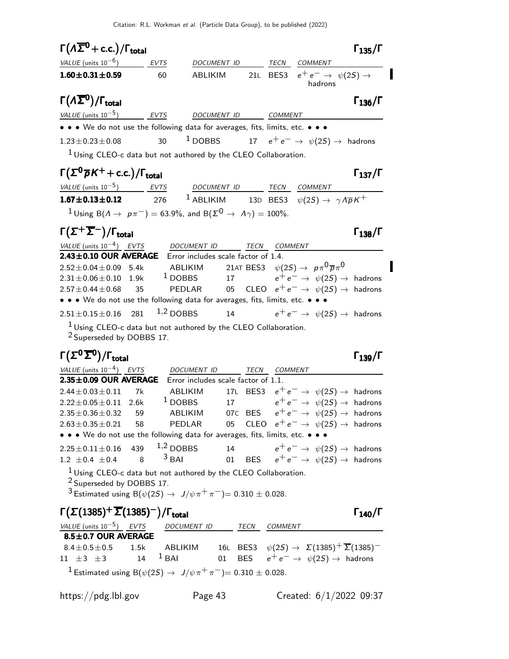| $\Gamma(\Lambda \overline{\Sigma}^0$ + c.c.)/ $\Gamma_{total}$                                                      |                    |                                     |         |                                                                                                                                              | $\Gamma_{135}/\Gamma$ |
|---------------------------------------------------------------------------------------------------------------------|--------------------|-------------------------------------|---------|----------------------------------------------------------------------------------------------------------------------------------------------|-----------------------|
| VALUE $(\text{units } 10^{-6})$ EVTS                                                                                |                    | DOCUMENT ID                         |         | TECN COMMENT                                                                                                                                 |                       |
| $1.60 \pm 0.31 \pm 0.59$                                                                                            | 60                 |                                     |         | ABLIKIM 21L BES3 $e^+e^- \rightarrow \psi(2S) \rightarrow$<br>hadrons                                                                        |                       |
| $\Gamma(\Lambda \overline{\Sigma}{}^0)/\Gamma_{\rm total}$                                                          |                    |                                     |         |                                                                                                                                              | $\Gamma_{136}/\Gamma$ |
| $VALUE$ (units $10^{-5}$ ) EVTS DOCUMENT ID COMMENT                                                                 |                    |                                     |         |                                                                                                                                              |                       |
| • • • We do not use the following data for averages, fits, limits, etc. • • •                                       |                    |                                     |         |                                                                                                                                              |                       |
| $1.23 \pm 0.23 \pm 0.08$                                                                                            |                    |                                     |         | 30 $1$ DOBBS $17$ $e^+e^- \rightarrow \ \psi(2S) \rightarrow$ hadrons                                                                        |                       |
| $1$ Using CLEO-c data but not authored by the CLEO Collaboration.                                                   |                    |                                     |         |                                                                                                                                              |                       |
| $\Gamma(\Sigma^0 \overline{p}K^+ + c.c.)/\Gamma_{\text{total}}$                                                     |                    |                                     |         |                                                                                                                                              | $\Gamma_{137}/\Gamma$ |
| $VALUE (units 10-5)$ EVTS DOCUMENT ID TECN COMMENT                                                                  |                    |                                     |         |                                                                                                                                              |                       |
| <b>1.67±0.13±0.12</b> 276 <sup>1</sup> ABLIKIM 13D BES3 $\psi(2S) \to \gamma A \overline{p} K^+$                    |                    |                                     |         |                                                                                                                                              |                       |
| $1$ Using B( $A \rightarrow p\pi^-$ ) = 63.9%, and B( $\Sigma^0 \rightarrow A\gamma$ ) = 100%.                      |                    |                                     |         |                                                                                                                                              |                       |
| $\Gamma(\Sigma^+\overline{\Sigma}^-)/\Gamma_{\rm total}$                                                            |                    |                                     |         |                                                                                                                                              | $\Gamma_{138}/\Gamma$ |
| VALUE (units $10^{-4}$ ) EVTS DOCUMENT ID TECN COMMENT<br>2.43±0.10 OUR AVERAGE Error includes scale factor of 1.4. |                    |                                     |         |                                                                                                                                              |                       |
| $2.52\pm0.04\pm0.09~~5.4k~~\rm{ABLIKIM}$                                                                            |                    |                                     |         | 21at BES3 $\psi(2S) \rightarrow \; \rho \pi^0 \overline{\rho} \pi^0$                                                                         |                       |
| $2.31 \pm 0.06 \pm 0.10$ 1.9k <sup>1</sup> DOBBS 17 $e^+e^- \rightarrow \psi(2S) \rightarrow$ hadrons               |                    |                                     |         |                                                                                                                                              |                       |
| $2.57 \pm 0.44 \pm 0.68$ 35                                                                                         |                    |                                     |         | $\textsf{PEDLAR} \qquad \textsf{05} \quad \textsf{CLEO} \quad e^+e^- \rightarrow \; \psi(2S) \rightarrow \; \textsf{hadrons}$                |                       |
| • • • We do not use the following data for averages, fits, limits, etc. • • •                                       |                    |                                     |         |                                                                                                                                              |                       |
| $2.51 \pm 0.15 \pm 0.16$                                                                                            | $1,2$ DOBBS<br>281 |                                     |         | 14 $e^+e^- \rightarrow \psi(2S) \rightarrow$ hadrons                                                                                         |                       |
| $1$ Using CLEO-c data but not authored by the CLEO Collaboration.                                                   |                    |                                     |         |                                                                                                                                              |                       |
| <sup>2</sup> Superseded by DOBBS 17.                                                                                |                    |                                     |         |                                                                                                                                              |                       |
| $\Gamma(\Sigma^0\overline{\Sigma}{}^0)/\Gamma_{\rm total}$                                                          |                    |                                     |         |                                                                                                                                              | $\Gamma_{139}/\Gamma$ |
| VALUE (units $10^{-4}$ ) EVTS                                                                                       |                    | DOCUMENT ID TECN COMMENT            |         |                                                                                                                                              |                       |
| $2.35 \pm 0.09$ OUR AVERAGE                                                                                         |                    | Error includes scale factor of 1.1. |         |                                                                                                                                              |                       |
| $2.44 \pm 0.03 \pm 0.11$ 7k                                                                                         |                    |                                     |         | ABLIKIM 17L BES3 $e^+e^- \rightarrow \psi(2S) \rightarrow$ hadrons                                                                           |                       |
| $2.22 \pm 0.05 \pm 0.11$ 2.6k<br>$2.35 \pm 0.36 \pm 0.32$ 59                                                        |                    |                                     |         | <sup>1</sup> DOBBS 17 $e^+e^- \rightarrow \psi(2S) \rightarrow$ hadrons<br>ABLIKIM 07C BES $e^+e^- \rightarrow \psi(2S) \rightarrow$ hadrons |                       |
| $2.63\pm0.35\pm0.21$ 58 PEDLAR 05 CLEO $e^+e^- \rightarrow \psi(2S) \rightarrow$ hadrons                            |                    |                                     |         |                                                                                                                                              |                       |
| • • • We do not use the following data for averages, fits, limits, etc. • •                                         |                    |                                     |         |                                                                                                                                              |                       |
| $2.25 \pm 0.11 \pm 0.16$                                                                                            | 439 $1,2$ DOBBS    |                                     |         | 14 $e^+e^- \rightarrow \psi(2S) \rightarrow$ hadrons                                                                                         |                       |
| $1.2 \pm 0.4 \pm 0.4$                                                                                               | $3$ BAI<br>8       |                                     |         | 01 BES $e^+e^- \rightarrow \psi(2S) \rightarrow$ hadrons                                                                                     |                       |
| $1$ Using CLEO-c data but not authored by the CLEO Collaboration.<br><sup>2</sup> Superseded by DOBBS 17.           |                    |                                     |         |                                                                                                                                              |                       |
| 3 Estimated using B( $\psi(2S) \to J/\psi \pi^+ \pi^-$ ) = 0.310 ± 0.028.                                           |                    |                                     |         |                                                                                                                                              |                       |
| $\Gamma(\Sigma(1385)^+\overline{\Sigma}(1385)^-)/\Gamma_{\rm total}$                                                |                    |                                     |         |                                                                                                                                              | $\Gamma_{140}/\Gamma$ |
| VALUE (units $10^{-5}$ ) EVTS                                                                                       |                    | DOCUMENT ID TECN                    | COMMENT |                                                                                                                                              |                       |
| 8.5±0.7 OUR AVERAGE                                                                                                 |                    |                                     |         |                                                                                                                                              |                       |
| $8.4 \pm 0.5 \pm 0.5$                                                                                               | 1.5k               |                                     |         | ABLIKIM         16L   BES3 $\psi(2S) \rightarrow \ \Sigma(1385)^+ \overline{\Sigma}(1385)^-$                                                 |                       |
| 11 $\pm 3$ $\pm 3$                                                                                                  | $1$ BAI<br>14      | 01                                  |         | BES $e^+e^- \rightarrow \psi(2S) \rightarrow$ hadrons                                                                                        |                       |
| <sup>1</sup> Estimated using B( $\psi(2S) \to J/\psi \pi^+ \pi^-$ ) = 0.310 $\pm$ 0.028.                            |                    |                                     |         |                                                                                                                                              |                       |

 $\blacksquare$ 

 $\blacksquare$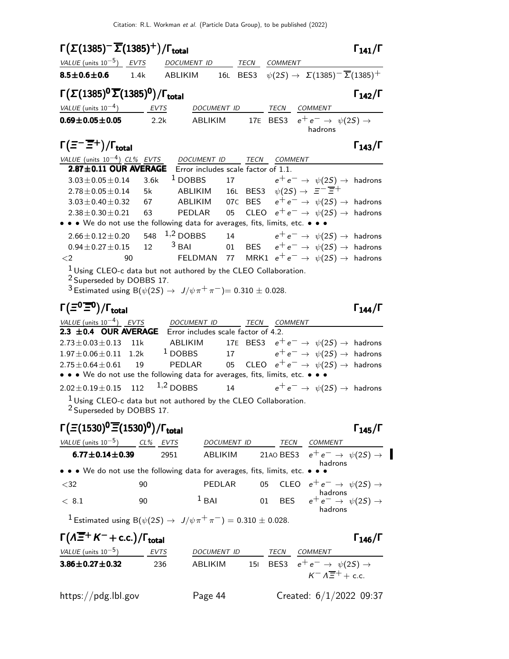| $\Gamma(\Sigma(1385)^{-}\overline{\Sigma}(1385)^{+})/\Gamma_{\text{total}}$                                                     |          |                                                                                                                                                                                        |     |           |                                                                      | $\Gamma_{141}/\Gamma$                     |
|---------------------------------------------------------------------------------------------------------------------------------|----------|----------------------------------------------------------------------------------------------------------------------------------------------------------------------------------------|-----|-----------|----------------------------------------------------------------------|-------------------------------------------|
| VALUE (units $10^{-5}$ ) EVTS                                                                                                   |          | DOCUMENT ID TECN COMMENT                                                                                                                                                               |     |           |                                                                      |                                           |
| $8.5 \pm 0.6 \pm 0.6$                                                                                                           | 1.4k     | ABLIKIM                                                                                                                                                                                |     |           | 16L BES3 $\psi(2S) \to \Sigma(1385)^{-} \overline{\Sigma}(1385)^{+}$ |                                           |
| $\Gamma(\Sigma(1385)^0\overline{\Sigma}(1385)^0)/\Gamma_{\rm total}$                                                            |          |                                                                                                                                                                                        |     |           |                                                                      | $\Gamma_{142}/\Gamma$                     |
| $VALUE$ (units $10^{-4}$ ) EVTS                                                                                                 |          | DOCUMENT ID TECN COMMENT                                                                                                                                                               |     |           |                                                                      |                                           |
| $0.69 \pm 0.05 \pm 0.05$                                                                                                        | 2.2k     | ABLIKIM                                                                                                                                                                                |     |           | 17E BES3 $e^+e^- \rightarrow \psi(2S) \rightarrow$<br>hadrons        |                                           |
| $\Gamma(\bar{z}^-\overline{\bar{z}}{}^+)$ / $\Gamma_{\sf total}$                                                                |          |                                                                                                                                                                                        |     |           |                                                                      | $\Gamma_{143}/\Gamma$                     |
| VALUE (units $10^{-4}$ ) CL% EVTS                                                                                               |          | DOCUMENT ID TECN COMMENT                                                                                                                                                               |     |           |                                                                      |                                           |
| $2.87 \pm 0.11$ OUR AVERAGE                                                                                                     |          | Error includes scale factor of 1.1.                                                                                                                                                    |     |           |                                                                      |                                           |
| $3.03 \pm 0.05 \pm 0.14$                                                                                                        | 3.6k     | $1$ DOBBS                                                                                                                                                                              |     |           | 17 $e^+e^- \rightarrow \psi(2S) \rightarrow$ hadrons                 |                                           |
| $2.78 \pm 0.05 \pm 0.14$<br>$3.03 \pm 0.40 \pm 0.32$                                                                            | 5k<br>67 | ABLIKIM 16L BES3 $\psi(2S) \rightarrow \Xi^{-} \overline{\Xi}^{+}$<br>ABLIKIM $\phantom{0}07$ C BES $\phantom{0}e^+e^-\rightarrow \phantom{0} \psi(2S)\rightarrow \phantom{0}$ hadrons |     |           |                                                                      |                                           |
| $2.38 \pm 0.30 \pm 0.21$                                                                                                        | 63       | PEDLAR<br>05                                                                                                                                                                           |     |           | CLEO $e^+e^- \rightarrow \psi(2S) \rightarrow$ hadrons               |                                           |
| • • • We do not use the following data for averages, fits, limits, etc. • • •                                                   |          |                                                                                                                                                                                        |     |           |                                                                      |                                           |
| $2.66 \pm 0.12 \pm 0.20$                                                                                                        | 548      | $1,2$ DOBBS                                                                                                                                                                            | 14  |           | $e^+ \, e^- \, \rightarrow \, \, \psi(2S) \rightarrow \,$ hadrons    |                                           |
| $0.94 \pm 0.27 \pm 0.15$                                                                                                        | 12       | $3$ BAI                                                                                                                                                                                |     |           | 01 BES $e^+e^- \rightarrow \psi(2S) \rightarrow$ hadrons             |                                           |
| ${<}2$                                                                                                                          | 90       | FELDMAN                                                                                                                                                                                |     |           | 77 MRK1 $e^+e^- \rightarrow \psi(2S) \rightarrow$ hadrons            |                                           |
| $1$ Using CLEO-c data but not authored by the CLEO Collaboration.                                                               |          |                                                                                                                                                                                        |     |           |                                                                      |                                           |
| <sup>2</sup> Superseded by DOBBS 17.<br><sup>3</sup> Estimated using B( $\psi(2S) \to J/\psi \pi^+ \pi^-$ )= 0.310 $\pm$ 0.028. |          |                                                                                                                                                                                        |     |           |                                                                      |                                           |
| $\Gamma(\Xi^0 \overline{\Xi}{}^0)/\Gamma_{\text{total}}$                                                                        |          |                                                                                                                                                                                        |     |           |                                                                      | $\Gamma_{144}/\Gamma$                     |
|                                                                                                                                 |          |                                                                                                                                                                                        |     |           |                                                                      |                                           |
| $VALU E$ (units $10^{-4}$ ) EVTS DOCUMENT ID TECN COMMENT<br>2.3 ±0.4 OUR AVERAGE Error includes scale factor of 4.2.           |          |                                                                                                                                                                                        |     |           |                                                                      |                                           |
| $2.73 \pm 0.03 \pm 0.13$                                                                                                        | 11k      | ABLIKIM                                                                                                                                                                                |     |           | 17E BES3 $e^+e^- \rightarrow \psi(2S) \rightarrow$ hadrons           |                                           |
| $1.97 \pm 0.06 \pm 0.11$ 1.2k                                                                                                   |          | <sup>1</sup> DOBBS 17 $e^+e^- \rightarrow \psi(2S) \rightarrow$ hadrons                                                                                                                |     |           |                                                                      |                                           |
| $2.75 \pm 0.64 \pm 0.61$                                                                                                        | 19       | PEDLAR                                                                                                                                                                                 |     |           | 05 CLEO $e^+e^- \rightarrow \psi(2S) \rightarrow$ hadrons            |                                           |
| • • • We do not use the following data for averages, fits, limits, etc. • • •                                                   |          |                                                                                                                                                                                        |     |           |                                                                      |                                           |
| $2.02 \pm 0.19 \pm 0.15$ 112                                                                                                    |          | $1,2$ DOBBS                                                                                                                                                                            | 14  |           | $e^+e^- \rightarrow \psi(2S) \rightarrow$ hadrons                    |                                           |
| $^1$ Using CLEO-c data but not authored by the CLEO Collaboration.                                                              |          |                                                                                                                                                                                        |     |           |                                                                      |                                           |
| <sup>2</sup> Superseded by DOBBS 17.                                                                                            |          |                                                                                                                                                                                        |     |           |                                                                      |                                           |
| $\Gamma(\Xi(1530)^{0}\overline{\Xi}(1530)^{0})/\Gamma_{\text{total}}$                                                           |          |                                                                                                                                                                                        |     |           |                                                                      | $\Gamma_{145}/\Gamma$                     |
| <u>VALUE</u> (units $10^{-5}$ ) CL% EVTS                                                                                        |          |                                                                                                                                                                                        |     |           | DOCUMENT ID TECN COMMENT                                             |                                           |
| $6.77 \pm 0.14 \pm 0.39$                                                                                                        | 2951     | ABLIKIM                                                                                                                                                                                |     | 21A0 BES3 |                                                                      | $e^+e^- \rightarrow \psi(2S) \rightarrow$ |
| • • • We do not use the following data for averages, fits, limits, etc. •                                                       |          |                                                                                                                                                                                        |     |           | hadrons                                                              |                                           |
| $<$ 32                                                                                                                          | 90       | PEDLAR                                                                                                                                                                                 |     |           | 05 CLEO $e^+e^- \rightarrow \psi(2S) \rightarrow$                    |                                           |
| < 8.1                                                                                                                           | 90       | $1$ BAI                                                                                                                                                                                |     |           | 01 BES $e^+e^- \rightarrow \psi(2S) \rightarrow$<br>hadrons          |                                           |
| <sup>1</sup> Estimated using B( $\psi(2S) \to J/\psi \pi^+ \pi^-$ ) = 0.310 ± 0.028.                                            |          |                                                                                                                                                                                        |     |           |                                                                      |                                           |
| $\Gamma(\Lambda \overline{\Xi}^+ K^- + \text{c.c.})/\Gamma_{\text{total}}$                                                      |          |                                                                                                                                                                                        |     |           |                                                                      | $\Gamma_{146}/\Gamma$                     |
| VALUE (units $10^{-5}$ ) EVTS                                                                                                   |          | DOCUMENT ID TECN COMMENT                                                                                                                                                               |     |           |                                                                      |                                           |
| $3.86 \pm 0.27 \pm 0.32$                                                                                                        | 236      | ABLIKIM                                                                                                                                                                                | 151 |           | BES3 $e^+e^- \rightarrow \psi(2S) \rightarrow$                       |                                           |

https://pdg.lbl.gov Page 44 Created: 6/1/2022 09:37

 $K^- \Lambda \overline{\Xi}^+ +$  c.c.

 $\blacksquare$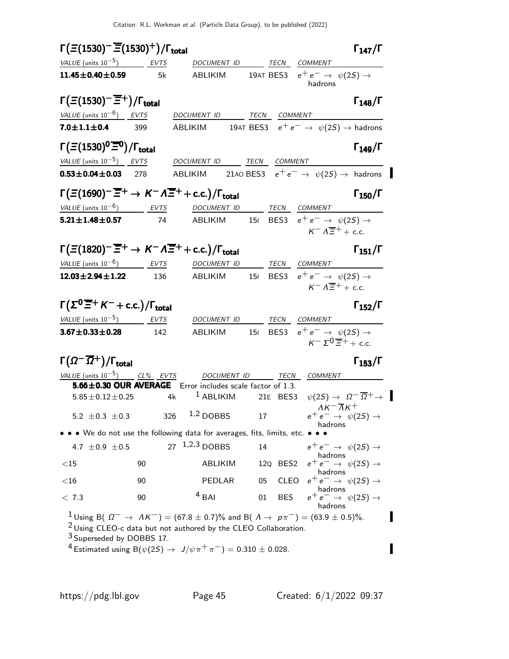| $\Gamma(\Xi(1530)^{-}\overline{\Xi}(1530)^{+})/\Gamma_{\text{total}}$                                   |     |                                                                                                                                                                                                                                                                                      |          |            |                                                                                              | $\Gamma_{147}/\Gamma$                                               |
|---------------------------------------------------------------------------------------------------------|-----|--------------------------------------------------------------------------------------------------------------------------------------------------------------------------------------------------------------------------------------------------------------------------------------|----------|------------|----------------------------------------------------------------------------------------------|---------------------------------------------------------------------|
| VALUE (units $10^{-5}$ ) EVTS                                                                           |     | DOCUMENT ID TECN COMMENT                                                                                                                                                                                                                                                             |          |            |                                                                                              |                                                                     |
| $11.45 \pm 0.40 \pm 0.59$                                                                               | 5k  | ABLIKIM 19AT BES3 $e^+e^- \rightarrow \psi(2S) \rightarrow$                                                                                                                                                                                                                          |          |            | hadrons                                                                                      |                                                                     |
| $\Gamma(\Xi(1530)^{-}\overline{\Xi}{}^{+})/\Gamma_{\text{total}}$<br>VALUE (units $10^{-6}$ ) EVTS      |     | DOCUMENT ID TECN COMMENT                                                                                                                                                                                                                                                             |          |            |                                                                                              | $\Gamma_{148}/\Gamma$                                               |
| $7.0 \pm 1.1 \pm 0.4$                                                                                   | 399 | ABLIKIM                                                                                                                                                                                                                                                                              |          |            | 19AT BES3 $e^+e^- \rightarrow \psi(2S) \rightarrow$ hadrons                                  |                                                                     |
|                                                                                                         |     |                                                                                                                                                                                                                                                                                      |          |            |                                                                                              |                                                                     |
| $\Gamma(\Xi(1530)^{0}\overline{\Xi}^{0})/\Gamma_{\text{total}}$<br>VALUE (units $10^{-5}$ ) EVTS        |     | DOCUMENT ID TECN COMMENT                                                                                                                                                                                                                                                             |          |            |                                                                                              | $\Gamma_{149}/\Gamma$                                               |
| $0.53 \pm 0.04 \pm 0.03$ 278                                                                            |     | ABLIKIM 21AO BES3 $e^+e^- \rightarrow \psi(2S) \rightarrow$ hadrons                                                                                                                                                                                                                  |          |            |                                                                                              |                                                                     |
|                                                                                                         |     |                                                                                                                                                                                                                                                                                      |          |            |                                                                                              |                                                                     |
| $\Gamma(\Xi(1690)^{-}\overline{\Xi}^{+}\to K^{-}\Lambda\overline{\Xi}^{+}+$ c.c.)/ $\Gamma_{\rm total}$ |     |                                                                                                                                                                                                                                                                                      |          |            |                                                                                              | $\Gamma_{150}/\Gamma$                                               |
| $VALUE$ (units $10^{-6}$ ) EVTS DOCUMENT ID TECN COMMENT                                                |     |                                                                                                                                                                                                                                                                                      |          |            |                                                                                              |                                                                     |
| $5.21 \pm 1.48 \pm 0.57$                                                                                | 74  | ABLIKIM 151 BES3 $e^+e^- \rightarrow \psi(2S) \rightarrow$                                                                                                                                                                                                                           |          |            | $K^- \Lambda \overline{\Xi}^+$ + c.c.                                                        |                                                                     |
| $\Gamma(\Xi(1820)^{-}\overline{\Xi}^{+}\to K^{-}\Lambda\overline{\Xi}^{+}+$ c.c.)/ $\Gamma_{\rm total}$ |     |                                                                                                                                                                                                                                                                                      |          |            |                                                                                              | $\Gamma_{151}/\Gamma$                                               |
| VALUE (units $10^{-6}$ ) EVTS                                                                           |     | DOCUMENT ID TECN COMMENT                                                                                                                                                                                                                                                             |          |            |                                                                                              |                                                                     |
| $12.03 \pm 2.94 \pm 1.22$                                                                               | 136 | ABLIKIM                                                                                                                                                                                                                                                                              |          |            | 151 BES3 $e^+e^- \rightarrow \psi(2S) \rightarrow$<br>$K^- \Lambda \overline{\Xi}^+$ + c.c.  |                                                                     |
| $\Gamma(\Sigma^0 \overline{\Xi}^+ K^- + \text{c.c.})/\Gamma_{\text{total}}$                             |     |                                                                                                                                                                                                                                                                                      |          |            |                                                                                              | $\Gamma_{152}/\Gamma$                                               |
| VALUE (units $10^{-5}$ ) EVTS                                                                           |     | DOCUMENT ID TECN COMMENT                                                                                                                                                                                                                                                             |          |            |                                                                                              |                                                                     |
| $3.67 \pm 0.33 \pm 0.28$                                                                                | 142 | ABLIKIM                                                                                                                                                                                                                                                                              |          |            | 151 BES3 $e^+e^- \rightarrow \psi(2S) \rightarrow$<br>$K^- \Sigma^0 \overline{\Xi}^+$ + c.c. |                                                                     |
| $\Gamma(\varOmega^-\overline{\varOmega}{}^+) / \Gamma_{\mathrm{total}}$                                 |     |                                                                                                                                                                                                                                                                                      |          |            |                                                                                              | $\Gamma_{153}/\Gamma$                                               |
| VALUE (units $10^{-5}$ ) CL% EVTS                                                                       |     | <b>DOCUMENT ID</b>                                                                                                                                                                                                                                                                   |          | $-$ TECN   | COMMENT                                                                                      |                                                                     |
| $5.85 \pm 0.12 \pm 0.25$                                                                                | 4k  | 5.66±0.30 OUR AVERAGE Error includes scale factor of 1.3.<br>$1$ ABLIKIM                                                                                                                                                                                                             | 21E BES3 |            |                                                                                              | $\psi(2S) \rightarrow \Omega^{-} \overline{\Omega}^{+} \rightarrow$ |
|                                                                                                         |     |                                                                                                                                                                                                                                                                                      |          |            | $\Lambda K^- \overline{\Lambda} K^+$                                                         |                                                                     |
| 5.2 $\pm$ 0.3 $\pm$ 0.3                                                                                 | 326 | $1,2$ DOBBS                                                                                                                                                                                                                                                                          | 17       |            | $e^+e^- \rightarrow \psi(2S) \rightarrow$<br>hadrons                                         |                                                                     |
|                                                                                                         |     | • • We do not use the following data for averages, fits, limits, etc. • • •                                                                                                                                                                                                          |          |            |                                                                                              |                                                                     |
| 4.7 $\pm 0.9 \pm 0.5$                                                                                   |     | 27 $1,2,3$ DOBBS                                                                                                                                                                                                                                                                     | 14       |            | $e^+e^- \rightarrow \psi(2S) \rightarrow$<br>hadrons                                         |                                                                     |
| $<$ 15                                                                                                  | 90  | ABLIKIM                                                                                                                                                                                                                                                                              |          | 12Q BES2   | $e^+e^- \rightarrow \psi(2S) \rightarrow$<br>hadrons                                         |                                                                     |
| $<$ 16                                                                                                  | 90  | PEDLAR                                                                                                                                                                                                                                                                               | 05       |            | CLEO $e^+e^- \rightarrow \psi(2S) \rightarrow$                                               |                                                                     |
| < 7.3                                                                                                   | 90  | $4$ BAI                                                                                                                                                                                                                                                                              | 01       | <b>BES</b> | hadrons<br>$e^+e^- \rightarrow \psi(2S) \rightarrow$<br>hadrons                              |                                                                     |
| <sup>3</sup> Superseded by DOBBS 17.                                                                    |     | $1 \text{ Using B( } \Omega^- \to \Lambda K^-) = (67.8 \pm 0.7)\%$ and B( $\Lambda \to \rho \pi^-) = (63.9 \pm 0.5)\%.$<br>$2$ Using CLEO-c data but not authored by the CLEO Collaboration.<br><sup>4</sup> Estimated using B( $\psi(2S) \to J/\psi \pi^+ \pi^-$ ) = 0.310 ± 0.028. |          |            |                                                                                              |                                                                     |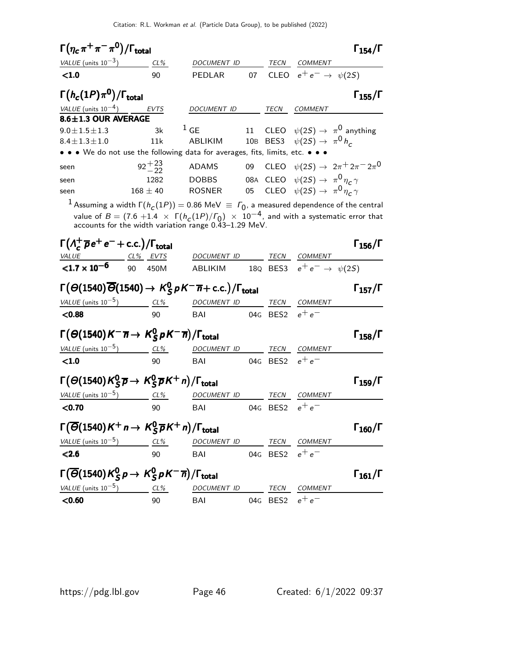| $\Gamma(\eta_c\,\pi^+\,\pi^-\,\pi^{\mathsf{0}})/\Gamma_{\mathsf{total}}$                                                                               |                  |                                                                                                                                                                                                                                                                                        |        |          |                                                     | $\Gamma_{154}/\Gamma$ |
|--------------------------------------------------------------------------------------------------------------------------------------------------------|------------------|----------------------------------------------------------------------------------------------------------------------------------------------------------------------------------------------------------------------------------------------------------------------------------------|--------|----------|-----------------------------------------------------|-----------------------|
| VALUE (units $10^{-3}$ ) CL%                                                                                                                           |                  | <b>DOCUMENT ID</b>                                                                                                                                                                                                                                                                     |        | TECN     | COMMENT                                             |                       |
| < 1.0                                                                                                                                                  | 90               | PEDLAR                                                                                                                                                                                                                                                                                 | 07     |          | CLEO $e^+e^- \rightarrow \psi(2S)$                  |                       |
| $\Gamma(h_c(1P)\pi^0)/\Gamma_{\rm total}$                                                                                                              |                  |                                                                                                                                                                                                                                                                                        |        |          |                                                     | $\Gamma_{155}/\Gamma$ |
| VALUE (units $10^{-4}$ )                                                                                                                               | EVTS             | DOCUMENT ID                                                                                                                                                                                                                                                                            |        | TECN     | COMMENT                                             |                       |
| 8.6±1.3 OUR AVERAGE                                                                                                                                    |                  |                                                                                                                                                                                                                                                                                        |        |          |                                                     |                       |
| $9.0 \pm 1.5 \pm 1.3$                                                                                                                                  | 3k               | $1$ GE                                                                                                                                                                                                                                                                                 | 11     |          | CLEO $\psi(2S) \rightarrow \pi^0$ anything          |                       |
| $8.4 \pm 1.3 \pm 1.0$                                                                                                                                  | 11k              | ABLIKIM                                                                                                                                                                                                                                                                                |        |          | 10B BES3 $\psi(2S) \rightarrow \pi^0 h_c$           |                       |
|                                                                                                                                                        |                  | • • We do not use the following data for averages, fits, limits, etc. • • •                                                                                                                                                                                                            |        |          |                                                     |                       |
| seen                                                                                                                                                   | $92^{+23}_{-22}$ | ADAMS                                                                                                                                                                                                                                                                                  | 09     |          | CLEO $\psi(2S) \to 2\pi^+ 2\pi^- 2\pi^0$            |                       |
| seen                                                                                                                                                   | 1282             | <b>DOBBS</b>                                                                                                                                                                                                                                                                           |        |          | 08A CLEO $\psi(2S) \rightarrow \pi^0 \eta_c \gamma$ |                       |
| seen                                                                                                                                                   | $168 \pm 40$     | <b>ROSNER</b>                                                                                                                                                                                                                                                                          | $05\,$ |          | CLEO $\psi(2S) \rightarrow \pi^0 \eta_c \gamma$     |                       |
|                                                                                                                                                        |                  | $^{-1}$ Assuming a width $\Gamma(h_C(1P)) = 0.86$ MeV $\equiv \Gamma_0$ , a measured dependence of the central<br>value of $B = (7.6 + 1.4 \times \Gamma(h_c(1P)/\Gamma_0) \times 10^{-4}$ , and with a systematic error that<br>accounts for the width variation range 0.43-1.29 MeV. |        |          |                                                     |                       |
| $\Gamma(\Lambda_c^+\overline{p}e^+e^-+c.c.)/\Gamma_{\rm total}$                                                                                        |                  |                                                                                                                                                                                                                                                                                        |        |          |                                                     | $\Gamma_{156}/\Gamma$ |
| <u>VALUE CL% EVTS</u>                                                                                                                                  |                  | DOCUMENT ID TECN COMMENT                                                                                                                                                                                                                                                               |        |          |                                                     |                       |
| $< 1.7 \times 10^{-6}$                                                                                                                                 | 90<br>450M       | ABLIKIM                                                                                                                                                                                                                                                                                |        |          | 18Q BES3 $e^+e^- \rightarrow \psi(2S)$              |                       |
| $\Gamma(\Theta(1540)\overline{\Theta}(1540) \rightarrow K_S^0 pK^-\overline{n} + \text{c.c.})/\Gamma_{\text{total}}$                                   |                  |                                                                                                                                                                                                                                                                                        |        |          |                                                     | $\Gamma_{157}/\Gamma$ |
| VALUE (units $10^{-5}$ ) CL%                                                                                                                           |                  | DOCUMENT ID                                                                                                                                                                                                                                                                            |        | TECN     | <b>COMMENT</b>                                      |                       |
| < 0.88                                                                                                                                                 | 90               | BAI                                                                                                                                                                                                                                                                                    |        |          | 04G BES2 $e^+e^-$                                   |                       |
| $\Gamma(\Theta(1540)K^{-}\overline{n} \rightarrow K_S^0 \rho K^{-}\overline{n})/\Gamma_{\rm total}$                                                    |                  |                                                                                                                                                                                                                                                                                        |        |          |                                                     | $\Gamma_{158}/\Gamma$ |
| VALUE (units $10^{-5}$ )                                                                                                                               | $CL\%$           | DOCUMENT ID                                                                                                                                                                                                                                                                            |        | TECN     | <b>COMMENT</b>                                      |                       |
| < 1.0                                                                                                                                                  | 90               | BAI                                                                                                                                                                                                                                                                                    |        | 04G BES2 | $e^+e^-$                                            |                       |
| $\Gamma(\Theta(1540)K_S^0\overline{p}\rightarrow K_S^0\overline{p}K^+n)/\Gamma_{\rm total}$                                                            |                  |                                                                                                                                                                                                                                                                                        |        |          |                                                     | $\Gamma_{159}/\Gamma$ |
| VALUE (units $10^{-5}$ )                                                                                                                               | $CL\%$           | DOCUMENT ID                                                                                                                                                                                                                                                                            |        | TECN     | <b>COMMENT</b>                                      |                       |
| < 0.70                                                                                                                                                 | 90               | BAI                                                                                                                                                                                                                                                                                    |        | 04G BES2 | $e^+e^-$                                            |                       |
| $\Gamma(\overline{\Theta}(1540)K^+n\to K_S^0\overline{p}K^+n)/\Gamma_{\text{total}}$                                                                   |                  |                                                                                                                                                                                                                                                                                        |        |          |                                                     | $\Gamma_{160}/\Gamma$ |
| $\frac{VALUE \text{ (units 10}^{-5})}{500}$ $\frac{CL\%}{90}$ $\frac{DOCUMENT \text{ ID}}{04 \text{ G}}$ $\frac{TECN}{BES2}$ $\frac{COMMENT}{e^+ e^-}$ |                  |                                                                                                                                                                                                                                                                                        |        |          |                                                     |                       |
|                                                                                                                                                        |                  |                                                                                                                                                                                                                                                                                        |        |          | 04G BES2 $e^+e^-$                                   |                       |
| $\Gamma(\overline{\Theta}(1540)K_S^0 p \to K_S^0 p K^- \overline{n})/\Gamma_{\text{total}}$                                                            |                  |                                                                                                                                                                                                                                                                                        |        |          |                                                     | $\Gamma_{161}/\Gamma$ |
| $VALUE$ (units $10^{-5}$ )                                                                                                                             | $CL\%$           | DOCUMENT ID TECN COMMENT                                                                                                                                                                                                                                                               |        |          |                                                     |                       |
| < 0.60                                                                                                                                                 | 90               | BAI                                                                                                                                                                                                                                                                                    |        |          | 04G BES2 $e^+e^-$                                   |                       |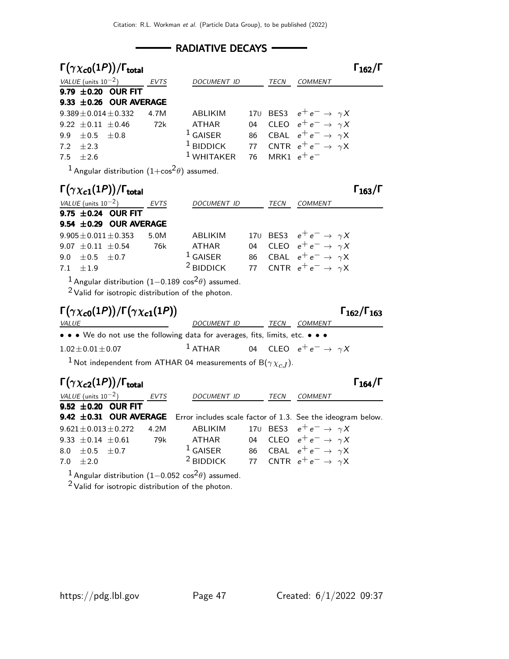### - RADIATIVE DECAYS -

| $\Gamma(\gamma \chi_{c0}(1P))/\Gamma_{\rm total}$ |      |                                                            |      |                                        | $\Gamma_{162}/\Gamma$ |
|---------------------------------------------------|------|------------------------------------------------------------|------|----------------------------------------|-----------------------|
| VALUE (units $10^{-2}$ )                          | EVTS | <i>DOCUMENT ID</i>                                         | TECN | <b>COMMENT</b>                         |                       |
| 9.79 $\pm$ 0.20 OUR FIT                           |      |                                                            |      |                                        |                       |
| 9.33 $\pm$ 0.26 OUR AVERAGE                       |      |                                                            |      |                                        |                       |
| $9.389 \pm 0.014 \pm 0.332$                       | 4.7M | <b>ABLIKIM</b>                                             |      | 170 BES3 $e^+e^- \rightarrow \gamma X$ |                       |
| 9.22 $\pm$ 0.11 $\pm$ 0.46                        | 72k  | ATHAR                                                      |      | 04 CLEO $e^+e^- \rightarrow \gamma X$  |                       |
| 9.9 $\pm 0.5$ $\pm 0.8$                           |      | $^1$ GAISER                                                |      | 86 CBAL $e^+e^- \rightarrow \gamma X$  |                       |
| 7.2 $\pm 2.3$                                     |      | <sup>1</sup> BIDDICK 77 CNTR $e^+e^- \rightarrow \gamma X$ |      |                                        |                       |
| $7.5 + 2.6$                                       |      | <sup>1</sup> WHITAKER 76 MRK1 $e^+e^-$                     |      |                                        |                       |
|                                                   |      |                                                            |      |                                        |                       |

<sup>1</sup> Angular distribution  $(1+\cos^2\theta)$  assumed.

| $\Gamma(\gamma \chi_{c1}(1P))/\Gamma_{\rm total}$ |             |             |             |                                        | $\Gamma_{163}/\Gamma$ |
|---------------------------------------------------|-------------|-------------|-------------|----------------------------------------|-----------------------|
| VALUE (units $10^{-2}$ )                          | <b>EVTS</b> | DOCUMENT ID | <b>TECN</b> | <b>COMMENT</b>                         |                       |
| 9.75 $\pm$ 0.24 OUR FIT                           |             |             |             |                                        |                       |
| 9.54 $\pm$ 0.29 OUR AVERAGE                       |             |             |             |                                        |                       |
| $9.905 \pm 0.011 \pm 0.353$                       | 5.0M        | ABLIKIM     |             | 170 BES3 $e^+e^- \rightarrow \gamma X$ |                       |
| 9.07 $\pm$ 0.11 $\pm$ 0.54                        | 76k         | ATHAR       |             | 04 CLEO $e^+e^- \rightarrow \gamma X$  |                       |
| 9.0 $\pm$ 0.5 $\pm$ 0.7                           |             | $1$ GAISER  |             | 86 CBAL $e^+e^- \rightarrow \gamma X$  |                       |
| 7.1 $\pm 1.9$                                     |             | $2$ BIDDICK |             | 77 CNTR $e^+e^- \rightarrow \gamma X$  |                       |
| $\blacksquare$                                    |             | $\sim$      |             |                                        |                       |

 $^1$  Angular distribution (1−0.189 cos $^2\theta)$  assumed.

 $2$  Valid for isotropic distribution of the photon.

$$
\Gamma(\gamma \chi_{c0}(1P))/\Gamma(\gamma \chi_{c1}(1P))
$$
  $\Gamma_{162}/\Gamma_{163}$ 

 $\overline{\phantom{a}}$ 

| .<br><i>VALUE</i>                                                             | <i>DOCUMENT ID</i> | TECN | <i>COMMENT</i>                        |
|-------------------------------------------------------------------------------|--------------------|------|---------------------------------------|
| • • • We do not use the following data for averages, fits, limits, etc. • • • |                    |      |                                       |
| $1.02 \pm 0.01 \pm 0.07$                                                      | $1$ ATHAR          |      | 04 CLEO $e^+e^- \rightarrow \gamma X$ |

<sup>1</sup> Not independent from ATHAR 04 measurements of B( $\gamma \chi_{cJ}$ ).

|                            | $\Gamma(\gamma \chi_{c2}(1P))/\Gamma_{\text{total}}$ |             |                    |      | $\Gamma_{164}/\Gamma$                                                              |
|----------------------------|------------------------------------------------------|-------------|--------------------|------|------------------------------------------------------------------------------------|
| VALUE (units $10^{-2}$ )   |                                                      | <i>EVTS</i> | <b>DOCUMENT ID</b> | TECN | <b>COMMENT</b>                                                                     |
|                            | 9.52 $\pm$ 0.20 OUR FIT                              |             |                    |      |                                                                                    |
|                            |                                                      |             |                    |      | 9.42 ±0.31 OUR AVERAGE Error includes scale factor of 1.3. See the ideogram below. |
|                            | $9.621 \pm 0.013 \pm 0.272$                          | 4.2M        | ABLIKIM            |      | 170 BES3 $e^+e^- \rightarrow \gamma X$                                             |
| 9.33 $\pm$ 0.14 $\pm$ 0.61 |                                                      | 79k         | ATHAR              |      | 04 CLEO $e^+e^- \rightarrow \gamma X$                                              |
| 8.0 $\pm$ 0.5 $\pm$ 0.7    |                                                      |             | $1$ GAISER         |      | 86 CBAL $e^+e^- \rightarrow \gamma X$                                              |
| 7.0 $\pm 2.0$              |                                                      |             | $2$ BIDDICK        |      | 77 CNTR $e^+e^- \rightarrow \gamma X$                                              |
|                            |                                                      |             |                    |      |                                                                                    |

 $^1$  Angular distribution  $(1{-}0.052\,\cos^2\!\theta)$  assumed.

 $2$  Valid for isotropic distribution of the photon.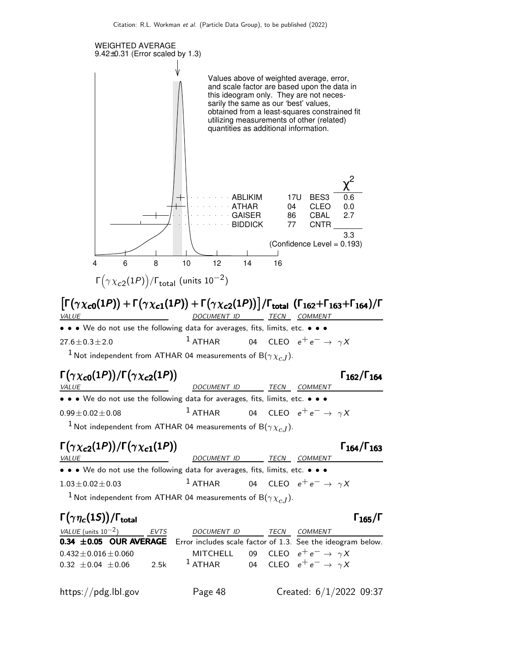

<sup>1</sup> Not independent from ATHAR 04 measurements of B( $\gamma \chi_{cJ}$ ).

# Γ $(\gamma \chi_{c0}(1P))/\Gamma(\gamma \chi_{c2}(1P))$  Γ<sub>162</sub>/Γ<sub>164</sub>

| <i>VALUE</i>                                                                  | DOCUMENT ID | <i>TECN COMMENT</i>                                      |
|-------------------------------------------------------------------------------|-------------|----------------------------------------------------------|
| • • • We do not use the following data for averages, fits, limits, etc. • • • |             |                                                          |
| $0.99 \pm 0.02 \pm 0.08$                                                      |             | <sup>1</sup> ATHAR 04 CLEO $e^+e^- \rightarrow \gamma X$ |
| $\frac{1}{2}$                                                                 |             |                                                          |

<sup>1</sup> Not independent from ATHAR 04 measurements of B( $\gamma \chi_{c,I}$ ).

# Γ $(\gamma \chi_{c2}(1P))/\Gamma(\gamma \chi_{c1}(1P))$  Γ<sub>164</sub>/Γ<sub>163</sub>

|                                                                                                                               |                    |                                       | $+97/$ |
|-------------------------------------------------------------------------------------------------------------------------------|--------------------|---------------------------------------|--------|
| <i>VALUE</i>                                                                                                                  | <i>DOCUMENT ID</i> | TECN<br>COMMENT                       |        |
| $\bullet$ $\bullet$ $\bullet$ We do not use the following data for averages, fits, limits, etc. $\bullet$ $\bullet$ $\bullet$ |                    |                                       |        |
| $1.03\!\pm\!0.02\!\pm\!0.03$                                                                                                  | $1$ ATHAR          | 04 CLEO $e^+e^- \rightarrow \gamma X$ |        |
|                                                                                                                               |                    |                                       |        |

 $^1$  Not independent from ATHAR 04 measurements of B( $\gamma \chi_{cJ}$ ).

# Γ $(\gamma \eta_c(1S))/\Gamma_{\text{total}}$  Γ<sub>165</sub>/Γ

### $VALU E$  (units 10<sup>-2</sup>) EVTS DOCUMENT ID TECN COMMENT **0.34**  $\pm$ **0.05 OUR AVERAGE** Error includes scale factor of 1.3. See the ideogram below.  $0.432 \pm 0.016 \pm 0.060$  MITCHELL 09 CLEO  $e^+ e^- \rightarrow \gamma X$ <br>  $0.32 \pm 0.04 \pm 0.06$  2.5k  $^1$  ATHAR 04 CLEO  $e^+ e^- \rightarrow \gamma X$ 0.32  $\pm$ 0.04  $\pm$ 0.06 2.5k <sup>1</sup> ATHAR 04 CLEO  $e^+e^- \rightarrow \gamma X$

Γ162/Γ<sup>164</sup>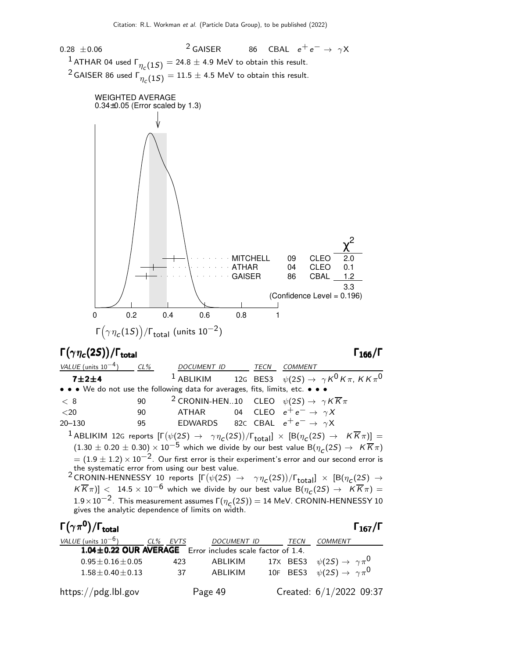0.28  $\pm$ 0.06 <sup>2</sup> GAISER 86 CBAL  $e^+e^- \rightarrow \gamma X$  $^1$  ATHAR 04 used  $\Gamma_{\eta_{_{\mathcal{C}}}}(1S) = 24.8 \pm 4.9$  MeV to obtain this result. <sup>2</sup> GAISER 86 used  $\Gamma_{\eta_c(1S)}^{\text{max}} = 11.5 \pm 4.5$  MeV to obtain this result.



### Γ $(\gamma \eta_c(2S))/\Gamma_{\text{total}}$  Γ $_{166}/\Gamma$

/Γ<sub>total</sub> Γ<sub>166</sub>/Γ

| VALUE (units $10^{-4}$ ) CL%                                                  |    | DOCUMENT ID TECN                               |  | <i>COMMENT</i>                                                                                                                                                   |
|-------------------------------------------------------------------------------|----|------------------------------------------------|--|------------------------------------------------------------------------------------------------------------------------------------------------------------------|
| 7±2±4                                                                         |    |                                                |  | <sup>1</sup> ABLIKIM 12G BES3 $\psi(2S) \rightarrow \gamma K^0 K \pi$ , KK $\pi^0$                                                                               |
| • • • We do not use the following data for averages, fits, limits, etc. • • • |    |                                                |  |                                                                                                                                                                  |
| < 8                                                                           | 90 |                                                |  | <sup>2</sup> CRONIN-HEN10 CLEO $\psi(2S) \rightarrow \gamma K \overline{K} \pi$                                                                                  |
| $<$ 20                                                                        |    | 90 ATHAR 04 CLEO $e^+e^- \rightarrow \gamma X$ |  |                                                                                                                                                                  |
| $20 - 130$                                                                    | 95 | EDWARDS 82C CBAL $e^+e^- \rightarrow \gamma X$ |  |                                                                                                                                                                  |
|                                                                               |    |                                                |  | <sup>1</sup> ABLIKIM 12G reports $[\Gamma(\psi(2S) \rightarrow \gamma \eta_c(2S))/\Gamma_{\text{total}}] \times [B(\eta_c(2S) \rightarrow K \overline{K}\pi)] =$ |
|                                                                               |    |                                                |  | $(1.30 \pm 0.20 \pm 0.30) \times 10^{-5}$ which we divide by our best value $B(\eta_c(2S) \rightarrow K\overline{K}\pi)$                                         |

 $=(1.9\pm1.2)\times10^{-2}$ . Our first error is their experiment's error and our second error is the systematic error from using our best value.

<sup>2</sup> CRONIN-HENNESSY 10 reports  $[\Gamma(\psi(2S) \rightarrow \gamma \eta_c(2S))/\Gamma_{\text{total}}] \times [B(\eta_c(2S) \rightarrow \Gamma_{\text{total}})]$  $K \overline{K} \pi$ ] < 14.5 × 10<sup>-6</sup> which we divide by our best value B $(\eta_c(2S) \rightarrow K \overline{K} \pi)$  =  $1.9\times10^{-2}$ . This measurement assumes  $\Gamma(\eta_c(2S))=14$  MeV. CRONIN-HENNESSY 10 gives the analytic dependence of limits on width.

| $\Gamma(\gamma\pi^{\mathsf{0}})/\Gamma_{\mathsf{total}}$    |          |                    |      | $\Gamma_{167}/\Gamma$                        |
|-------------------------------------------------------------|----------|--------------------|------|----------------------------------------------|
| VALUE (units $10^{-6}$ )                                    | CL% EVTS | <b>DOCUMENT ID</b> | TECN | <b>COMMENT</b>                               |
| 1.04 ± 0.22 OUR AVERAGE Error includes scale factor of 1.4. |          |                    |      |                                              |
| $0.95 + 0.16 + 0.05$                                        | 423      | ABLIKIM            |      | 17X BES3 $\psi(2S) \rightarrow \gamma \pi^0$ |
| $1.58 + 0.40 + 0.13$                                        | -37      | ABI IKIM           |      | 10F BES3 $\psi(2S) \rightarrow \gamma \pi^0$ |
| https://pdg.lbl.gov                                         |          | Page 49            |      | Created: $6/1/2022$ 09:37                    |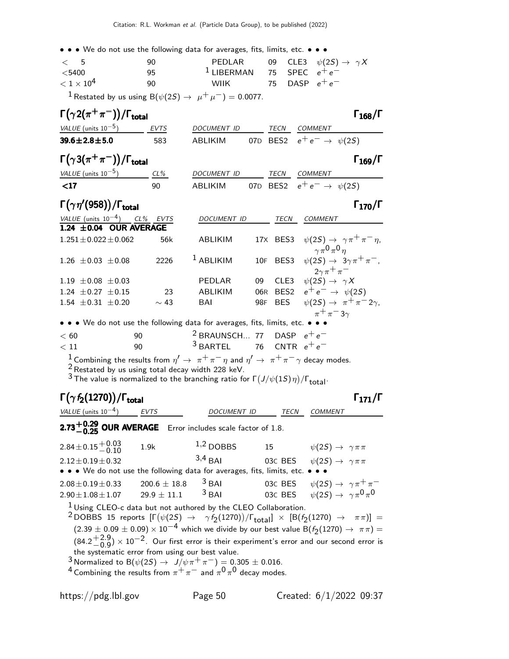• • • We do not use the following data for averages, fits, limits, etc. • • •

| $\lt$ 5           | 90 | PEDLAR                        |                  | 09 CLE3 $\psi(2S) \rightarrow \gamma X$ |
|-------------------|----|-------------------------------|------------------|-----------------------------------------|
| $<$ 5400          | 95 | $1$ LIBERMAN 75 SPEC $e^+e^-$ |                  |                                         |
| $< 1 \times 10^4$ | 90 | <b>WIIK</b>                   | 75 DASP $e^+e^-$ |                                         |
|                   |    |                               |                  |                                         |

<sup>1</sup> Restated by us using B( $\psi(2S) \rightarrow \mu^+ \mu^-$ ) = 0.0077.

| $\Gamma(\gamma 2(\pi^+\pi^-))/\Gamma_{\rm total}$ |      |             |  |             |                                |
|---------------------------------------------------|------|-------------|--|-------------|--------------------------------|
| <i>VALUE</i> (units $10^{-5}$ )                   | EVTS | DOCUMENT ID |  | <b>TFCN</b> | COMMENT                        |
| $39.6 \pm 2.8 \pm 5.0$                            | 583  | ABI IKIM    |  |             | 07D BES2 $e^+e^- \to \psi(2S)$ |

| $\Gamma\big(\gamma3(\pi^+\pi^-)\big)/\Gamma_{\rm total}$ |  | $\Gamma_{169}/\Gamma$ |
|----------------------------------------------------------|--|-----------------------|
|                                                          |  |                       |

| VALUE (units $10^{-5}$ ) | $CL\%$ | DOCUMENT ID |  | <i>TECN COMMENT</i>                    |
|--------------------------|--------|-------------|--|----------------------------------------|
| $<$ 17                   | ۹N     | ABI IKIM    |  | 07D BES2 $e^+e^- \rightarrow \psi(2S)$ |

Γ $(\gamma \eta'$ (958))/Γ<sub>total</sub>Γ

| VALUE (units $10^{-4}$ )    | CL% EVTS  | DOCUMENT ID    |    | TECN | COMMENT                                                   |
|-----------------------------|-----------|----------------|----|------|-----------------------------------------------------------|
| 1.24 $\pm$ 0.04 OUR AVERAGE |           |                |    |      |                                                           |
| $1.251 \pm 0.022 \pm 0.062$ | 56k       | ABLIKIM        |    |      | 17X BES3 $\psi(2S) \rightarrow \gamma \pi^+ \pi^- \eta$ , |
|                             |           |                |    |      | $\gamma \pi^0 \pi^0 \eta$                                 |
| $1.26 \pm 0.03 \pm 0.08$    | 2226      | $1$ ABLIKIM    |    |      | 10F BES3 $\psi(2S) \rightarrow 3\gamma \pi^+ \pi^-.$      |
|                             |           |                |    |      | $2\gamma\pi^+\pi^-$                                       |
| 1.19 $\pm 0.08 \pm 0.03$    |           | PEDLAR         | 09 | CLE3 | $\psi(2S) \rightarrow \gamma X$                           |
| 1.24 $\pm$ 0.27 $\pm$ 0.15  | - 23      | <b>ABLIKIM</b> |    |      | 06R BES2 $e^+e^- \to \psi(2S)$                            |
| $1.54 \pm 0.31 \pm 0.20$    | $\sim$ 43 | BAI            |    |      | 98F BES $\psi(2S) \rightarrow \pi^+ \pi^- 2\gamma$ ,      |
|                             |           |                |    |      | $\pi^+\pi^-3\gamma$                                       |

• • • We do not use the following data for averages, fits, limits, etc. • • •

| < 60 | റെ | <sup>2</sup> BRAUNSCH 77 DASP $e^+e^-$ |  |
|------|----|----------------------------------------|--|
| < 11 | ۹N | $3$ BARTEL 76 CNTR $e^+e^-$            |  |

 $1$  Combining the results from  $\eta' \to \pi^+\pi^-\eta$  and  $\eta' \to \pi^+\pi^-\gamma$  decay modes.

 $\frac{2}{3}$  Restated by us using total decay width 228 keV.

 $^3$  The value is normalized to the branching ratio for  $\Gamma\big(J/\psi(1S)\,\eta\big)/\Gamma_{\rm total}$ .

Γ $(\gamma f_2(1270))/\Gamma_{\text{total}}$ Γ

VALUE (units  $10^{-4}$ ) EVTS

# **2.73** $+0.29$  **OUR AVERAGE** Error includes scale factor of 1.8.

| $2.84 \pm 0.15 \begin{array}{c} +0.03 \\ -0.10 \end{array}$                                                                                                                                | 1.9k             | $1,2$ DOBBS         | 15 | $\psi(2S) \rightarrow \gamma \pi \pi$             |  |  |
|--------------------------------------------------------------------------------------------------------------------------------------------------------------------------------------------|------------------|---------------------|----|---------------------------------------------------|--|--|
| $2.12 \pm 0.19 \pm 0.32$                                                                                                                                                                   |                  | $3,4$ RAI           |    | 03C BES $\psi(2S) \rightarrow \gamma \pi \pi$     |  |  |
| • • • We do not use the following data for averages, fits, limits, etc. • • •                                                                                                              |                  |                     |    |                                                   |  |  |
| $2.08 \pm 0.19 \pm 0.33$                                                                                                                                                                   | $200.6 \pm 18.8$ | $3$ BAI             |    | 03C BES $\psi(2S) \rightarrow \gamma \pi^+ \pi^-$ |  |  |
| $2.90 \pm 1.08 \pm 1.07$                                                                                                                                                                   | $29.9 \pm 11.1$  | $3$ B <sub>AI</sub> |    | 03C BES $\psi(2S) \rightarrow \gamma \pi^0 \pi^0$ |  |  |
| $1$ Using CLEO-c data but not authored by the CLEO Collaboration.<br>2 DODDS 15 reports $[\Gamma(\phi/2S) \rightarrow \phi f(1270)]/\Gamma$ 1 $\vee$ $[\Gamma(f(1270) \rightarrow \pi)]$ – |                  |                     |    |                                                   |  |  |

DOCUMENT ID TECN COMMENT

 $^2$ DOBBS 15 reports  $[\Gamma(\psi(25) \rightarrow \gamma \gamma (1270))/\Gamma_{\rm total}]\times$   $[\rm B(\gamma(1270) \rightarrow \pi \pi)]$  =  $(2.39 \pm 0.09 \pm 0.09) \times 10^{-4}$  which we divide by our best value B( $f_2(1270) \rightarrow \pi \pi$ ) =  $(84.2 + 2.9)$  $^{+2.9}_{-0.9}$ )  $\times$  10 $^{-2}$ . Our first error is their experiment's error and our second error is the systematic error from using our best value.

 $3$  Normalized to B $(\psi(2S) \rightarrow J/\psi \pi^+ \pi^-) = 0.305 \pm 0.016$ .

4 Combining the results from  $\pi^+\pi^-$  and  $\pi^0\pi^0$  decay modes.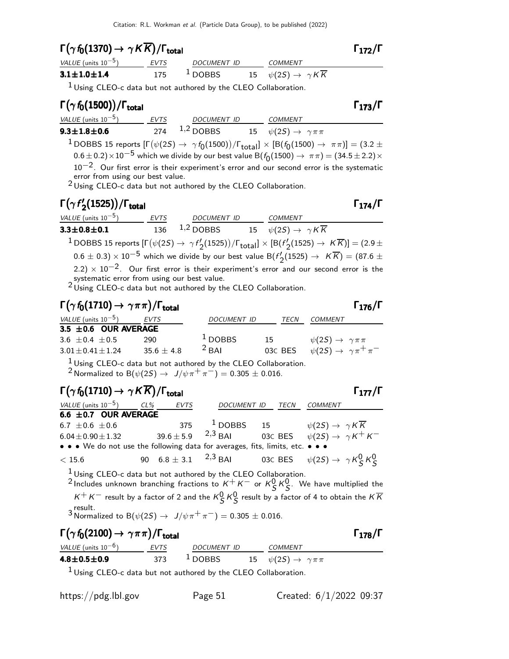## $\Gamma(\gamma f_0(1370) \to \gamma K \overline{K}) / \Gamma_{\text{total}}$  Γ<sub>172</sub>/Γ

| VALUE (units $10^{-5}$ ) | <b>FVTS</b> | <i>DOCUMENT ID</i> | COMMENT                                         |
|--------------------------|-------------|--------------------|-------------------------------------------------|
| $3.1 \pm 1.0 \pm 1.4$    | 175         | $1$ DOBBS          | 15 $\psi(2S) \rightarrow \gamma K \overline{K}$ |

 $1$  Using CLEO-c data but not authored by the CLEO Collaboration.

### Γ $(\gamma f_0(1500))$ /Γ<sub>total</sub> Γ<sub>173</sub>/Γ total 173 VALUE (units  $10^{-5}$ ) EVTS DOCUMENT ID COMMENT 9.3 $\pm$ 1.8 $\pm$ 0.6 274  $^{1,2}$  DOBBS 15  $\psi(2S) \rightarrow$   $\gamma \pi \pi$  $^1$ DOBBS 15 reports  $[\Gamma(\psi(2S) \to \ \gamma\,f_0(1500))/\Gamma_{\rm total}]\times[{\cal B}(f_0(1500) \to \ \pi\pi)]=(3.2\pm 1.0)$  $(0.6\pm0.2)\times10^{-5}$  which we divide by our best value B $(f_0(1500)\rightarrow \pi\pi)=(34.5\pm2.2)\times$ 10−2. Our first error is their experiment's error and our second error is the systematic error from using our best value. 2 Using CLEO-c data but not authored by the CLEO Collaboration.

### Γ $(γf'$ Γ( $\gamma$  f'<sub>2</sub>(1525))/Γ<sub>total</sub> Γ<sub>174</sub>/Γ Γ( $\gamma$  f'<sub>2</sub>(1525))/Γ<sub>total</sub>Γ Γ<sub>174</sub>/Γ

| VALUE (units $10^{-5}$ )                    | EVTS | DOCUMENT ID COMMENT |                                                                                                                                                         |
|---------------------------------------------|------|---------------------|---------------------------------------------------------------------------------------------------------------------------------------------------------|
| $3.3 \pm 0.8 \pm 0.1$                       |      |                     | 136 <sup>1,2</sup> DOBBS 15 $\psi(2S) \rightarrow \gamma K \overline{K}$                                                                                |
|                                             |      |                     | <sup>1</sup> DOBBS 15 reports $[\Gamma(\psi(2S) \to \gamma f_2'(1525))/\Gamma_{\text{total}}] \times [B(f_2'(1525) \to K\overline{K})] = (2.9 \pm 1.0)$ |
|                                             |      |                     | $(0.6 \pm 0.3) \times 10^{-5}$ which we divide by our best value B( $f'_2(1525) \rightarrow K\overline{K}$ ) = (87.6 $\pm$                              |
|                                             |      |                     | $(2.2) \times 10^{-2}$ . Our first error is their experiment's error and our second error is the                                                        |
| systematic error from using our best value. |      |                     |                                                                                                                                                         |

<sup>2</sup> Using CLEO-c data but not authored by the CLEO Collaboration.

# $\Gamma(\gamma f_0(1710) \to \gamma \pi \pi)/\Gamma_{\text{total}}$  Γ<sub>176</sub>/Γ

| <i>VALUE</i> (units $10^{-5}$ ) | EVTS         | DOCUMENT ID | TECN    | COMMENT                                   |
|---------------------------------|--------------|-------------|---------|-------------------------------------------|
| $3.5 \pm 0.6$ OUR AVERAGE       |              |             |         |                                           |
| $3.6 + 0.4 + 0.5$               | 290          | $1$ DOBBS   | 15      | $\psi(2S) \rightarrow \gamma \pi \pi$     |
| $3.01 \pm 0.41 \pm 1.24$        | $35.6 + 4.8$ | $2$ BAI     | 03C BES | $\psi(2S) \rightarrow \gamma \pi^+ \pi^-$ |

1 Using CLEO-c data but not authored by the CLEO Collaboration. 2 Normalized to B( $\psi(2S) \to J/\psi \pi^+ \pi^-$ ) = 0.305 ± 0.016.

# $\Gamma(\gamma f_0(1710) \to \gamma K \overline{K}) / \Gamma_{\text{total}}$  Γ<sub>177</sub>/Γ

| VALUE (units $10^{-5}$ ) CL%                                                  | EVTS | DOCUMENT ID | TECN | COMMENT                                                                   |
|-------------------------------------------------------------------------------|------|-------------|------|---------------------------------------------------------------------------|
| 6.6 $\pm$ 0.7 OUR AVERAGE                                                     |      |             |      |                                                                           |
| 6.7 $\pm$ 0.6 $\pm$ 0.6                                                       |      |             |      | 375 $\frac{1}{2}$ DOBBS 15 $\psi(2S) \rightarrow \gamma K \overline{K}$   |
| $6.04 \pm 0.90 \pm 1.32$                                                      |      |             |      | $39.6 \pm 5.9$ $2.3$ BAI 03C BES $\psi(2S) \rightarrow \gamma K^+ K^-$    |
| • • • We do not use the following data for averages, fits, limits, etc. • • • |      |             |      |                                                                           |
| < 15.6                                                                        |      |             |      | 90 6.8 ± 3.1 <sup>2,3</sup> BAI 03C BES $\psi(2S) \to \gamma K_S^0 K_S^0$ |

 $1$  Using CLEO-c data but not authored by the CLEO Collaboration.

<sup>2</sup> Includes unknown branching fractions to  $K^+K^-$  or  $K^0_S K^0_S$ . We have multiplied the  $K^+K^-$  result by a factor of 2 and the  $K^0_S K^0_S$  result by a factor of 4 to obtain the  $K\overline{K}$ 3 Rormalized to B( $\psi(2S) \rightarrow J/\psi \pi^+ \pi^-$ ) = 0.305  $\pm$  0.016.

## $\Gamma(\gamma f_0(2100) \to \gamma \pi \pi) / \Gamma_{\text{total}}$  Γ<sub>178</sub>/Γ

| VALUE (units $10^{-6}$ )                                                         | EVTS | DOCUMENT ID | COMMENT                                  |
|----------------------------------------------------------------------------------|------|-------------|------------------------------------------|
| $4.8 \pm 0.5 \pm 0.9$                                                            | 373  | $1$ DOBBS   | 15 $\psi(2S) \rightarrow \gamma \pi \pi$ |
| $\mathbf{1}$ and $\mathbf{1}$ and $\mathbf{1}$ and $\mathbf{1}$ and $\mathbf{1}$ |      |             |                                          |

1 Using CLEO-c data but not authored by the CLEO Collaboration.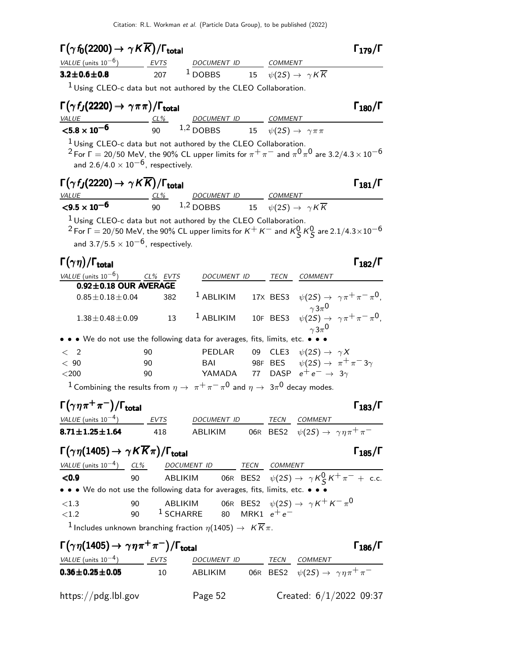| $\Gamma(\gamma\,f_0(2200)\rightarrow \gamma\,K\overline{K})/\Gamma_{\rm total}$                                                                                                                                                              |                             |                                                                                                                                                                                                               |    |      |                                                                                          | $\Gamma_{179}/\Gamma$ |
|----------------------------------------------------------------------------------------------------------------------------------------------------------------------------------------------------------------------------------------------|-----------------------------|---------------------------------------------------------------------------------------------------------------------------------------------------------------------------------------------------------------|----|------|------------------------------------------------------------------------------------------|-----------------------|
| VALUE (units $10^{-6}$ ) EVTS                                                                                                                                                                                                                |                             | DOCUMENT ID COMMENT                                                                                                                                                                                           |    |      |                                                                                          |                       |
| $3.2 \pm 0.6 \pm 0.8$                                                                                                                                                                                                                        | 207                         | $1$ DOBBS                                                                                                                                                                                                     |    |      | 15 $\psi(2S) \rightarrow \gamma K \overline{K}$                                          |                       |
|                                                                                                                                                                                                                                              |                             | <sup>1</sup> Using CLEO-c data but not authored by the CLEO Collaboration.                                                                                                                                    |    |      |                                                                                          |                       |
| $\Gamma(\gamma f_J(2220) \rightarrow \gamma \pi \pi)/\Gamma_{\text{total}}$                                                                                                                                                                  |                             |                                                                                                                                                                                                               |    |      |                                                                                          | $\Gamma_{180}/\Gamma$ |
| <b>VALUE</b><br>$< 5.8 \times 10^{-6}$                                                                                                                                                                                                       | $CL\%$                      | DOCUMENT ID COMMENT                                                                                                                                                                                           |    |      |                                                                                          |                       |
|                                                                                                                                                                                                                                              | 90                          | 1,2 DOBBS 15 $\psi(2S) \rightarrow \gamma \pi \pi$                                                                                                                                                            |    |      |                                                                                          |                       |
| and $2.6/4.0 \times 10^{-6}$ , respectively.                                                                                                                                                                                                 |                             | $1$ Using CLEO-c data but not authored by the CLEO Collaboration.<br><sup>2</sup> For $\Gamma = 20/50$ MeV, the 90% CL upper limits for $\pi^+ \pi^-$ and $\pi^0 \pi^0$ are 3.2/4.3 $\times$ 10 <sup>-6</sup> |    |      |                                                                                          |                       |
| $\Gamma(\gamma\,f_J(2220)\rightarrow\,\gamma\,K\,\overline{K})/\Gamma_{\rm total}$<br><i>VALUE</i>                                                                                                                                           |                             | DOCUMENT ID COMMENT                                                                                                                                                                                           |    |      |                                                                                          | $\Gamma_{181}/\Gamma$ |
| ${<}9.5 \times 10^{-6}$                                                                                                                                                                                                                      |                             | $\frac{CL\%}{90}$ $\frac{DOCUMENT ID}{1,2 DDBBS}$ $\frac{COMMENT}{\psi(2S)} \rightarrow \gamma K\overline{K}$                                                                                                 |    |      |                                                                                          |                       |
|                                                                                                                                                                                                                                              |                             |                                                                                                                                                                                                               |    |      |                                                                                          |                       |
| and 3.7/5.5 $\times$ 10 <sup>-6</sup> , respectively.                                                                                                                                                                                        |                             | $1$ Using CLEO-c data but not authored by the CLEO Collaboration.<br><sup>2</sup> For $\Gamma$ = 20/50 MeV, the 90% CL upper limits for $K^+$ $K^-$ and $K^0_S$ $K^0_S$ are 2.1/4.3 $\times10^{-6}$           |    |      |                                                                                          |                       |
| $\Gamma(\gamma\eta)/\Gamma_{\rm total}$                                                                                                                                                                                                      |                             |                                                                                                                                                                                                               |    |      |                                                                                          | $\Gamma_{182}/\Gamma$ |
| VALUE (units $10^{-6}$ ) CL% EVTS                                                                                                                                                                                                            |                             | DOCUMENT ID                                                                                                                                                                                                   |    | TECN | <b>COMMENT</b>                                                                           |                       |
|                                                                                                                                                                                                                                              | $0.92 \pm 0.18$ OUR AVERAGE |                                                                                                                                                                                                               |    |      |                                                                                          |                       |
| $0.85 \pm 0.18 \pm 0.04$                                                                                                                                                                                                                     | 382                         | $1$ ABLIKIM                                                                                                                                                                                                   |    |      | 17X BES3 $\psi(2S) \rightarrow \gamma \pi^+ \pi^- \pi^0$ ,<br>$\gamma 3\pi$ <sup>0</sup> |                       |
| $1.38 \pm 0.48 \pm 0.09$                                                                                                                                                                                                                     | 13                          | $1$ ABLIKIM                                                                                                                                                                                                   |    |      | 10F BES3 $\psi(2S) \rightarrow \gamma \pi^+ \pi^- \pi^0$ ,                               |                       |
|                                                                                                                                                                                                                                              |                             | $\bullet \bullet \bullet$ We do not use the following data for averages, fits, limits, etc.                                                                                                                   |    |      |                                                                                          |                       |
| $\langle$ 2                                                                                                                                                                                                                                  | 90                          | PEDLAR                                                                                                                                                                                                        | 09 |      | CLE3 $\psi(2S) \rightarrow \gamma X$                                                     |                       |
| < 90                                                                                                                                                                                                                                         | 90                          | BAI                                                                                                                                                                                                           |    |      | 98F BES $\psi(2S) \rightarrow \pi^+ \pi^- 3\gamma$                                       |                       |
| $<$ 200                                                                                                                                                                                                                                      | 90                          |                                                                                                                                                                                                               |    |      | YAMADA 77 DASP $e^+e^- \rightarrow 3\gamma$                                              |                       |
|                                                                                                                                                                                                                                              |                             | <sup>1</sup> Combining the results from $\eta \to \pi^+ \pi^- \pi^0$ and $\eta \to 3\pi^0$ decay modes.                                                                                                       |    |      |                                                                                          |                       |
| $\Gamma(\gamma\eta\pi^+\pi^-)/\Gamma_{\rm total}$                                                                                                                                                                                            |                             |                                                                                                                                                                                                               |    |      |                                                                                          | $\Gamma_{183}/\Gamma$ |
| $VALUE$ (units $10^{-4}$ ) EVTS DOCUMENT ID TECN COMMENT                                                                                                                                                                                     |                             |                                                                                                                                                                                                               |    |      |                                                                                          |                       |
| $8.71 \pm 1.25 \pm 1.64$                                                                                                                                                                                                                     | 418                         | ABLIKIM 06R BES2 $\psi(2S) \rightarrow \gamma \eta \pi^+ \pi^-$                                                                                                                                               |    |      |                                                                                          |                       |
| $\Gamma(\gamma\eta(1405) \to \gamma K \overline{K}\pi)/\Gamma_{\text{total}}$                                                                                                                                                                |                             |                                                                                                                                                                                                               |    |      |                                                                                          | $\Gamma_{185}/\Gamma$ |
|                                                                                                                                                                                                                                              |                             |                                                                                                                                                                                                               |    |      |                                                                                          |                       |
| $\frac{\text{VALU E (units 10}^{-4})}{\text{COL9}}$ $\frac{\text{CL\%}}{\text{ABLIKIM}}$ 06R BES2 $\psi(2S) \rightarrow \gamma K_S^0 K^+ \pi^- + \text{c.c.}$<br>• • • We do not use the following data for averages, fits, limits, etc. • • |                             |                                                                                                                                                                                                               |    |      |                                                                                          |                       |
| ${<}1.3$                                                                                                                                                                                                                                     | 90                          |                                                                                                                                                                                                               |    |      |                                                                                          |                       |
| ${<}1.2$                                                                                                                                                                                                                                     | 90                          |                                                                                                                                                                                                               |    |      |                                                                                          |                       |
|                                                                                                                                                                                                                                              |                             | <sup>1</sup> Includes unknown branching fraction $\eta(1405) \rightarrow K \overline{K} \pi$ .                                                                                                                |    |      |                                                                                          |                       |
| $\Gamma(\gamma\eta(1405) \to \gamma\eta\pi^+\pi^-)/\Gamma_{\text{total}}$                                                                                                                                                                    |                             |                                                                                                                                                                                                               |    |      |                                                                                          | $\Gamma_{186}/\Gamma$ |
| $VALUE$ (units $10^{-4}$ ) EVTS                                                                                                                                                                                                              |                             | DOCUMENT ID TECN COMMENT                                                                                                                                                                                      |    |      |                                                                                          |                       |
|                                                                                                                                                                                                                                              | 10                          | ABLIKIM 06R BES2 $\psi(2S) \rightarrow \ \gamma \eta \pi^+ \pi^-$                                                                                                                                             |    |      |                                                                                          |                       |
| $0.36\pm0.25\pm0.05$                                                                                                                                                                                                                         |                             |                                                                                                                                                                                                               |    |      |                                                                                          |                       |

https://pdg.lbl.gov Page 52 Created: 6/1/2022 09:37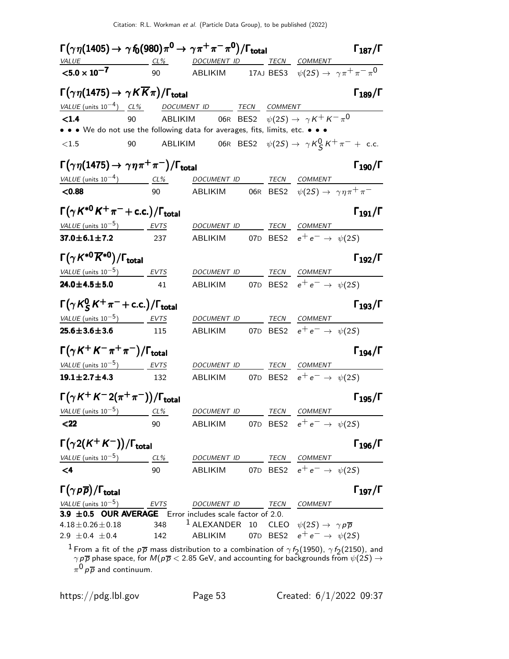| $\Gamma\big(\gamma\,\eta(1405) \to\, \gamma\,f_{\!0}(980)\pi^0 \to\, \gamma\pi^+\pi^-\pi^0\big)/\Gamma_{\rm total}$                                                   |      |                                                                                                                               |    |      |                                                   | $\Gamma_{187}/\Gamma$ |
|-----------------------------------------------------------------------------------------------------------------------------------------------------------------------|------|-------------------------------------------------------------------------------------------------------------------------------|----|------|---------------------------------------------------|-----------------------|
| <u>VALUE CL% DOCUMENT ID TECN COMMENT</u>                                                                                                                             |      |                                                                                                                               |    |      |                                                   |                       |
| $< 5.0 \times 10^{-7}$                                                                                                                                                |      |                                                                                                                               |    |      |                                                   |                       |
| $\Gamma(\gamma\eta(1475) \to \gamma K \overline{K}\pi)/\Gamma_{\rm total}$                                                                                            |      |                                                                                                                               |    |      |                                                   | $\Gamma_{189}/\Gamma$ |
| $VALU E$ (units $10^{-4}$ ) $CL\%$ DOCUMENT ID TECN COMMENT                                                                                                           |      |                                                                                                                               |    |      |                                                   |                       |
| < 1.4                                                                                                                                                                 | 90   | ABLIKIM           06R    BES2 $\psi(2S) \to \ \gamma \, K^+ \, K^- \, \pi^0$                                                  |    |      |                                                   |                       |
| • • • We do not use the following data for averages, fits, limits, etc. • • •                                                                                         |      |                                                                                                                               |    |      |                                                   |                       |
| $<1.5$                                                                                                                                                                | 90   | ABLIKIM 06R BES2 $\psi(2S) \rightarrow \gamma K_S^0 K^+ \pi^- +$ c.c.                                                         |    |      |                                                   |                       |
| $\Gamma\big(\gamma\,\eta(1475)\rightarrow\,\gamma\,\eta\,\pi^{+}\,\pi^{-}\big)/\Gamma_{\rm total}$                                                                    |      |                                                                                                                               |    |      |                                                   | $\Gamma_{190}/\Gamma$ |
| VALUE (units $10^{-4}$ ) CL%                                                                                                                                          |      | DOCUMENT ID TECN COMMENT                                                                                                      |    |      |                                                   |                       |
| < 0.88                                                                                                                                                                | 90   | ABLIKIM 606R BES2 $\psi(2S) \rightarrow \gamma \eta \pi^+ \pi^-$                                                              |    |      |                                                   |                       |
| $\Gamma(\gamma K^{*0} K^+\pi^-+c.c.)/\Gamma_{\rm total}$                                                                                                              |      |                                                                                                                               |    |      |                                                   | $\Gamma_{191}/\Gamma$ |
| VALUE (units $10^{-5}$ ) EVTS                                                                                                                                         |      | DOCUMENT ID TECN COMMENT                                                                                                      |    |      |                                                   |                       |
| $37.0 \pm 6.1 \pm 7.2$ 237                                                                                                                                            |      | ABLIKIM 07D BES2 $e^+e^- \rightarrow \psi(2S)$                                                                                |    |      |                                                   |                       |
| $\Gamma(\gamma K^{*0} \overline{K}{}^{*0})/\Gamma_{\rm total}$                                                                                                        |      |                                                                                                                               |    |      |                                                   | $\Gamma_{192}/\Gamma$ |
| VALUE (units $10^{-5}$ ) EVTS                                                                                                                                         |      | DOCUMENT ID TECN COMMENT                                                                                                      |    |      |                                                   |                       |
| $24.0 \pm 4.5 \pm 5.0$                                                                                                                                                | 41   | ABLIKIM 07D BES2 $e^+e^- \rightarrow \psi(2S)$                                                                                |    |      |                                                   |                       |
| $\Gamma(\gamma K_S^0 K^+\pi^-+$ c.c.)/ $\Gamma_{\text{total}}$                                                                                                        |      |                                                                                                                               |    |      |                                                   | $\Gamma_{193}/\Gamma$ |
| VALUE (units $10^{-5}$ ) EVTS                                                                                                                                         |      | DOCUMENT ID TECN COMMENT                                                                                                      |    |      |                                                   |                       |
| $25.6 \pm 3.6 \pm 3.6$                                                                                                                                                | 115  | ABLIKIM 07D BES2 $e^+e^- \rightarrow \psi(2S)$                                                                                |    |      |                                                   |                       |
| $\Gamma(\gamma K^+ K^- \pi^+ \pi^-)/\Gamma_{\rm total}$                                                                                                               |      |                                                                                                                               |    |      |                                                   | $\Gamma_{194}/\Gamma$ |
| $VALUE$ (units $10^{-5}$ ) EVTS                                                                                                                                       |      | DOCUMENT ID TECN COMMENT                                                                                                      |    |      |                                                   |                       |
| $19.1 \pm 2.7 \pm 4.3$ 132                                                                                                                                            |      | ABLIKIM 07D BES2 $e^+e^- \rightarrow \psi(2S)$                                                                                |    |      |                                                   |                       |
| $\Gamma(\gamma K^+ K^- 2(\pi^+\pi^-))/\Gamma_{\rm total}$                                                                                                             |      |                                                                                                                               |    |      |                                                   | $\Gamma_{195}/\Gamma$ |
| VALUE (units $10^{-5}$ ) CL%                                                                                                                                          |      | DOCUMENT ID                                                                                                                   |    |      | TECN COMMENT                                      |                       |
| $22$                                                                                                                                                                  | 90   | ABLIKIM                                                                                                                       |    |      | 07D BES2 $e^+e^- \to \psi(2S)$                    |                       |
| $\Gamma(\gamma 2(K^+K^-))/\Gamma_{\rm total}$                                                                                                                         |      |                                                                                                                               |    |      |                                                   | $\Gamma_{196}/\Gamma$ |
| VALUE (units $10^{-5}$ )                                                                                                                                              | CL%  | DOCUMENT ID                                                                                                                   |    | TECN | COMMENT                                           |                       |
| $\leq$ 4                                                                                                                                                              | 90   | ABLIKIM                                                                                                                       |    |      | 07D BES2 $e^+e^- \rightarrow \psi(2S)$            |                       |
| $\Gamma(\gamma p \overline{p})/\Gamma_{\text{total}}$                                                                                                                 |      |                                                                                                                               |    |      |                                                   | $\Gamma_{197}/\Gamma$ |
| VALUE (units $10^{-5}$ )                                                                                                                                              | EVTS | DOCUMENT ID                                                                                                                   |    | TECN | <b>COMMENT</b>                                    |                       |
| 3.9 $\pm$ 0.5 OUR AVERAGE                                                                                                                                             |      | Error includes scale factor of 2.0.                                                                                           |    |      |                                                   |                       |
| $4.18 \pm 0.26 \pm 0.18$                                                                                                                                              | 348  | $1$ ALEXANDER                                                                                                                 | 10 |      | CLEO $\psi(2S) \rightarrow \gamma p \overline{p}$ |                       |
| 2.9 $\pm$ 0.4 $\pm$ 0.4                                                                                                                                               | 142  | <b>ABLIKIM</b>                                                                                                                |    |      | 07D BES2 $e^+e^- \to \psi(2S)$                    |                       |
| $^1$ From a fit of the $p\overline{p}$ mass distribution to a combination of $\gamma f_2(1950)$ , $\gamma f_2(2150)$ , and<br>$\pi^{0} p \overline{p}$ and continuum. |      | $\gamma\,p\,\overline{p}$ phase space, for $M(p\,\overline{p} < 2.85$ GeV, and accounting for backgrounds from $\psi(2S) \to$ |    |      |                                                   |                       |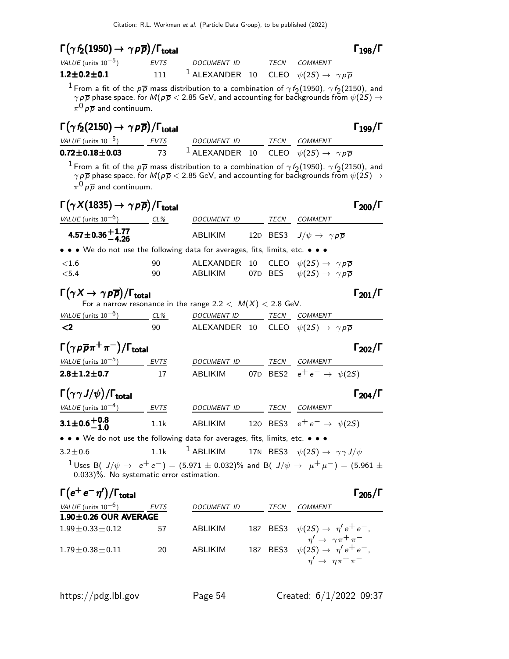| $\Gamma(\gamma f_2(1950) \rightarrow \gamma \rho \overline{\rho})/\Gamma_{\text{total}}$ | $\Gamma_{198}/\Gamma$ |
|------------------------------------------------------------------------------------------|-----------------------|
|                                                                                          |                       |

| VALUE (units $10^{-5}$ ) | EVTS | DOCUMENT ID                                                                    | TFCN | <i>COMMENT</i> |
|--------------------------|------|--------------------------------------------------------------------------------|------|----------------|
| $1.2 \pm 0.2 \pm 0.1$    | 111  | $^{-1}$ ALEXANDER 10 CLEO $\psi(2S) \rightarrow \ \gamma \rho \overline{\rho}$ |      |                |

<sup>1</sup> From a fit of the  $p\overline{p}$  mass distribution to a combination of  $\gamma f_2(1950)$ ,  $\gamma f_2(2150)$ , and  $\gamma\, p \overline{p}$  phase space, for  $M(p \, \overline{\!p}< 2.85$  GeV, and accounting for backgrounds from  $\psi(2S)$   $\rightarrow$  $\pi^0\, \rho \, \overline{\rho}$  and continuum.

# $\Gamma(\gamma f_2(2150) \rightarrow \gamma \rho \overline{\rho}) / \Gamma_{\text{total}}$  Γ<sub>199</sub>/Γ

| VALUE (units $10^{-5}$ ) | <b>FVTS</b> | <i>DOCUMENT ID</i>                                                             | TECN COMMENT |
|--------------------------|-------------|--------------------------------------------------------------------------------|--------------|
| $0.72 \pm 0.18 \pm 0.03$ | 73          | $^{-1}$ ALEXANDER 10 CLEO $\psi(2S) \rightarrow \ \gamma \rho \overline{\rho}$ |              |

<sup>1</sup> From a fit of the  $p\overline{p}$  mass distribution to a combination of  $\gamma f_2(1950)$ ,  $\gamma f_2(2150)$ , and  $\gamma\,p\overline{p}$  phase space, for  $M(p\,\overline{p} < 2.85$  GeV, and accounting for backgrounds from  $\psi(2S) \rightarrow$  $\pi^0\, \rho \, \overline{\rho}$  and continuum.

## $\Gamma(\gamma X(1835) \rightarrow \gamma \rho \overline{\rho}) / \Gamma_{\text{total}}$

| VALUE (units $10^{-6}$ )                                                      | CL% | DOCUMENT ID | <i>TECN</i> | COMMENT                                                        |
|-------------------------------------------------------------------------------|-----|-------------|-------------|----------------------------------------------------------------|
| $4.57 \pm 0.36 \pm 1.77$                                                      |     | ABLIKIM     |             | 12D BES3 $J/\psi \rightarrow \gamma p \overline{p}$            |
| • • • We do not use the following data for averages, fits, limits, etc. • • • |     |             |             |                                                                |
| ${<}1.6$                                                                      | 90  |             |             | ALEXANDER 10 CLEO $\psi(2S) \rightarrow \gamma p \overline{p}$ |
| < 5.4                                                                         | 90  | ABLIKIM     |             | 07D BES $\psi(2S) \rightarrow \gamma p \overline{p}$           |

## $\Gamma(\gamma X \to \gamma \rho \overline{\rho}) / \Gamma_{\text{total}}$   $\Gamma_{201} / \Gamma$

|  |                |           | For a narrow resonance in the range 2.2 $< M(X) < 2.8$ GeV. |                          |              |
|--|----------------|-----------|-------------------------------------------------------------|--------------------------|--------------|
|  | $11151 - 1326$ | $\sim$ 0/ | 0.0011115171710                                             | $T$ $\sim$ $\sim$ $\sim$ | $C$ $0.1111$ |

| VALUE (units $10^{-6}$ ) | $CL\%$ | <i>DOCUMENT ID</i>                                                | <i>TFCN</i> | <i>COMMENT</i> |
|--------------------------|--------|-------------------------------------------------------------------|-------------|----------------|
| - <2                     | 90     | ALEXANDER 10 CLEO $\psi(2S) \rightarrow \gamma \rho \overline{p}$ |             |                |

| $\Gamma(\gamma p \overline{p} \pi^+ \pi^-)/\Gamma_{\rm total}$ |      |             |      | $\Gamma_{202}/\Gamma$          |
|----------------------------------------------------------------|------|-------------|------|--------------------------------|
| <i>VALUE</i> (units $10^{-5}$ )                                | EVTS | DOCUMENT ID | TECN | <i>COMMENT</i>                 |
| $2.8 \pm 1.2 \pm 0.7$                                          | 17   | ABI IKIM    |      | 07D BES2 $e^+e^- \to \psi(2S)$ |

| $\Gamma(\gamma\gamma J/\psi)/\Gamma_{\rm total}$ |      |                    |      | $\Gamma_{204}/\Gamma$          |
|--------------------------------------------------|------|--------------------|------|--------------------------------|
| <i>VALUE</i> (units $10^{-4}$ )                  | EVTS | <i>DOCUMENT ID</i> | TECN | <i>COMMENT</i>                 |
| $3.1 \pm 0.6 + 0.8$<br>-1.0                      | 1.1k | ABI IKIM           |      | 120 BES3 $e^+e^- \to \psi(25)$ |

• • • We do not use the following data for averages, fits, limits, etc. • • •

| $3.2 \pm 0.6$ |  | $\overline{1}$ ABLIKIM | 17N BES3 $\psi(2S) \rightarrow \gamma \gamma J/\psi$ |  |  |
|---------------|--|------------------------|------------------------------------------------------|--|--|
|---------------|--|------------------------|------------------------------------------------------|--|--|

1 Uses B( J/ $\psi \rightarrow e^+e^-$ ) = (5.971 ± 0.032)% and B( J/ $\psi \rightarrow \mu^+\mu^-$ ) = (5.961 ± 0.033)%. No systematic error estimation.

# $\Gamma(e^+e^-\eta')/\Gamma_{\rm total}$  Γ<sub>205</sub>/Γ

|    |                | l 20 |
|----|----------------|------|
| CΝ | <b>COMMENT</b> |      |
|    |                |      |

| <b>EVTS</b> | DOCUMENT ID                 | TECN | COMMENT                                 |
|-------------|-----------------------------|------|-----------------------------------------|
|             |                             |      |                                         |
| 57          | ABI IKIM                    |      | 18Z BES3 $\psi(2S) \to \eta' e^+ e^-$ , |
|             |                             |      | $\eta' \rightarrow \gamma \pi^+ \pi^-$  |
| 20          | ABI IKIM                    |      | 18Z BES3 $\psi(2S) \to \eta' e^+ e^-,$  |
|             |                             |      | $\eta' \rightarrow \eta \pi^+ \pi^-$    |
|             | $1.90 \pm 0.26$ OUR AVERAGE |      |                                         |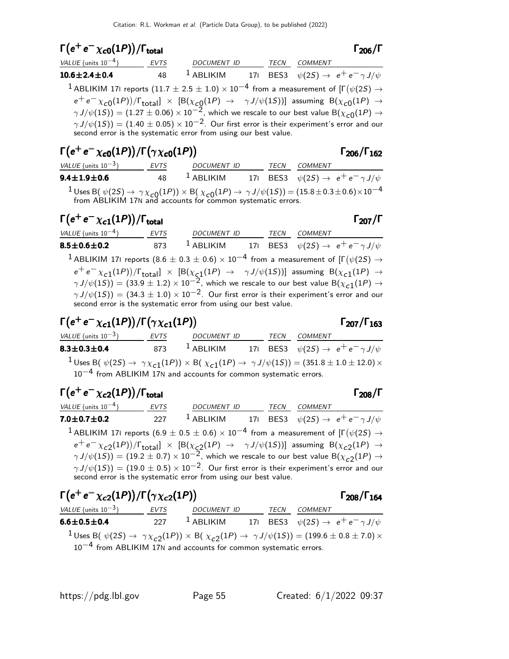### $\Gamma(e^+e^-\chi_{c0}(1P))/\Gamma_{\text{total}}$  Γ<sub>206</sub>/Γ total206

| VALUE (units $10^{-4}$ )                                                                                                                                                                   | EVTS | DOCUMENT ID                                                               |  | TECN COMMENT |  |
|--------------------------------------------------------------------------------------------------------------------------------------------------------------------------------------------|------|---------------------------------------------------------------------------|--|--------------|--|
| $10.6 \pm 2.4 \pm 0.4$                                                                                                                                                                     | 48   | <sup>1</sup> ABLIKIM 171 BES3 $\psi(2S) \rightarrow e^+e^- \gamma J/\psi$ |  |              |  |
| <sup>1</sup> ABLIKIM 171 reports (11.7 $\pm$ 2.5 $\pm$ 1.0) $\times$ 10 <sup>-4</sup> from a measurement of [ $\Gamma(\psi(2S) \rightarrow$                                                |      |                                                                           |  |              |  |
| $e^+e^- \chi_{c0}(1P)/\Gamma_{\text{total}}$ $\times$ [B( $\chi_{c0}(1P)$ $\rightarrow$ $\gamma J/\psi(1S)$ )] assuming B( $\chi_{c0}(1P)$ $\rightarrow$                                   |      |                                                                           |  |              |  |
| $\gamma J/\psi(15)$ = (1.27 ± 0.06) × 10 <sup>-2</sup> , which we rescale to our best value B( $\chi_{c0}(1P) \rightarrow$                                                                 |      |                                                                           |  |              |  |
| $\gamma J/\psi(15)$ = (1.40 $\pm$ 0.05) $\times$ 10 <sup>-2</sup> . Our first error is their experiment's error and our<br>second error is the systematic error from using our best value. |      |                                                                           |  |              |  |

| $\Gamma(e^+e^-\chi_{c0}(1P))/\Gamma(\gamma\chi_{c0}(1P))$                                                                                            |      |              |      |         | $\Gamma_{206}/\Gamma_{162}$                          |
|------------------------------------------------------------------------------------------------------------------------------------------------------|------|--------------|------|---------|------------------------------------------------------|
| VALUE (units $10^{-3}$ )                                                                                                                             | EVTS | DOCUMENT ID  | TECN | COMMENT |                                                      |
| $9.4 \pm 1.9 \pm 0.6$                                                                                                                                | 48   | $^1$ ABLIKIM |      |         | 171 BES3 $\psi(2S) \rightarrow e^+e^- \gamma J/\psi$ |
| <sup>1</sup> Uses B( $\psi(2S) \to \gamma \chi_{c0}(1P)$ ) $\times$ B( $\chi_{c0}(1P) \to \gamma J/\psi(1S)$ ) = (15.8 ± 0.3 ± 0.6) $\times 10^{-4}$ |      |              |      |         |                                                      |

from ABLIKIM 17N and accounts for common systematic errors.

# $\Gamma(e^+e^-\chi_{c1}(1P))/\Gamma_{\text{total}}$ Γ

VALUE (units 10<sup>-4</sup>) EVTS DOCUMENT ID TECN COMMENT **8.5** $\pm$ **0.6** $\pm$ **0.2** 873  $^1$  ABLIKIM 17I BES3  $\psi(2S) \rightarrow$   $e^+e^-\gamma J/\psi$  $^{\text{1}}$  ABLIKIM 171 reports  $(8.6 \pm 0.3 \pm 0.6) \times 10^{-4}$  from a measurement of [Γ $(\psi(2S) \rightarrow$  $e^+e^-\chi_{c1}(1P))/\Gamma_{\text{total}}] \times [\text{B}(\chi_{c1}(1P) \rightarrow \gamma J/\psi(1S))]$  assuming  $\text{B}(\chi_{c1}(1P) \rightarrow \gamma J/\psi(1S))]$  $\gamma J/\psi(15)$  =  $(33.9 \pm 1.2) \times 10^{-2}$ , which we rescale to our best value B $(\chi_{c1}^{-1}(1P) \rightarrow$  $\gamma J/\psi(1S))=(34.3\pm1.0)\times 10^{-2}.$  Our first error is their experiment's error and our second error is the systematic error from using our best value.

# $\Gamma(e^+e^-\chi_{c1}(1P))/\Gamma(\gamma\chi_{c1}(1P))$  Γ<sub>207</sub>/Γ<sub>163</sub>

## $\Gamma$ <sub>207</sub>/Γ<sub>163</sub>

| VALUE (units $10^{-3}$ )                                              | <b>EVTS</b> | <b>DOCUMENT ID</b> | TECN | COMMENT                                                                                                                          |
|-----------------------------------------------------------------------|-------------|--------------------|------|----------------------------------------------------------------------------------------------------------------------------------|
| $8.3 \pm 0.3 \pm 0.4$                                                 | 873         | $^1$ ABLIKIM       |      | 171 BES3 $\psi(2S) \to e^+e^- \gamma J/\psi$                                                                                     |
|                                                                       |             |                    |      | <sup>1</sup> Uses B( $\psi(2S) \to \gamma \chi_{c1}(1P)$ ) × B( $\chi_{c1}(1P) \to \gamma J/\psi(1S)$ ) = (351.8 ± 1.0 ± 12.0) × |
| $10^{-4}$ from ABLIKIM 17N and accounts for common systematic errors. |             |                    |      |                                                                                                                                  |

| $\Gamma(e^+e^-\chi_{c2}(1P))/\Gamma_{\text{total}}$                                                                                                                                       |      |                                                                           |  |      |         | Г <sub>208</sub> /Г |
|-------------------------------------------------------------------------------------------------------------------------------------------------------------------------------------------|------|---------------------------------------------------------------------------|--|------|---------|---------------------|
| VALUE (units $10^{-4}$ )                                                                                                                                                                  | EVTS | DOCUMENT ID                                                               |  | TECN | COMMENT |                     |
| $7.0 \pm 0.7 \pm 0.2$                                                                                                                                                                     | 227  | <sup>1</sup> ABLIKIM 171 BES3 $\psi(2S) \rightarrow e^+e^- \gamma J/\psi$ |  |      |         |                     |
| <sup>1</sup> ABLIKIM 171 reports (6.9 $\pm$ 0.5 $\pm$ 0.6) $\times$ 10 <sup>-4</sup> from a measurement of [ $\Gamma(\psi(2S) \rightarrow$                                                |      |                                                                           |  |      |         |                     |
| $e^+e^- \chi_{c2}(1P))/\Gamma_{\text{total}}$ $\times$ [B( $\chi_{c2}(1P) \rightarrow \gamma J/\psi(1S)$ ] assuming B( $\chi_{c2}(1P) \rightarrow$                                        |      |                                                                           |  |      |         |                     |
| $\gamma J/\psi(15)$ = (19.2 ± 0.7) × 10 <sup>-2</sup> , which we rescale to our best value B( $\chi_{c2}(1P) \rightarrow$                                                                 |      |                                                                           |  |      |         |                     |
| $\gamma J/\psi(15)$ = (19.0 $\pm$ 0.5) $\times$ 10 <sup>-2</sup> . Our first error is their experiment's error and our<br>second error is the systematic error from using our best value. |      |                                                                           |  |      |         |                     |

| $\Gamma(e^+e^-\chi_{c2}(1P))/\Gamma(\gamma\chi_{c2}(1P))$                                                                       |      |                                                                       |  |      |         | $\Gamma_{208}/\Gamma_{164}$                          |
|---------------------------------------------------------------------------------------------------------------------------------|------|-----------------------------------------------------------------------|--|------|---------|------------------------------------------------------|
| VALUE (units $10^{-3}$ )                                                                                                        | EVTS | <b>DOCUMENT ID</b>                                                    |  | TECN | COMMENT |                                                      |
| $6.6 \pm 0.5 \pm 0.4$                                                                                                           | 227  | $^1$ ABLIKIM                                                          |  |      |         | 171 BES3 $\psi(2S) \rightarrow e^+e^- \gamma J/\psi$ |
| <sup>1</sup> Uses B( $\psi(2S) \to \gamma \chi_{c2}(1P)$ ) × B( $\chi_{c2}(1P) \to \gamma J/\psi(1S)$ ) = (199.6 ± 0.8 ± 7.0) × |      | $10^{-4}$ from ABLIKIM 17N and accounts for common systematic errors. |  |      |         |                                                      |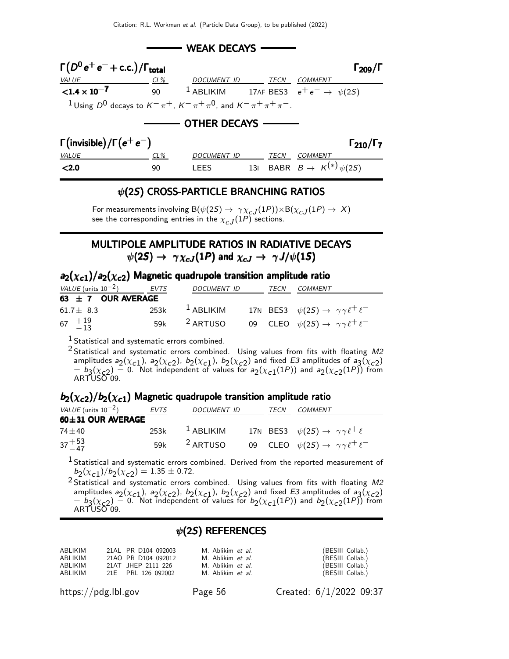

### $\psi$ (2S) CROSS-PARTICLE BRANCHING RATIOS

For measurements involving  $B(\psi(2S) \to \gamma \chi_{cJ}(1P)) \times B(\chi_{cJ}(1P) \to X)$ see the corresponding entries in the  $\chi_{c,J}(1P)$  sections.

### MULTIPOLE AMPLITUDE RATIOS IN RADIATIVE DECAYS  $\psi(2S) \rightarrow \gamma \chi_{cJ}(1P)$  and  $\chi_{cJ} \rightarrow \gamma J/\psi(1S)$

| $a_2(\chi_{c1})/a_2(\chi_{c2})$ Magnetic quadrupole transition amplitude ratio |  |  |  |  |
|--------------------------------------------------------------------------------|--|--|--|--|
|--------------------------------------------------------------------------------|--|--|--|--|

| <i>VALUE</i> (units $10^{-2}$ )              | EVTS | DOCUMENT ID             | TECN | COMMENT                                                     |
|----------------------------------------------|------|-------------------------|------|-------------------------------------------------------------|
| 63 $\pm$ 7 OUR AVERAGE                       |      |                         |      |                                                             |
| 61.7 $\pm$ 8.3                               | 253k | $^1$ ABLIKIM            |      | 17N BES3 $\psi(2S) \rightarrow \gamma \gamma \ell^+ \ell^-$ |
| 67 $\begin{array}{c} +19 \\ -13 \end{array}$ |      | 59k <sup>2</sup> ARTUSO |      | 09 CLEO $\psi(2S) \rightarrow \gamma \gamma \ell^+ \ell^-$  |

<sup>1</sup> Statistical and systematic errors combined.

<sup>2</sup> Statistical and systematic errors combined. Using values from fits with floating M2 amplitudes  $a_2(\chi_{c1})$ ,  $a_2(\chi_{c2})$ ,  $b_2(\chi_{c1})$ ,  $b_2(\chi_{c2})$  and fixed E3 amplitudes of  $a_3(\chi_{c2})$  $= b_3(\chi_{c2}) = 0$ . Not independent of values for  $a_2(\chi_{c1}(1P))$  and  $a_2(\chi_{c2}(1P))$  from ARTUSO 09.

### $b_2(\chi_{c2})/b_2(\chi_{c1})$  Magnetic quadrupole transition amplitude ratio

| <i>VALUE</i> (units $10^{-2}$ ) | EVTS | <b>DOCUMENT ID</b>      | TECN | COMMENT                                                     |
|---------------------------------|------|-------------------------|------|-------------------------------------------------------------|
| $60 \pm 31$ OUR AVERAGE         |      |                         |      |                                                             |
| $74 + 40$                       | 253k | $1$ ABLIKIM             |      | 17N BES3 $\psi(2S) \rightarrow \gamma \gamma \ell^+ \ell^-$ |
| $37 + 53$                       |      | 59k <sup>2</sup> ARTUSO |      | 09 CLEO $\psi(2S) \rightarrow \gamma \gamma \ell^+ \ell^-$  |

<sup>1</sup> Statistical and systematic errors combined. Derived from the reported measurement of  $b_2(\chi_{c1})/b_2(\chi_{c2}) = 1.35 \pm 0.72.$ 

<sup>2</sup> Statistical and systematic errors combined. Using values from fits with floating M2 amplitudes  $a_2(\chi_{c1}), a_2(\chi_{c2}), b_2(\chi_{c1}), b_2(\chi_{c2})$  and fixed E3 amplitudes of  $a_3(\chi_{c2})$  $= b_3(\chi_{c2}) = 0$ . Not independent of values for  $b_2(\chi_{c1}(1P))$  and  $b_2(\chi_{c2}(1P))$  from ARTUSO 09.

### $\psi$ (2S) REFERENCES

| ABLIKIM | 21AL PR D104 092003 | M. Ablikim <i>et al.</i> | (BESIII Collab.) |
|---------|---------------------|--------------------------|------------------|
| ABLIKIM | 21AO PR D104 092012 | M. Ablikim <i>et al.</i> | (BESIII Collab.) |
| ABLIKIM | 21AT JHEP 2111 226  | M. Ablikim et al.        | (BESIII Collab.) |
| ABLIKIM | 21E PRL 126 092002  | M. Ablikim <i>et al.</i> | (BESIII Collab.) |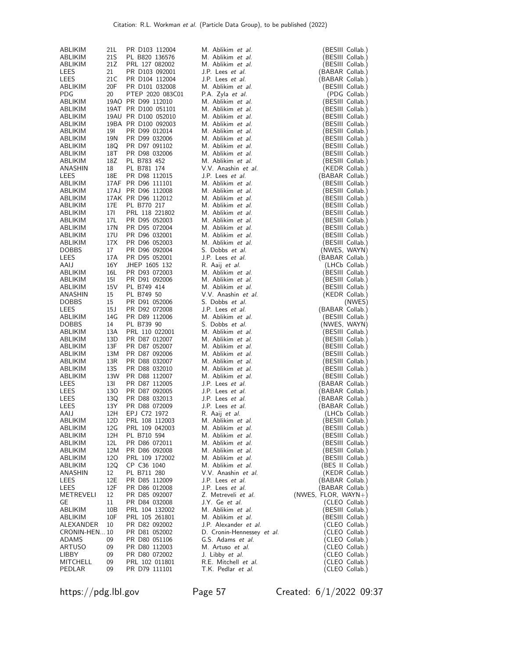| ABLIKIM       | 21 L | PR D103 112004      | M. Ablikim et al.          | (BESIII Collab.)    |
|---------------|------|---------------------|----------------------------|---------------------|
|               |      |                     |                            |                     |
| ABLIKIM       | 21S  | PL B820 136576      | M. Ablikim <i>et al.</i>   | (BESIII Collab.)    |
| ABLIKIM       | 21Z  | PRL 127 082002      | M. Ablikim et al.          | (BESIII Collab.)    |
| <b>LEES</b>   | 21   | PR D103 092001      | J.P. Lees et al.           | (BABAR Collab.)     |
| LEES          | 21 C | PR D104 112004      | J.P. Lees et al.           | (BABAR Collab.)     |
| ABLIKIM       | 20F  | PR D101 032008      | M. Ablikim et al.          | (BESIII Collab.)    |
| <b>PDG</b>    | 20   | PTEP 2020 083C01    | P.A. Zyla et al.           | (PDG Collab.)       |
|               |      |                     |                            |                     |
| ABLIKIM       |      | 19AO PR D99 112010  | M. Ablikim et al.          | (BESIII Collab.)    |
| ABLIKIM       |      | 19AT PR D100 051101 | M. Ablikim et al.          | (BESIII Collab.)    |
| ABLIKIM       |      | 19AU PR D100 052010 | M. Ablikim et al.          | (BESIII Collab.)    |
| ABLIKIM       |      | 19BA PR D100 092003 | M. Ablikim et al.          | (BESIII Collab.)    |
| ABLIKIM       | 191  | PR D99 012014       | M. Ablikim et al.          | (BESIII Collab.)    |
| ABLIKIM       | 19N  | PR D99 032006       | M. Ablikim et al.          | (BESIII Collab.)    |
|               |      |                     |                            |                     |
| ABLIKIM       | 18Q  | PR D97 091102       | M. Ablikim et al.          | (BESIII Collab.)    |
| ABLIKIM       | 18T  | PR D98 032006       | M. Ablikim et al.          | (BESIII Collab.)    |
| ABLIKIM       | 18Z  | PL B783 452         | M. Ablikim et al.          | (BESIII Collab.)    |
| ANASHIN       | 18   | PL B781 174         | V.V. Anashin et al.        | (KEDR Collab.)      |
| <b>LEES</b>   | 18E  | PR D98 112015       | J.P. Lees et al.           | (BABAR Collab.)     |
| ABLIKIM       |      | 17AF PR D96 111101  | M. Ablikim et al.          | (BESIII Collab.)    |
|               |      |                     |                            |                     |
| ABLIKIM       |      | 17AJ PR D96 112008  | M. Ablikim et al.          | (BESIII Collab.)    |
| ABLIKIM       |      | 17AK PR D96 112012  | M. Ablikim et al.          | (BESIII Collab.)    |
| ABLIKIM       | 17E  | PL B770 217         | M. Ablikim et al.          | (BESIII Collab.)    |
| ABLIKIM       | 171  | PRL 118 221802      | M. Ablikim et al.          | (BESIII Collab.)    |
| ABLIKIM       | 17L  | PR D95 052003       | M. Ablikim et al.          | (BESIII Collab.)    |
|               | 17N  |                     | M. Ablikim et al.          |                     |
| ABLIKIM       |      | PR D95 072004       |                            | (BESIII Collab.)    |
| ABLIKIM       | 17U  | PR D96 032001       | M. Ablikim et al.          | (BESIII Collab.)    |
| ABLIKIM       | 17X  | PR D96 052003       | M. Ablikim et al.          | (BESIII Collab.)    |
| <b>DOBBS</b>  | 17   | PR D96 092004       | S. Dobbs et al.            | (NWES, WAYN)        |
| LEES          | 17A  | PR D95 052001       | J.P. Lees et al.           | (BABAR Collab.)     |
| AAIJ          | 16Y  | JHEP 1605 132       | R. Aaij et al.             | (LHCb Collab.)      |
| ABLIKIM       | 16L  | PR D93 072003       | M. Ablikim et al.          |                     |
|               |      |                     |                            | (BESIII Collab.)    |
| ABLIKIM       | 15I  | PR D91 092006       | M. Ablikim et al.          | (BESIII Collab.)    |
| ABLIKIM       | 15V  | PL B749 414         | M. Ablikim et al.          | (BESIII Collab.)    |
| ANASHIN       | 15   | PL B749 50          | V.V. Anashin et al.        | (KEDR Collab.)      |
| <b>DOBBS</b>  | 15   | PR D91 052006       | S. Dobbs et al.            | (NWES)              |
| LEES          | 15J  | PR D92 072008       | J.P. Lees et al.           | (BABAR Collab.)     |
| ABLIKIM       | 14G  | PR D89 112006       | M. Ablikim et al.          | (BESIII Collab.)    |
|               |      |                     |                            |                     |
| <b>DOBBS</b>  | 14   | PL B739 90          | S. Dobbs et al.            | (NWES, WAYN)        |
| ABLIKIM       | 13A  | PRL 110 022001      | M. Ablikim et al.          | (BESIII Collab.)    |
| ABLIKIM       | 13D  | PR D87 012007       | M. Ablikim et al.          | (BESIII Collab.)    |
| ABLIKIM       | 13F  | PR D87 052007       | M. Ablikim et al.          | (BESIII Collab.)    |
| ABLIKIM       | 13M  | PR D87 092006       | M. Ablikim et al.          | (BESIII Collab.)    |
| ABLIKIM       | 13R  | PR D88 032007       | M. Ablikim et al.          | (BESIII Collab.)    |
|               |      |                     |                            |                     |
| ABLIKIM       | 13S  | PR D88 032010       | M. Ablikim et al.          | (BESIII Collab.)    |
| ABLIKIM       | 13W  | PR D88 112007       | M. Ablikim et al.          | (BESIII Collab.)    |
| LEES          | 13I  | PR D87 112005       | J.P. Lees et al.           | (BABAR Collab.)     |
| LEES          | 130  | PR D87 092005       | J.P. Lees et al.           | (BABAR Collab.)     |
| LEES          | 13Q  | PR D88 032013       | J.P. Lees et al.           | (BABAR Collab.)     |
| LEES          | 13Y  | PR D88 072009       | J.P. Lees et al.           | (BABAR Collab.)     |
|               |      |                     | R. Aaij et al.             |                     |
| AAIJ          | 12H  | EPJ C72 1972        |                            | (LHCb Collab.)      |
| ABLIKIM       | 12D  | PRL 108 112003      | M. Ablikim et al.          | (BESIII Collab.)    |
| ABLIKIM       | 12G  | PRL 109 042003      | M. Ablikim <i>et al.</i>   | (BESIII Collab.)    |
| ABLIKIM       | 12H  | PL B710 594         | M. Ablikim <i>et al.</i>   | (BESIII Collab.)    |
| ABLIKIM       | 12L  | PR D86 072011       | M. Ablikim et al.          | (BESIII Collab.)    |
| ABLIKIM       | 12M  | PR D86 092008       | M. Ablikim et al.          | (BESIII Collab.)    |
|               |      | PRL 109 172002      | M. Ablikim et al.          |                     |
| ABLIKIM       | 120  |                     |                            | (BESIII Collab.)    |
| ABLIKIM       | 12Q  | CP C36 1040         | M. Ablikim et al.          | (BES II Collab.)    |
| ANASHIN       | 12   | PL B711 280         | V.V. Anashin et al.        | (KEDR Collab.)      |
| LEES          | 12E  | PR D85 112009       | J.P. Lees et al.           | (BABAR Collab.)     |
| LEES          | 12F  | PR D86 012008       | J.P. Lees et al.           | (BABAR Collab.)     |
| METREVELI     | 12   | PR D85 092007       | Z. Metreveli et al.        | (NWES, FLOR, WAYN+) |
| GE            | 11   | PR D84 032008       | J.Y. Ge et al.             | (CLEO Collab.)      |
|               |      |                     |                            |                     |
| ABLIKIM       | 10B  | PRL 104 132002      | M. Ablikim <i>et al.</i>   | (BESIII Collab.)    |
| ABLIKIM       | 10F  | PRL 105 261801      | M. Ablikim <i>et al.</i>   | (BESIII Collab.)    |
| ALEXANDER     | 10   | PR D82 092002       | J.P. Alexander et al.      | (CLEO Collab.)      |
| CRONIN-HEN 10 |      | PR D81 052002       | D. Cronin-Hennessey et al. | (CLEO Collab.)      |
| ADAMS         | 09   | PR D80 051106       | G.S. Adams et al.          | (CLEO Collab.)      |
| ARTUSO        | 09   | PR D80 112003       | M. Artuso et al.           | (CLEO Collab.)      |
|               |      |                     |                            |                     |
| LIBBY         | 09   | PR D80 072002       | J. Libby et al.            | (CLEO Collab.)      |
| MITCHELL      | 09   | PRL 102 011801      | R.E. Mitchell et al.       | (CLEO Collab.)      |
| PEDLAR        | 09   | PR D79 111101       | T.K. Pedlar <i>et al.</i>  | (CLEO Collab.)      |

https://pdg.lbl.gov Page 57 Created: 6/1/2022 09:37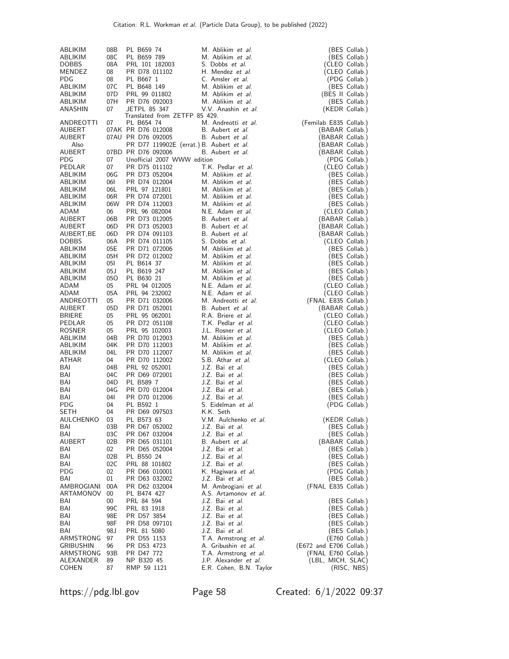| ABLIKIM<br>ABLIKIM<br><b>DOBBS</b><br>MENDEZ<br>PDG<br>ABLIKIM<br>ABLIKIM<br>ABLIKIM<br>ANASHIN | 08B<br>08C<br>08A<br>08<br>08<br>07C<br>07D<br>07H<br>07 | PL B659 74<br>PL B659 789<br>PRL 101 182003<br>PR D78 011102<br>PL B667 1<br>PL B648 149<br>PRL 99 011802<br>PR D76 092003<br>JETPL 85 347   | M. Ablikim et al.<br>M. Ablikim et al.<br>S. Dobbs et al.<br>H. Mendez et al.<br>C. Amsler et al.<br>M. Ablikim et al.<br>M. Ablikim et al.<br>M. Ablikim et al.<br>V.V. Anashin et al. | (BES Collab.)<br>(BES Collab.)<br>(CLEO Collab.)<br>(CLEO Collab.)<br>(PDG Collab.)<br>(BES Collab.)<br>(BES II Collab.)<br>(BES Collab.)<br>(KEDR Collab.) |
|-------------------------------------------------------------------------------------------------|----------------------------------------------------------|----------------------------------------------------------------------------------------------------------------------------------------------|-----------------------------------------------------------------------------------------------------------------------------------------------------------------------------------------|-------------------------------------------------------------------------------------------------------------------------------------------------------------|
| ANDREOTTI<br>AUBERT<br>AUBERT<br>Also<br>AUBERT<br>PDG                                          | 07<br>07                                                 | Translated from ZETFP 85 429.<br>PL B654 74<br>07AK PR D76 012008<br>07AU PR D76 092005<br>07BD PR D76 092006<br>Unofficial 2007 WWW edition | M. Andreotti et al.<br>B. Aubert et al.<br>B. Aubert et al.<br>PR D77 119902E (errat.) B. Aubert et al.<br>B. Aubert et al.                                                             | (Femilab E835 Collab.)<br>(BABAR Collab.)<br>(BABAR Collab.)<br>(BABAR Collab.)<br>(BABAR Collab.)<br>(PDG Collab.)                                         |
| PEDLAR<br>ABLIKIM<br>ABLIKIM<br>ABLIKIM<br>ABLIKIM<br>ABLIKIM                                   | 07<br>06G<br>06I<br>06L<br>06R<br>06W                    | PR D75 011102<br>PR D73 052004<br>PR D74 012004<br>PRL 97 121801<br>PR D74 072001<br>PR D74 112003                                           | T.K. Pedlar et al.<br>M. Ablikim et al.<br>M. Ablikim et al.<br>M. Ablikim et al.<br>M. Ablikim et al.<br>M. Ablikim et al.                                                             | (CLEO Collab.)<br>(BES Collab.)<br>(BES Collab.)<br>(BES Collab.)<br>(BES Collab.)<br>(BES Collab.)                                                         |
| ADAM<br>AUBERT<br>AUBERT<br>AUBERT, BE<br><b>DOBBS</b><br>ABLIKIM                               | 06<br>06B<br>06D<br>06D<br>06A<br>05E                    | PRL 96 082004<br>PR D73 012005<br>PR D73 052003<br>PR D74 091103<br>PR D74 011105<br>PR D71 072006<br>PR D72 012002                          | N.E. Adam et al.<br>B. Aubert et al.<br>B. Aubert et al.<br>B. Aubert et al.<br>S. Dobbs <i>et al.</i><br>M. Ablikim et al.                                                             | (CLEO Collab.)<br>(BABAR Collab.)<br>(BABAR Collab.)<br>(BABAR Collab.)<br>(CLEO Collab.)<br>(BES Collab.)                                                  |
| ABLIKIM<br>ABLIKIM<br>ABLIKIM<br>ABLIKIM<br>ADAM<br>ADAM<br>ANDREOTTI                           | 05H<br>051<br>05J<br>050<br>05<br>05A<br>05              | PL B614 37<br>PL B619 247<br>PL B630 21<br>PRL 94 012005<br>PRL 94 232002<br>PR D71 032006                                                   | M. Ablikim et al.<br>M. Ablikim et al.<br>M. Ablikim et al.<br>M. Ablikim et al.<br>N.E. Adam et al.<br>N.E. Adam et al.<br>M. Andreotti et al.                                         | (BES Collab.)<br>(BES Collab.)<br>(BES Collab.)<br>(BES Collab.)<br>(CLEO Collab.)<br>(CLEO Collab.)<br>(FNAL E835 Collab.)                                 |
| AUBERT<br><b>BRIERE</b><br>PEDLAR<br><b>ROSNER</b><br>ABLIKIM<br>ABLIKIM                        | 05D<br>05<br>05<br>05<br>04B<br>04K                      | PR D71 052001<br>PRL 95 062001<br>PR D72 051108<br>PRL 95 102003<br>PR D70 012003<br>PR D70 112003                                           | B. Aubert <i>et al.</i><br>R.A. Briere <i>et al.</i><br>T.K. Pedlar <i>et al.</i><br>J.L. Rosner et al.<br>M. Ablikim et al.<br>M. Ablikim et al.                                       | (BABAR Collab.)<br>(CLEO Collab.)<br>(CLEO Collab.)<br>(CLEO Collab.)<br>(BES Collab.)<br>(BES Collab.)                                                     |
| ABLIKIM<br>ATHAR<br>BAI<br>BAI<br>BAI<br>BAI                                                    | 04L<br>04<br>04B<br>04C<br>04D<br>04G                    | PR D70 112007<br>PR D70 112002<br>PRL 92 052001<br>PR D69 072001<br>PL B589 7<br>PR D70 012004                                               | M. Ablikim et al.<br>S.B. Athar et al.<br>J.Z. Bai et al.<br>J.Z. Bai et al.<br>J.Z. Bai et al.<br>J.Z. Bai et al.                                                                      | BES Collab.)<br>(CLEO Collab.)<br>(BES Collab.)<br>(BES Collab.)<br>(BES Collab.)<br>(BES Collab.)                                                          |
| BAI<br>PDG<br>SETH<br>AULCHENKO<br>BAI<br>BAI                                                   | 04I<br>04<br>04<br>03<br>03B<br>03C                      | PR D70 012006<br>PL B592 1<br>PR D69 097503<br>PL B573 63<br>PR D67 052002<br>PR D67 032004                                                  | J.Z. Bai et al.<br>S. Eidelman et al.<br>K.K. Seth<br>V.M. Aulchenko <i>et al.</i><br>J.Z. Bai <i>et al.</i><br>J.Z. Bai <i>et al.</i>                                                  | (BES Collab.)<br>(PDG Collab.)<br>(KEDR Collab.)<br>(BES Collab.)<br>(BES Collab.)                                                                          |
| AUBERT<br>BAI<br>BAI<br>BAI<br>PDG<br>BAI                                                       | 02B<br>02<br>02B<br>02C<br>02<br>01                      | PR D65 031101<br>PR D65 052004<br>PL B550 24<br>PRL 88 101802<br>PR D66 010001<br>PR D63 032002                                              | B. Aubert et al.<br>J.Z. Bai <i>et al.</i><br>J.Z. Bai <i>et al.</i><br>J.Z. Bai <i>et al.</i><br>K. Hagiwara <i>et al.</i><br>J.Z. Bai et al.                                          | (BABAR Collab.)<br>(BES Collab.)<br>(BES Collab.)<br>(BES Collab.)<br>(PDG Collab.)<br>(BES Collab.)                                                        |
| AMBROGIANI<br>ARTAMONOV<br>BAI<br>BAI<br>BAI<br>BAI<br>BAI                                      | 00A<br>00<br>00<br>99C<br>98E<br>98F                     | PR D62 032004<br>PL B474 427<br>PRL 84 594<br>PRL 83 1918<br>PR D57 3854<br>PR D58 097101                                                    | M. Ambrogiani et al.<br>A.S. Artamonov <i>et al.</i><br>J.Z. Bai et al.<br>J.Z. Bai et al.<br>J.Z. Bai et al.<br>J.Z. Bai et al.                                                        | (FNAL E835 Collab.)<br>(BES Collab.)<br>(BES Collab.)<br>(BES Collab.)<br>(BES Collab.)                                                                     |
| ARMSTRONG<br>GRIBUSHIN<br>ARMSTRONG<br>ALEXANDER<br><b>COHEN</b>                                | 98 J<br>97<br>96<br>93B<br>89<br>87                      | PRL 81 5080<br>PR D55 1153<br>PR D53 4723<br>PR D47 772<br>NP B320 45<br>RMP 59 1121                                                         | J.Z. Bai <i>et al.</i><br>T.A. Armstrong et al.<br>A. Gribushin <i>et al.</i><br>T.A. Armstrong et al.<br>J.P. Alexander et al.<br>E.R. Cohen, B.N. Taylor                              | (BES Collab.)<br>(E760 Collab.)<br>(E672 and E706 Collab.)<br>(FNAL E760 Collab.)<br>(LBL, MICH, SLAC)<br>(RISC, NBS)                                       |

https://pdg.lbl.gov Page 58 Created: 6/1/2022 09:37